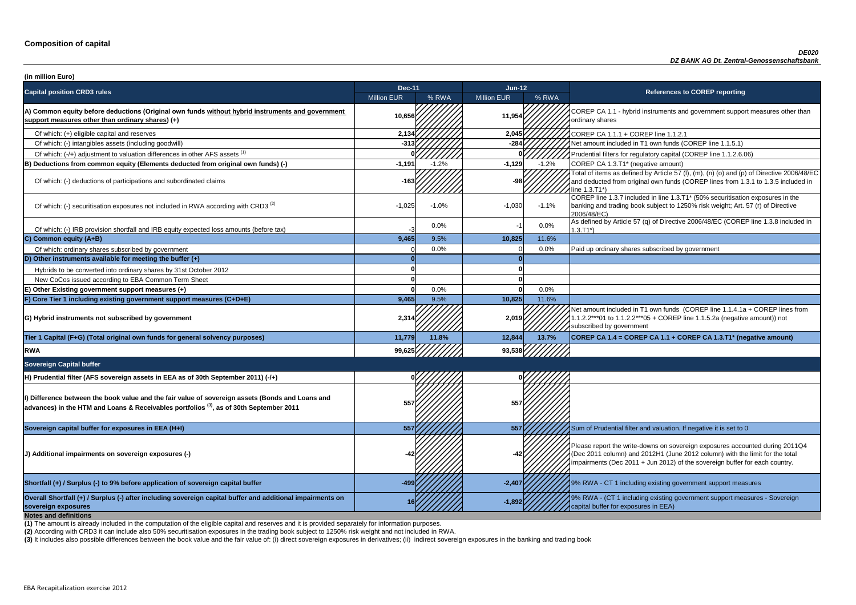**P CA 1.1 - hybrid instruments and government support measures other than** ry shares

of tial filters for regulatory capital (COREP line 1.1.2.6.06)

of items as defined by Article 57 (I), (m), (n) (o) and (p) of Directive 2006/48/EC educted from original own funds (COREP lines from 1.3.1 to 1.3.5 included in  $3.71^*$ 

 $\frac{1}{10}$  line 1.3.7 included in line 1.3.T1\* (50% securitisation exposures in the g and trading book subject to 1250% risk weight; Art. 57 (r) of Directive  $8/EC$ )

of which: IRB provided and IRB provided in and IRB equity expected up that in the URB equity expected by Article 57 (q) of Directive 2006/48/EC (COREP line 1.3.8 included in

nount included in T1 own funds (COREP line 1.1.4.1a + COREP lines from  $2***01$  to 1.1.2.2\*\*\*05 + COREP line 1.1.5.2a (negative amount)) not ibed by government

**P CA 1.4 = COREP CA 1.1 + COREP CA 1.3.T1<sup>\*</sup> (negative amount)** 

report the write-downs on sovereign exposures accounted during 2011Q4 (011 column) and 2012H1 (June 2012 column) with the limit for the total ments (Dec 2011 + Jun 2012) of the sovereign buffer for each country.

**A** - CT 1 including existing government support measures

**sovereign exposures <sup>16</sup> -1,892** 9% RWA - (CT 1 including existing government support measures - Sovereign buffer for exposures in EEA)

| (in million Euro)                                                                                                                                                                                       |                    |         |                    |         |                                                                                                                                                                                   |
|---------------------------------------------------------------------------------------------------------------------------------------------------------------------------------------------------------|--------------------|---------|--------------------|---------|-----------------------------------------------------------------------------------------------------------------------------------------------------------------------------------|
| <b>Capital position CRD3 rules</b>                                                                                                                                                                      | <b>Dec-11</b>      |         | Jun-12             |         | <b>References to COREP reporting</b>                                                                                                                                              |
|                                                                                                                                                                                                         | <b>Million EUR</b> | % RWA   | <b>Million EUR</b> | % RWA   |                                                                                                                                                                                   |
| A) Common equity before deductions (Original own funds without hybrid instruments and government<br>support measures other than ordinary shares) (+)                                                    | 10,656             |         | 11,954             |         | COREP CA 1.1 - hybrid instruments and government suppo<br>ordinary shares                                                                                                         |
| Of which: (+) eligible capital and reserves                                                                                                                                                             | 2,134              |         | 2,045              |         | COREP CA 1.1.1 + COREP line 1.1.2.1                                                                                                                                               |
| Of which: (-) intangibles assets (including goodwill)                                                                                                                                                   | $-313$             |         | $-284$             |         | Net amount included in T1 own funds (COREP line 1.1.5.1)                                                                                                                          |
| Of which: (-/+) adjustment to valuation differences in other AFS assets <sup>(1)</sup>                                                                                                                  |                    |         |                    |         | Prudential filters for regulatory capital (COREP line 1.1.2.6.                                                                                                                    |
| B) Deductions from common equity (Elements deducted from original own funds) (-)                                                                                                                        | $-1,191$           | $-1.2%$ | $-1,129$           | $-1.2%$ | COREP CA 1.3.T1* (negative amount)                                                                                                                                                |
| Of which: (-) deductions of participations and subordinated claims                                                                                                                                      | -163               |         | -98ŀ               |         | Total of items as defined by Article 57 (I), (m), (n) (o) and (p<br>and deducted from original own funds (COREP lines from 1<br>line 1.3.T1*)                                     |
| Of which: (-) securitisation exposures not included in RWA according with CRD3 <sup>(2)</sup>                                                                                                           | $-1,025$           | $-1.0%$ | $-1,030$           | $-1.1%$ | COREP line 1.3.7 included in line 1.3.T1* (50% securitisation<br>banking and trading book subject to 1250% risk weight; Art.<br>2006/48/EC)                                       |
| Of which: (-) IRB provision shortfall and IRB equity expected loss amounts (before tax)                                                                                                                 |                    | 0.0%    | -1                 | 0.0%    | As defined by Article 57 (q) of Directive 2006/48/EC (CORE<br>$1.3.T1*)$                                                                                                          |
| C) Common equity (A+B)                                                                                                                                                                                  | 9,465              | 9.5%    | 10,825             | 11.6%   |                                                                                                                                                                                   |
| Of which: ordinary shares subscribed by government                                                                                                                                                      |                    | 0.0%    |                    | 0.0%    | Paid up ordinary shares subscribed by government                                                                                                                                  |
| D) Other instruments available for meeting the buffer $(+)$                                                                                                                                             |                    |         |                    |         |                                                                                                                                                                                   |
| Hybrids to be converted into ordinary shares by 31st October 2012                                                                                                                                       |                    |         |                    |         |                                                                                                                                                                                   |
| New CoCos issued according to EBA Common Term Sheet                                                                                                                                                     |                    |         |                    |         |                                                                                                                                                                                   |
| E) Other Existing government support measures (+)                                                                                                                                                       |                    | 0.0%    | O                  | 0.0%    |                                                                                                                                                                                   |
| F) Core Tier 1 including existing government support measures (C+D+E)                                                                                                                                   | 9,465              | 9.5%    | 10,825             | 11.6%   |                                                                                                                                                                                   |
| G) Hybrid instruments not subscribed by government                                                                                                                                                      | 2,314              |         | 2,019              |         | Net amount included in T1 own funds (COREP line 1.1.4.1a<br>1.1.2.2***01 to 1.1.2.2***05 + COREP line 1.1.5.2a (negativ<br>subscribed by government                               |
| Tier 1 Capital (F+G) (Total original own funds for general solvency purposes)                                                                                                                           | 11,779             | 11.8%   | 12,844             | 13.7%   | COREP CA 1.4 = COREP CA 1.1 + COREP CA 1.3.T1* (ne                                                                                                                                |
| <b>RWA</b>                                                                                                                                                                                              | 99,625             |         | 93,538             |         |                                                                                                                                                                                   |
| <b>Sovereign Capital buffer</b>                                                                                                                                                                         |                    |         |                    |         |                                                                                                                                                                                   |
| H) Prudential filter (AFS sovereign assets in EEA as of 30th September 2011) (-/+)                                                                                                                      |                    |         |                    |         |                                                                                                                                                                                   |
| II) Difference between the book value and the fair value of sovereign assets (Bonds and Loans and<br>advances) in the HTM and Loans & Receivables portfolios <sup>(3)</sup> , as of 30th September 2011 | 557                |         | 557                |         |                                                                                                                                                                                   |
| Sovereign capital buffer for exposures in EEA (H+I)                                                                                                                                                     | 557                |         | 557                |         | Sum of Prudential filter and valuation. If negative it is set to                                                                                                                  |
| (J) Additional impairments on sovereign exposures (-)                                                                                                                                                   |                    |         |                    |         | Please report the write-downs on sovereign exposures acco<br>(Dec 2011 column) and 2012H1 (June 2012 column) with th<br>impairments (Dec 2011 + Jun 2012) of the sovereign buffer |
| Shortfall (+) / Surplus (-) to 9% before application of sovereign capital buffer                                                                                                                        | -499               |         | $-2,407$           |         | 9% RWA - CT 1 including existing government support mea                                                                                                                           |
| Overall Shortfall (+) / Surplus (-) after including sovereign capital buffer and additional impairments on<br>sovereign exposures<br><b>Notes and definitions</b>                                       |                    |         | $-1,892$           |         | 9% RWA - (CT 1 including existing government support mea<br>capital buffer for exposures in EEA)                                                                                  |

**(2)** According with CRD3 it can include also 50% securitisation exposures in the trading book subject to 1250% risk weight and not included in RWA.

(3) It includes also possible differences between the book value and the fair value of: (i) direct sovereign exposures in derivatives; (ii) indirect sovereign exposures in the banking and trading book

**(1)** The amount is already included in the computation of the eligible capital and reserves and it is provided separately for information purposes.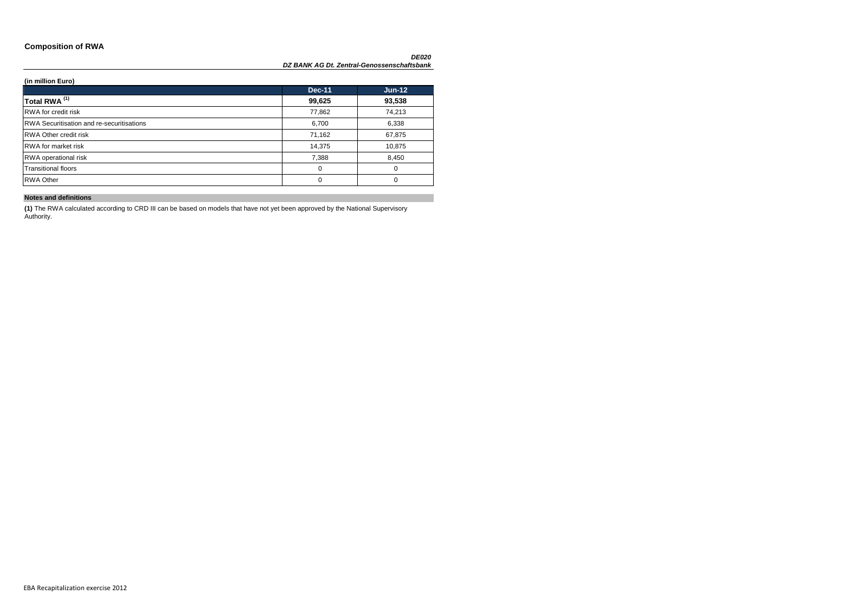### **Composition of RWA**

| (in million Euro)                                |               |          |
|--------------------------------------------------|---------------|----------|
|                                                  | <b>Dec-11</b> | $Jun-12$ |
| Total RWA <sup>(1)</sup>                         | 99,625        | 93,538   |
| RWA for credit risk                              | 77,862        | 74,213   |
| <b>RWA Securitisation and re-securitisations</b> | 6,700         | 6,338    |
| <b>RWA Other credit risk</b>                     | 71,162        | 67,875   |
| <b>RWA</b> for market risk                       | 14,375        | 10,875   |
| <b>RWA</b> operational risk                      | 7,388         | 8,450    |
| <b>Transitional floors</b>                       | 0             | 0        |
| <b>RWA Other</b>                                 | 0             | 0        |

### **Notes and definitions**

**(1)** The RWA calculated according to CRD III can be based on models that have not yet been approved by the National Supervisory Authority.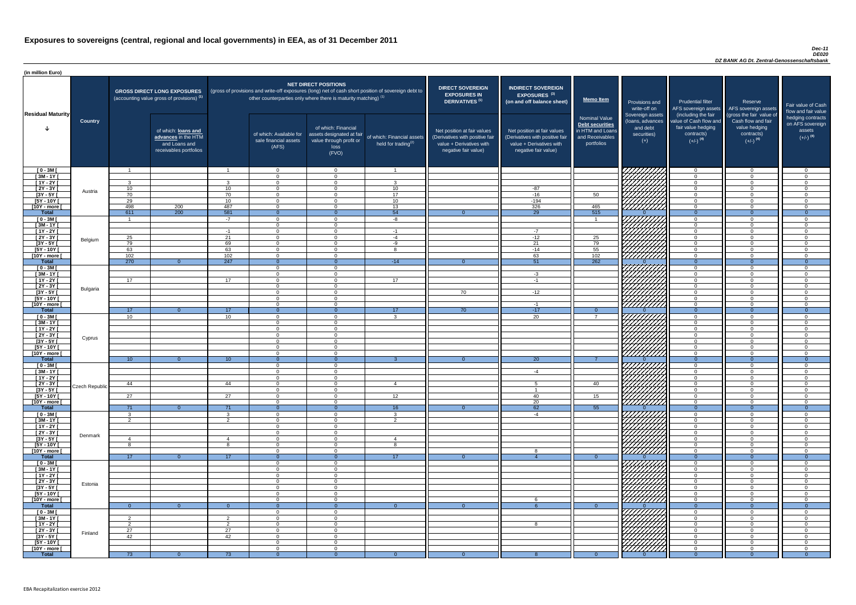#### *Dec-11 DE020 DZ BANK AG Dt. Zentral-Genossenschaftsbank*

| (in million Euro)             |                |                 |                                                                                             |                                    |                                                                   |                                                                                              |                                                                                                     |                                                                                                                    |                                                                                                                    |                                                                                              |                                                      |                                                                                      |                                                                                  |                                                                           |
|-------------------------------|----------------|-----------------|---------------------------------------------------------------------------------------------|------------------------------------|-------------------------------------------------------------------|----------------------------------------------------------------------------------------------|-----------------------------------------------------------------------------------------------------|--------------------------------------------------------------------------------------------------------------------|--------------------------------------------------------------------------------------------------------------------|----------------------------------------------------------------------------------------------|------------------------------------------------------|--------------------------------------------------------------------------------------|----------------------------------------------------------------------------------|---------------------------------------------------------------------------|
| <b>Residual Maturity</b>      |                |                 | <b>GROSS DIRECT LONG EXPOSURES</b><br>(accounting value gross of provisions) <sup>(1)</sup> |                                    | other counterparties only where there is maturity matching) $(1)$ | <b>NET DIRECT POSITIONS</b>                                                                  | (gross of provisions and write-off exposures (long) net of cash short position of sovereign debt to | <b>DIRECT SOVEREIGN</b><br><b>EXPOSURES IN</b><br><b>DERIVATIVES (1)</b>                                           | <b>INDIRECT SOVEREIGN</b><br><b>EXPOSURES<sup>(3)</sup></b><br>(on and off balance sheet)                          | Memo Item                                                                                    | Provisions and<br>write-off on<br>Sovereign assets   | <b>Prudential filter</b><br>(including the fair                                      | Reserve<br>AFS sovereign assets AFS sovereign assets<br>(gross the fair value of | Fair value of Cash<br>flow and fair value                                 |
|                               | <b>Country</b> |                 | of which: loans and<br>advances in the HTM<br>and Loans and<br>receivables portfolios       |                                    | of which: Available for<br>sale financial assets<br>(AFS)         | of which: Financial<br>assets designated at fair<br>value through profit or<br>loss<br>(FVO) | of which: Financial assets<br>held for trading $(2)$                                                | Net position at fair values<br>(Derivatives with positive fair<br>value + Derivatives with<br>negative fair value) | Net position at fair values<br>(Derivatives with positive fair<br>value + Derivatives with<br>negative fair value) | <b>Nominal Value</b><br>Debt securities<br>in HTM and Loans<br>and Receivables<br>portfolios | (loans, advances<br>and debt<br>securities)<br>$(+)$ | value of Cash flow and<br>fair value hedging<br>contracts)<br>$(+/-)$ <sup>(4)</sup> | Cash flow and fair<br>value hedging<br>contracts)<br>$(+/-)$ <sup>(4)</sup>      | hedging contracts<br>on AFS sovereign<br>assets<br>$(+/-)$ <sup>(4)</sup> |
| $[0 - 3M]$                    |                |                 |                                                                                             | $\overline{\mathbf{1}}$            | $\overline{0}$                                                    | $\Omega$                                                                                     |                                                                                                     |                                                                                                                    |                                                                                                                    |                                                                                              |                                                      | $\overline{0}$                                                                       | $\Omega$                                                                         | - 0                                                                       |
| $[3M - 1Y]$<br>$[1Y - 2Y]$    |                | $\mathcal{R}$   |                                                                                             | ર                                  | $\Omega$<br>$\Omega$                                              | $\Omega$<br>$\Omega$                                                                         | $\mathbf{3}$                                                                                        |                                                                                                                    |                                                                                                                    |                                                                                              |                                                      | $\overline{0}$<br>$\Omega$                                                           | $\Omega$<br>$\Omega$                                                             | $\Omega$<br>- 0                                                           |
| $[2Y - 3Y]$                   | Austria        | 10              |                                                                                             | 10 <sup>1</sup>                    | $\Omega$                                                          | $\Omega$                                                                                     | 10 <sup>°</sup>                                                                                     |                                                                                                                    | $-87$                                                                                                              |                                                                                              |                                                      | $\Omega$                                                                             | $\Omega$                                                                         | $\cap$                                                                    |
| $[3Y - 5Y]$                   |                | 70              |                                                                                             | 70                                 | $\Omega$                                                          | $\Omega$                                                                                     | 17                                                                                                  |                                                                                                                    | $-16$                                                                                                              | 50                                                                                           | HAAAA                                                | $\overline{0}$                                                                       | $\Omega$                                                                         | - 0                                                                       |
| $[5Y - 10Y]$<br>[10Y - more [ |                | 29<br>498       |                                                                                             | 10 <sup>°</sup><br>487             | $\Omega$<br>$\Omega$                                              | $\Omega$<br>$\cap$                                                                           | 10 <sup>1</sup><br>13                                                                               |                                                                                                                    | $-194$<br>326                                                                                                      | 465                                                                                          | 77777777                                             | $\Omega$<br>$\Omega$                                                                 | $\Omega$<br>$\Omega$                                                             | $\cap$<br>$\cap$                                                          |
| Total                         |                | 611             | $\frac{200}{200}$                                                                           | $-581$                             | $\Omega$                                                          |                                                                                              | 54                                                                                                  |                                                                                                                    | $\overline{29}$                                                                                                    | 515                                                                                          |                                                      | $\Omega$                                                                             | $\Omega$                                                                         | $\overline{0}$                                                            |
| $[0 - 3M]$                    |                | $\overline{1}$  |                                                                                             | $-7$                               | $\Omega$                                                          | $\Omega$                                                                                     | -8                                                                                                  |                                                                                                                    |                                                                                                                    | $\overline{1}$                                                                               |                                                      | $\Omega$                                                                             | $\Omega$                                                                         | _റ                                                                        |
| $[3M - 1Y]$                   |                |                 |                                                                                             |                                    | $\Omega$                                                          | $\Omega$<br>$\Omega$                                                                         |                                                                                                     |                                                                                                                    |                                                                                                                    |                                                                                              | HHHH                                                 | $\overline{0}$                                                                       | $\Omega$<br>$\Omega$                                                             | . വ<br>$\cap$                                                             |
| $[1Y - 2Y]$<br>$[2Y - 3Y]$    |                | 25              |                                                                                             | $-1$<br>21                         | $\overline{0}$<br>$\Omega$                                        | $\Omega$                                                                                     | $-1$<br>$-4$                                                                                        |                                                                                                                    | $-7$<br>$-12$                                                                                                      | 25                                                                                           | $1 \frac{H}{D}$                                      | $\overline{0}$<br>$\overline{0}$                                                     | $\Omega$                                                                         | $\cap$                                                                    |
| $[3Y - 5Y]$                   | Belgium        | 79              |                                                                                             | 69                                 | $\Omega$                                                          | $\Omega$                                                                                     | $-9$                                                                                                |                                                                                                                    | 21                                                                                                                 | 79                                                                                           |                                                      | $\overline{0}$                                                                       | $\Omega$                                                                         | $\Omega$                                                                  |
| $[5Y - 10Y]$                  |                | 63              |                                                                                             | 63                                 | $\Omega$                                                          | $\Omega$                                                                                     | $\circ$                                                                                             |                                                                                                                    | $-14$                                                                                                              | 55                                                                                           | VIIIIIII                                             | $\overline{0}$                                                                       |                                                                                  | $\Omega$                                                                  |
| [10Y - more [<br><b>Total</b> |                | 102<br>270      | $\Omega$                                                                                    | 102<br>247                         | $\Omega$<br>- 0                                                   | $\Omega$                                                                                     | $-14$                                                                                               | $\overline{0}$                                                                                                     | 63<br>51                                                                                                           | 102<br>262                                                                                   | 7777777777                                           | $\Omega$<br>$\Omega$                                                                 | $\Omega$                                                                         | $\Omega$                                                                  |
| $[0 - 3M]$                    |                |                 |                                                                                             |                                    | $\Omega$                                                          | $\Omega$                                                                                     |                                                                                                     |                                                                                                                    |                                                                                                                    |                                                                                              |                                                      | $\overline{0}$                                                                       | $\Omega$                                                                         | $\cap$                                                                    |
| $[3M-1Y]$                     |                |                 |                                                                                             |                                    | $\Omega$                                                          | $\cap$                                                                                       |                                                                                                     |                                                                                                                    | $-3$                                                                                                               |                                                                                              |                                                      | $\overline{0}$                                                                       | $\Omega$                                                                         | $\cap$                                                                    |
| $[1Y - 2Y]$                   |                | 17              |                                                                                             | 17                                 | $\Omega$                                                          | $\cap$                                                                                       | 17                                                                                                  |                                                                                                                    | $-1$                                                                                                               |                                                                                              |                                                      | $\overline{0}$                                                                       | $\Omega$                                                                         | $\cap$                                                                    |
| $[2Y - 3Y]$<br>[3Y - 5Y       | Bulgaria       |                 |                                                                                             |                                    | $\Omega$                                                          | $\Omega$                                                                                     |                                                                                                     | 70                                                                                                                 | $-12$                                                                                                              |                                                                                              |                                                      | $\overline{0}$                                                                       | $\Omega$                                                                         | . വ                                                                       |
| $[5Y - 10Y]$                  |                |                 |                                                                                             |                                    | $\Omega$                                                          | $\Omega$                                                                                     |                                                                                                     |                                                                                                                    |                                                                                                                    |                                                                                              |                                                      | $\overline{0}$                                                                       | $\Omega$                                                                         |                                                                           |
| [10Y - more [                 |                |                 |                                                                                             |                                    | $\Omega$                                                          | $\Omega$                                                                                     |                                                                                                     |                                                                                                                    | -1                                                                                                                 |                                                                                              | HAAAN<br>HAAAN                                       | $\overline{0}$                                                                       | $\Omega$                                                                         | $\Omega$                                                                  |
| <b>Total</b><br>$[0 - 3M]$    |                | 17<br>10        | ∩.                                                                                          | 17 <sup>2</sup><br>10 <sup>1</sup> | - 0<br>$\Omega$                                                   | $\Omega$                                                                                     | 17<br>$\mathbf{3}$                                                                                  | 70                                                                                                                 | $-17$<br>20                                                                                                        | $\Omega$<br>$\overline{7}$                                                                   |                                                      | $\Omega$<br>$\Omega$                                                                 | $\Omega$                                                                         | $\cap$                                                                    |
| $[3M - 1Y]$                   |                |                 |                                                                                             |                                    | $\Omega$                                                          | $\Omega$                                                                                     |                                                                                                     |                                                                                                                    |                                                                                                                    |                                                                                              | HAHAHA<br>HAHAHA                                     | $\overline{0}$                                                                       | $\Omega$                                                                         | $\Omega$                                                                  |
| $[1Y - 2Y]$                   |                |                 |                                                                                             |                                    | $\Omega$                                                          | $\Omega$                                                                                     |                                                                                                     |                                                                                                                    |                                                                                                                    |                                                                                              |                                                      | $\overline{0}$                                                                       | $\Omega$                                                                         | $\cap$                                                                    |
| [2Y - 3Y [                    | Cyprus         |                 |                                                                                             |                                    | $\Omega$                                                          | $\Omega$                                                                                     |                                                                                                     |                                                                                                                    |                                                                                                                    |                                                                                              |                                                      | $\overline{0}$                                                                       | $\Omega$                                                                         | - 0                                                                       |
| $[3Y - 5Y]$<br>$[5Y - 10Y]$   |                |                 |                                                                                             |                                    | - 0<br>$\Omega$                                                   | $\Omega$<br>$\Omega$                                                                         |                                                                                                     |                                                                                                                    |                                                                                                                    |                                                                                              |                                                      | $\overline{0}$<br>$\Omega$                                                           | $\Omega$<br>$\Omega$                                                             | - 0<br>- വ                                                                |
| [10Y - more [                 |                |                 |                                                                                             |                                    | $\Omega$                                                          | $\cap$                                                                                       |                                                                                                     |                                                                                                                    |                                                                                                                    |                                                                                              |                                                      | $\Omega$                                                                             | $\cap$                                                                           | $\cap$                                                                    |
| <b>Total</b>                  |                | 10 <sup>1</sup> | $\Omega$                                                                                    | 10 <sup>°</sup>                    |                                                                   |                                                                                              |                                                                                                     |                                                                                                                    | <b>20</b>                                                                                                          |                                                                                              |                                                      | $\Omega$                                                                             |                                                                                  | $\Omega$                                                                  |
| [ 0 - 3M [<br>$[3M - 1Y]$     |                |                 |                                                                                             |                                    | $\Omega$<br>$\overline{0}$                                        | $\Omega$<br>$\Omega$                                                                         |                                                                                                     |                                                                                                                    | -4                                                                                                                 |                                                                                              | HAAAA<br>HAAAA                                       | $\Omega$<br>$\overline{0}$                                                           | $\Omega$<br>$\Omega$                                                             | $\cap$<br>- 0                                                             |
| $[1Y - 2Y]$                   |                |                 |                                                                                             |                                    | $\Omega$                                                          | $\Omega$                                                                                     |                                                                                                     |                                                                                                                    |                                                                                                                    |                                                                                              |                                                      | $\overline{0}$                                                                       | $\Omega$                                                                         | - 0                                                                       |
| [2Y - 3Y [                    | Czech Republic | 44              |                                                                                             | 44                                 | $\Omega$                                                          | $\Omega$                                                                                     | 4                                                                                                   |                                                                                                                    |                                                                                                                    | 40                                                                                           |                                                      | $\Omega$                                                                             | $\Omega$                                                                         | $\cap$                                                                    |
| $[3Y - 5Y]$                   |                |                 |                                                                                             |                                    | $\Omega$                                                          | $\Omega$                                                                                     |                                                                                                     |                                                                                                                    |                                                                                                                    |                                                                                              |                                                      | $\Omega$<br>$\Omega$                                                                 | $\Omega$<br>∩                                                                    | ി                                                                         |
| $[5Y - 10Y]$<br>[10Y - more [ |                | 27              |                                                                                             | 27                                 | $\Omega$<br>$\Omega$                                              | $\Omega$<br>$\Omega$                                                                         | 12                                                                                                  |                                                                                                                    | 40<br>20                                                                                                           | 15 <sub>1</sub>                                                                              |                                                      | $\Omega$                                                                             | ∩                                                                                |                                                                           |
| <b>Total</b>                  |                | 71              | $\Omega$                                                                                    | 71                                 | $\Omega$                                                          | $\Omega$                                                                                     | 16                                                                                                  | $\Omega$                                                                                                           | 62                                                                                                                 | 55                                                                                           |                                                      | $\Omega$                                                                             | $\Omega$                                                                         | $\Omega$                                                                  |
| $[0 - 3M]$                    |                |                 |                                                                                             |                                    | $\Omega$                                                          | $\Omega$                                                                                     | $\mathbf{3}$                                                                                        |                                                                                                                    | $-4$                                                                                                               |                                                                                              |                                                      | $\overline{0}$                                                                       | $\Omega$                                                                         | $\cap$                                                                    |
| $[3M - 1Y]$<br>$[1Y - 2Y]$    |                |                 |                                                                                             | $\Omega$                           | - റ<br>$\Omega$                                                   | $\Omega$<br>$\Omega$                                                                         | $\overline{2}$                                                                                      |                                                                                                                    |                                                                                                                    |                                                                                              | UIIIIII                                              | $\overline{0}$<br>$\overline{0}$                                                     | $\Omega$<br>$\Omega$                                                             | $\cap$<br>$\cap$                                                          |
| $[2Y - 3Y]$                   | Denmark        |                 |                                                                                             |                                    | $\Omega$                                                          | $\Omega$                                                                                     |                                                                                                     |                                                                                                                    |                                                                                                                    |                                                                                              |                                                      | $\overline{0}$                                                                       | $\Omega$                                                                         | $\Omega$                                                                  |
| $[3Y - 5Y]$                   |                |                 |                                                                                             |                                    | $\Omega$                                                          | $\Omega$                                                                                     |                                                                                                     |                                                                                                                    |                                                                                                                    |                                                                                              | HAAAA<br>HAAAAA                                      | $\overline{0}$                                                                       | $\Omega$                                                                         | $\Omega$                                                                  |
| $[5Y - 10Y]$<br>[10Y - more [ |                |                 |                                                                                             |                                    | $\Omega$<br>$\Omega$                                              | $\Omega$<br>$\Omega$                                                                         | 8                                                                                                   |                                                                                                                    |                                                                                                                    |                                                                                              |                                                      | $\overline{0}$<br>$\overline{0}$                                                     | $\Omega$<br>$\Omega$                                                             | $\Omega$<br>$\cap$                                                        |
| <b>Total</b>                  |                | 17 <sup>2</sup> | $\Omega$                                                                                    | 17 <sup>2</sup>                    | - 0                                                               |                                                                                              | 17 <sup>2</sup>                                                                                     | $\Omega$                                                                                                           |                                                                                                                    | $\Omega$                                                                                     |                                                      | $\overline{0}$                                                                       | $\Omega$                                                                         | $\Omega$                                                                  |
| $[0 - 3M]$                    |                |                 |                                                                                             |                                    | $\Omega$                                                          | $\Omega$                                                                                     |                                                                                                     |                                                                                                                    |                                                                                                                    |                                                                                              |                                                      | $\overline{0}$                                                                       | $\Omega$                                                                         | $\cap$                                                                    |
| $[3M-1Y]$                     |                |                 |                                                                                             |                                    | $\Omega$                                                          | $\Omega$                                                                                     |                                                                                                     |                                                                                                                    |                                                                                                                    |                                                                                              | WITH THE                                             | $\overline{0}$                                                                       | $\Omega$                                                                         | $\cap$                                                                    |
| $[1Y - 2Y]$<br>[2Y - 3Y [     |                |                 |                                                                                             |                                    | $\Omega$<br>$\Omega$                                              | $\Omega$<br>$\Omega$                                                                         |                                                                                                     |                                                                                                                    |                                                                                                                    |                                                                                              |                                                      | $\Omega$<br>$\overline{0}$                                                           | $\Omega$<br>$\Omega$                                                             | $\cap$<br>$\Omega$                                                        |
| $[3Y - 5Y]$                   | Estonia        |                 |                                                                                             |                                    | - 0                                                               | $\Omega$                                                                                     |                                                                                                     |                                                                                                                    |                                                                                                                    |                                                                                              |                                                      | $\overline{0}$                                                                       | $\Omega$                                                                         | - 0                                                                       |
| $[5Y - 10Y]$                  |                |                 |                                                                                             |                                    | - റ                                                               | $\Omega$                                                                                     |                                                                                                     |                                                                                                                    |                                                                                                                    |                                                                                              |                                                      | $\Omega$                                                                             | $\Omega$                                                                         | - 0                                                                       |
| [10Y - more [<br><b>Total</b> |                | -0              | 0                                                                                           |                                    | - റ                                                               | $\Omega$                                                                                     |                                                                                                     |                                                                                                                    |                                                                                                                    | $\Omega$                                                                                     |                                                      | $\overline{0}$<br>-0                                                                 | $\Omega$                                                                         | റ                                                                         |
| $[0 - 3M]$                    |                |                 |                                                                                             |                                    | $\Omega$                                                          | $\Omega$                                                                                     |                                                                                                     |                                                                                                                    |                                                                                                                    |                                                                                              | 777777777                                            | $\Omega$                                                                             |                                                                                  |                                                                           |
| $[3M - 1Y]$                   |                | ົາ              |                                                                                             | -2                                 | $\overline{0}$                                                    | $\overline{0}$                                                                               |                                                                                                     |                                                                                                                    |                                                                                                                    |                                                                                              |                                                      | $\overline{0}$                                                                       | $\Omega$                                                                         | - 0                                                                       |
| $[1Y - 2Y]$                   |                | - 2             |                                                                                             | $\overline{2}$                     | $\overline{0}$                                                    | $\overline{0}$                                                                               |                                                                                                     |                                                                                                                    | R                                                                                                                  |                                                                                              |                                                      | $\overline{0}$                                                                       | - 0                                                                              | - 0                                                                       |
| [2Y - 3Y [<br>$[3Y - 5Y]$     | Finland        | 27<br>42        |                                                                                             | 27<br>42                           | $\Omega$<br>$\Omega$                                              | $\overline{0}$<br>$\overline{0}$                                                             |                                                                                                     |                                                                                                                    |                                                                                                                    |                                                                                              | William                                              | $\overline{0}$<br>$\overline{0}$                                                     | $\Omega$<br>$\Omega$                                                             | $\Omega$<br>- 0                                                           |
| [5Y - 10Y [                   |                |                 |                                                                                             |                                    | $\Omega$                                                          | $\Omega$                                                                                     |                                                                                                     |                                                                                                                    |                                                                                                                    |                                                                                              |                                                      | $\Omega$                                                                             | $\Omega$                                                                         | $\Omega$                                                                  |
| [10Y - more [                 |                |                 |                                                                                             |                                    | $\Omega$                                                          | $\Omega$                                                                                     |                                                                                                     |                                                                                                                    |                                                                                                                    |                                                                                              |                                                      | $\Omega$                                                                             |                                                                                  | $\Omega$                                                                  |
| <b>Total</b>                  |                | 73              |                                                                                             | 73                                 | - 0                                                               | $\Omega$                                                                                     |                                                                                                     |                                                                                                                    |                                                                                                                    | $\Omega$                                                                                     |                                                      | $\Omega$                                                                             |                                                                                  | $\Omega$                                                                  |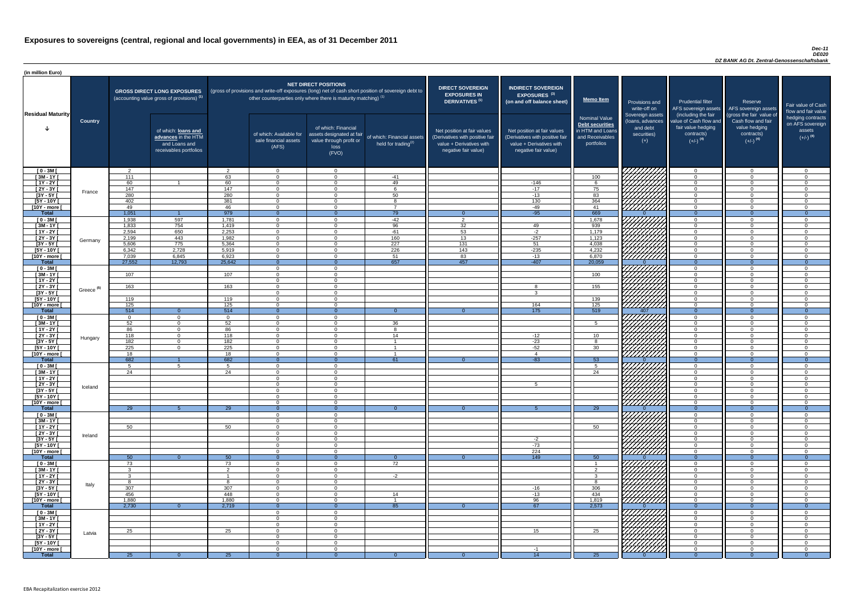#### *Dec-11 DE020 DZ BANK AG Dt. Zentral-Genossenschaftsbank*

| (in million Euro)                   |                       |                |                                                                                             |                 |                                                           |                                                                                                                                                                                                         |                                                      |                                                                                                                    |                                                                                                                    |                                                                                              |                                                                          |                                                                                                             |                                                                                                         |                                                                           |
|-------------------------------------|-----------------------|----------------|---------------------------------------------------------------------------------------------|-----------------|-----------------------------------------------------------|---------------------------------------------------------------------------------------------------------------------------------------------------------------------------------------------------------|------------------------------------------------------|--------------------------------------------------------------------------------------------------------------------|--------------------------------------------------------------------------------------------------------------------|----------------------------------------------------------------------------------------------|--------------------------------------------------------------------------|-------------------------------------------------------------------------------------------------------------|---------------------------------------------------------------------------------------------------------|---------------------------------------------------------------------------|
| <b>Residual Maturity</b>            |                       |                | <b>GROSS DIRECT LONG EXPOSURES</b><br>(accounting value gross of provisions) <sup>(1)</sup> |                 |                                                           | <b>NET DIRECT POSITIONS</b><br>(gross of provisions and write-off exposures (long) net of cash short position of sovereign debt to<br>other counterparties only where there is maturity matching) $(1)$ |                                                      | <b>DIRECT SOVEREIGN</b><br><b>EXPOSURES IN</b><br><b>DERIVATIVES (1)</b>                                           | <b>INDIRECT SOVEREIGN</b><br><b>EXPOSURES<sup>(3)</sup></b><br>(on and off balance sheet)                          | <b>Memo Item</b>                                                                             | Provisions and<br>write-off on                                           | <b>Prudential filter</b>                                                                                    | Reserve<br>AFS sovereign assets AFS sovereign assets                                                    | Fair value of Cash<br>flow and fair value                                 |
|                                     | <b>Country</b>        |                | of which: loans and<br>advances in the HTM<br>and Loans and<br>receivables portfolios       |                 | of which: Available for<br>sale financial assets<br>(AFS) | of which: Financial<br>assets designated at fair<br>value through profit or<br>loss<br>(FVO)                                                                                                            | of which: Financial assets<br>held for trading $(2)$ | Net position at fair values<br>(Derivatives with positive fair<br>value + Derivatives with<br>negative fair value) | Net position at fair values<br>(Derivatives with positive fair<br>value + Derivatives with<br>negative fair value) | <b>Nominal Value</b><br>Debt securities<br>in HTM and Loans<br>and Receivables<br>portfolios | Sovereign assets<br>(loans, advances<br>and debt<br>securities)<br>$(+)$ | (including the fair<br>value of Cash flow and<br>fair value hedging<br>contracts)<br>$(+/-)$ <sup>(4)</sup> | (gross the fair value of<br>Cash flow and fair<br>value hedging<br>contracts)<br>$(+/-)$ <sup>(4)</sup> | hedging contracts<br>on AFS sovereign<br>assets<br>$(+/-)$ <sup>(4)</sup> |
| $[0 - 3M]$                          |                       | ົາ<br>111      |                                                                                             | ົ               | $\Omega$<br>$\Omega$                                      | $\Omega$<br>$\Omega$                                                                                                                                                                                    |                                                      |                                                                                                                    |                                                                                                                    |                                                                                              | <i>VHAHA</i> N                                                           | $\overline{0}$                                                                                              |                                                                                                         | $\overline{0}$<br>$\Omega$                                                |
| $[3M-1Y]$<br>$[1Y - 2Y]$            |                       | 60             |                                                                                             | 63<br>60        | $\Omega$                                                  | $\Omega$                                                                                                                                                                                                | $-41$<br>49                                          |                                                                                                                    | $-146$                                                                                                             | 100<br>6                                                                                     | HAHARA KU                                                                | $\overline{0}$<br>$\overline{0}$                                                                            | $\Omega$                                                                                                | $\Omega$                                                                  |
| $[2Y - 3Y]$                         |                       | 147            |                                                                                             | 147             | $\Omega$                                                  | $\Omega$                                                                                                                                                                                                |                                                      |                                                                                                                    | $-17$                                                                                                              | 75                                                                                           |                                                                          | $\overline{0}$                                                                                              | $\Omega$                                                                                                | $\overline{0}$                                                            |
| $[3Y - 5Y]$                         | France                | 280            |                                                                                             | 280             | $\Omega$                                                  | $\Omega$                                                                                                                                                                                                | 50                                                   |                                                                                                                    | $-13$                                                                                                              | 83                                                                                           |                                                                          | $\overline{0}$                                                                                              | $\Omega$                                                                                                | $\overline{0}$                                                            |
| $[5Y - 10Y]$                        |                       | 402            |                                                                                             | 381             | $\Omega$                                                  | $\Omega$                                                                                                                                                                                                | $\Omega$                                             |                                                                                                                    | 130                                                                                                                | 364                                                                                          |                                                                          | $\overline{0}$                                                                                              | $\Omega$                                                                                                | $\Omega$                                                                  |
| [10Y - more [<br><b>Total</b>       |                       | 49<br>1,051    |                                                                                             | 46<br>979       | $\overline{0}$<br>$\Omega$                                | $\Omega$                                                                                                                                                                                                | $\overline{7}$<br>79                                 | $\Omega$                                                                                                           | $-49$<br>$-95$                                                                                                     | 41<br>669                                                                                    |                                                                          | $\overline{0}$<br>$\overline{0}$                                                                            | $\Omega$<br>$\Omega$                                                                                    | $\overline{0}$<br>$\Omega$                                                |
| $[0 - 3M]$                          |                       | 1,938          | 597                                                                                         | 1,781           | $\overline{0}$                                            | $\Omega$                                                                                                                                                                                                | $-42$                                                | $\overline{2}$                                                                                                     |                                                                                                                    | 1,678                                                                                        |                                                                          | $\overline{0}$                                                                                              | $\Omega$                                                                                                | $\overline{0}$                                                            |
| $[3M - 1Y]$                         |                       | 1,833          | 754                                                                                         | 1,419           | $\overline{0}$                                            | $\Omega$                                                                                                                                                                                                | 96                                                   | 32                                                                                                                 | 49                                                                                                                 | 939                                                                                          | THAT THE TRIP OF THE TRIP OF                                             | $\overline{0}$                                                                                              | $\Omega$                                                                                                | $\overline{0}$                                                            |
| $[1Y - 2Y]$                         |                       | 2,594          | 650                                                                                         | 2,253           | $\overline{0}$                                            | $\Omega$                                                                                                                                                                                                | $-61$                                                | 53                                                                                                                 | $-2$                                                                                                               | 1,179                                                                                        |                                                                          | $\overline{0}$                                                                                              | $\cap$                                                                                                  | $\Omega$                                                                  |
| $[2Y - 3Y]$                         | Germany               | 2,199          | 443                                                                                         | 1,982           | $\overline{0}$                                            | $\Omega$                                                                                                                                                                                                | 160                                                  | 13                                                                                                                 | $-257$                                                                                                             | 1,123                                                                                        |                                                                          | $\overline{0}$                                                                                              | $\Omega$                                                                                                | $\Omega$                                                                  |
| $[3Y - 5Y]$                         |                       | 5,606          | 775                                                                                         | 5,364           | $\overline{0}$                                            | $\Omega$                                                                                                                                                                                                | $\overline{227}$                                     | 131                                                                                                                | 51                                                                                                                 | 4,038                                                                                        |                                                                          | $\overline{0}$                                                                                              | $\cap$<br>- വ                                                                                           | $\overline{0}$                                                            |
| $[5Y - 10Y]$<br>[10Y - more [       |                       | 6,342<br>7,039 | 2,728<br>6,845                                                                              | 5,919<br>6,923  | $\Omega$<br>$\Omega$                                      | $\Omega$<br>$\Omega$                                                                                                                                                                                    | 226<br>51                                            | 143<br>83                                                                                                          | $-235$<br>$-13$                                                                                                    | 4,232<br>6,870                                                                               |                                                                          | $\overline{0}$<br>$\overline{0}$                                                                            | $\cap$                                                                                                  | $\Omega$<br>$\Omega$                                                      |
| <b>Total</b>                        |                       | 27,552         | 12,793                                                                                      | 25,642          | - 0                                                       |                                                                                                                                                                                                         | 657                                                  | 457                                                                                                                | $-407$                                                                                                             | 20,059                                                                                       |                                                                          | $\overline{0}$                                                                                              |                                                                                                         | $\Omega$                                                                  |
| $[0 - 3M]$                          |                       |                |                                                                                             |                 | $\Omega$                                                  | $\Omega$                                                                                                                                                                                                |                                                      |                                                                                                                    |                                                                                                                    |                                                                                              | HAHAS SAHAS SE                                                           | $\overline{0}$                                                                                              | $\cap$                                                                                                  | $\Omega$                                                                  |
| $[3M - 1Y]$                         |                       | 107            |                                                                                             | 107             | $\Omega$                                                  | $\Omega$                                                                                                                                                                                                |                                                      |                                                                                                                    |                                                                                                                    | 100                                                                                          |                                                                          | $\overline{0}$                                                                                              | $\sqrt{ }$                                                                                              | $\overline{0}$                                                            |
| $[1Y - 2Y]$                         |                       |                |                                                                                             |                 | $\Omega$                                                  | $\Omega$<br>$\Omega$                                                                                                                                                                                    |                                                      |                                                                                                                    |                                                                                                                    |                                                                                              |                                                                          | $\overline{0}$                                                                                              | $\cap$<br>$\sqrt{ }$                                                                                    | $\overline{0}$                                                            |
| $[2Y - 3Y]$<br>$[3Y - 5Y]$          | Greece <sup>(5)</sup> | 163            |                                                                                             | 163             | $\Omega$                                                  |                                                                                                                                                                                                         |                                                      |                                                                                                                    |                                                                                                                    | 155                                                                                          |                                                                          | $\Omega$                                                                                                    |                                                                                                         | $\Omega$                                                                  |
| $[5Y - 10Y]$                        |                       | 119            |                                                                                             | 119             | $\Omega$                                                  | $\Omega$                                                                                                                                                                                                |                                                      |                                                                                                                    |                                                                                                                    | 139                                                                                          |                                                                          | $\Omega$                                                                                                    |                                                                                                         | റ                                                                         |
| $\sqrt{10Y}$ - more [               |                       | 125            |                                                                                             | 125             | $\Omega$                                                  | $\Omega$                                                                                                                                                                                                |                                                      |                                                                                                                    | 164                                                                                                                | 125                                                                                          | William                                                                  | $\Omega$                                                                                                    |                                                                                                         | $\Omega$                                                                  |
| <b>Total</b>                        |                       | 514            | $\Omega$                                                                                    | 514             | $\Omega$                                                  | $\Omega$                                                                                                                                                                                                | $\Omega$                                             |                                                                                                                    | $\overline{175}$                                                                                                   | 519                                                                                          | 407                                                                      | $\Omega$                                                                                                    | $\Omega$                                                                                                | $\Omega$                                                                  |
| $[0 - 3M]$<br>$[3M - 1Y]$           |                       | $\cap$<br>52   | $\Omega$<br>$\Omega$                                                                        | $\Omega$<br>52  | $\Omega$<br>$\Omega$                                      | $\Omega$<br>$\Omega$                                                                                                                                                                                    | 36                                                   |                                                                                                                    |                                                                                                                    | 5                                                                                            | KATALAN<br>KATALAN                                                       | $\overline{0}$<br>$\Omega$                                                                                  | $\cap$                                                                                                  | $\Omega$<br>$\Omega$                                                      |
| [1Y - 2Y [                          |                       | 86             | $\overline{0}$                                                                              | 86              | $\Omega$                                                  | $\Omega$                                                                                                                                                                                                | R                                                    |                                                                                                                    |                                                                                                                    |                                                                                              |                                                                          | $\Omega$                                                                                                    | $\Omega$                                                                                                | $\Omega$                                                                  |
| $[2Y - 3Y]$                         | Hungary               | 118            | $\overline{0}$                                                                              | 118             | $\Omega$                                                  | $\Omega$                                                                                                                                                                                                | 14                                                   |                                                                                                                    | $-12$                                                                                                              | 10                                                                                           |                                                                          | $\overline{0}$                                                                                              | $\Omega$                                                                                                | $\Omega$                                                                  |
| $[3Y - 5Y]$                         |                       | 182            | $\overline{0}$                                                                              | 182             | $\Omega$                                                  | $\Omega$                                                                                                                                                                                                |                                                      |                                                                                                                    | $-23$                                                                                                              | 8                                                                                            |                                                                          | $\overline{0}$                                                                                              | $\cap$                                                                                                  | $\Omega$                                                                  |
| $[5Y - 10Y]$                        |                       | 225            | $\overline{0}$                                                                              | 225             | $\Omega$<br>$\Omega$                                      | $\Omega$<br>$\Omega$                                                                                                                                                                                    |                                                      |                                                                                                                    | $-52$<br>$\boldsymbol{\mathcal{A}}$                                                                                | 30                                                                                           |                                                                          | $\overline{0}$                                                                                              | $\Omega$<br>$\Omega$                                                                                    | $\Omega$<br>$\Omega$                                                      |
| [10Y - more [<br><b>Total</b>       |                       | 18<br>682      |                                                                                             | 18<br>682       | $\Omega$                                                  | $\Omega$                                                                                                                                                                                                | 61                                                   | $\Omega$                                                                                                           | $-83$                                                                                                              | 53                                                                                           |                                                                          | $\overline{0}$<br>$\overline{0}$                                                                            | $\Omega$                                                                                                | $\Omega$                                                                  |
| $[0 - 3M]$                          |                       |                | 5                                                                                           | 5               | $\overline{0}$                                            | $\Omega$                                                                                                                                                                                                |                                                      |                                                                                                                    |                                                                                                                    | 5 <sup>5</sup>                                                                               |                                                                          | $\overline{0}$                                                                                              | $\Omega$                                                                                                | $\Omega$                                                                  |
| $[3M - 1Y]$                         |                       | 24             |                                                                                             | 24              | $\Omega$                                                  | $\Omega$                                                                                                                                                                                                |                                                      |                                                                                                                    |                                                                                                                    | 24                                                                                           | <i>VIIIIIII</i>                                                          | $\overline{0}$                                                                                              | $\cap$                                                                                                  | $\Omega$                                                                  |
| $[1Y - 2Y]$                         |                       |                |                                                                                             |                 | $\Omega$                                                  |                                                                                                                                                                                                         |                                                      |                                                                                                                    |                                                                                                                    |                                                                                              |                                                                          | $\overline{0}$                                                                                              | $\Omega$                                                                                                | $\Omega$                                                                  |
| $[2Y - 3Y]$<br>$\overline{3Y - 5Y}$ | Iceland               |                |                                                                                             |                 |                                                           |                                                                                                                                                                                                         |                                                      |                                                                                                                    |                                                                                                                    |                                                                                              | HHHA                                                                     | $\overline{0}$<br>$\overline{0}$                                                                            |                                                                                                         | $\Omega$<br>- ೧                                                           |
| $[5Y - 10Y]$                        |                       |                |                                                                                             |                 | $\Omega$                                                  |                                                                                                                                                                                                         |                                                      |                                                                                                                    |                                                                                                                    |                                                                                              | HHHH                                                                     | $\overline{0}$                                                                                              |                                                                                                         | $\Omega$                                                                  |
| $[10Y - more]$                      |                       |                |                                                                                             |                 | $\Omega$                                                  | $\Omega$                                                                                                                                                                                                |                                                      |                                                                                                                    |                                                                                                                    |                                                                                              |                                                                          | $\overline{0}$                                                                                              | $\cap$                                                                                                  | $\Omega$                                                                  |
| <b>Total</b>                        |                       | 29             |                                                                                             | $\overline{29}$ | - 0                                                       |                                                                                                                                                                                                         |                                                      |                                                                                                                    |                                                                                                                    | 29                                                                                           |                                                                          | $\Omega$                                                                                                    |                                                                                                         | - 0                                                                       |
| $[0 - 3M]$<br>$[3M - 1Y]$           |                       |                |                                                                                             |                 | $\Omega$<br>$\Omega$                                      | $\Omega$<br>$\Omega$                                                                                                                                                                                    |                                                      |                                                                                                                    |                                                                                                                    |                                                                                              | HAAAD I                                                                  | $\overline{0}$<br>$\overline{0}$                                                                            | $\cap$<br>- 0                                                                                           | $\Omega$<br>$\overline{0}$                                                |
| $[1Y - 2Y]$                         |                       | 50             |                                                                                             | 50              | $\Omega$                                                  | $\Omega$                                                                                                                                                                                                |                                                      |                                                                                                                    |                                                                                                                    | 50                                                                                           |                                                                          | $\overline{0}$                                                                                              | - 0                                                                                                     | $\Omega$                                                                  |
| $[2Y - 3Y]$                         | Ireland               |                |                                                                                             |                 | $\Omega$                                                  | $\Omega$                                                                                                                                                                                                |                                                      |                                                                                                                    |                                                                                                                    |                                                                                              |                                                                          | $\overline{0}$                                                                                              | $\cap$                                                                                                  | $\Omega$                                                                  |
| $[3Y - 5Y]$                         |                       |                |                                                                                             |                 | $\Omega$                                                  | $\overline{0}$                                                                                                                                                                                          |                                                      |                                                                                                                    | $-2$                                                                                                               |                                                                                              |                                                                          | $\overline{0}$                                                                                              | $\Omega$                                                                                                | $\overline{0}$                                                            |
| $[5Y - 10Y]$                        |                       |                |                                                                                             |                 | $\Omega$                                                  | $\Omega$                                                                                                                                                                                                |                                                      |                                                                                                                    | $-73$                                                                                                              |                                                                                              | HHHH                                                                     | $\overline{0}$                                                                                              | $\cap$<br>$\Omega$                                                                                      | $\Omega$                                                                  |
| [10Y - more [<br><b>Total</b>       |                       | 50             | $\Omega$                                                                                    | 50              | $\Omega$<br>$\Omega$                                      | $\Omega$                                                                                                                                                                                                |                                                      |                                                                                                                    | 224<br>149                                                                                                         | 50                                                                                           |                                                                          | $\overline{0}$<br>$\overline{0}$                                                                            | $\Omega$                                                                                                | $\Omega$<br>$\Omega$                                                      |
| $[0 - 3M]$                          |                       | 73             |                                                                                             | 73              | $\Omega$                                                  | $\Omega$                                                                                                                                                                                                | 72                                                   |                                                                                                                    |                                                                                                                    |                                                                                              | KATANA<br>KATANA                                                         | $\overline{0}$                                                                                              |                                                                                                         | $\Omega$                                                                  |
| $[3M - 1Y]$                         |                       |                |                                                                                             | റ               | $\Omega$                                                  | $\Omega$                                                                                                                                                                                                |                                                      |                                                                                                                    |                                                                                                                    | ົາ                                                                                           |                                                                          | $\overline{0}$                                                                                              |                                                                                                         | $\Omega$                                                                  |
| $[1Y - 2Y]$                         |                       |                |                                                                                             |                 | $\Omega$                                                  | $\Omega$                                                                                                                                                                                                | $-2$                                                 |                                                                                                                    |                                                                                                                    | $\mathbf{3}$                                                                                 |                                                                          | $\Omega$                                                                                                    | $\cap$                                                                                                  | $\Omega$                                                                  |
| $[2Y - 3Y]$<br>$[3Y - 5Y]$          | Italy                 | 307            |                                                                                             | 307             | $\Omega$<br>$\Omega$                                      | $\Omega$<br>$\Omega$                                                                                                                                                                                    |                                                      |                                                                                                                    | $-16$                                                                                                              | 8<br>306                                                                                     |                                                                          | $\Omega$<br>$\overline{0}$                                                                                  | $\Omega$<br>$\cap$                                                                                      | $\Omega$<br>$\Omega$                                                      |
| $[5Y - 10Y]$                        |                       | 456            |                                                                                             | 448             | $\Omega$                                                  | $\Omega$                                                                                                                                                                                                | 14                                                   |                                                                                                                    | $-13$                                                                                                              | 434                                                                                          |                                                                          | $\overline{0}$                                                                                              | $\Omega$                                                                                                | $\Omega$                                                                  |
| [10Y - more [                       |                       | 1,880          |                                                                                             | 1,880           | $\Omega$                                                  | $\Omega$                                                                                                                                                                                                |                                                      |                                                                                                                    | 96                                                                                                                 | 1,819                                                                                        |                                                                          | $\overline{0}$                                                                                              | $\Omega$                                                                                                | $\Omega$                                                                  |
| <b>Total</b>                        |                       | 2,730          | $\Omega$                                                                                    | 2,719           | - 0                                                       | $\Omega$                                                                                                                                                                                                | 85                                                   | $\Omega$                                                                                                           | 67                                                                                                                 | 2,573                                                                                        |                                                                          | $\Omega$                                                                                                    | $\overline{0}$                                                                                          | $\Omega$                                                                  |
| $[0 - 3M]$<br>$[3M - 1Y]$           |                       |                |                                                                                             |                 | $\Omega$<br>$\Omega$                                      | $\Omega$<br>$\Omega$                                                                                                                                                                                    |                                                      |                                                                                                                    |                                                                                                                    |                                                                                              | I <i>WIIIIA</i> I                                                        | $\Omega$<br>- 0                                                                                             | $\cap$                                                                                                  | $\Omega$<br>റ                                                             |
| $[1Y - 2Y]$                         |                       |                |                                                                                             |                 | $\Omega$                                                  | $\Omega$                                                                                                                                                                                                |                                                      |                                                                                                                    |                                                                                                                    |                                                                                              |                                                                          | $\overline{0}$                                                                                              | $\cap$                                                                                                  | $\Omega$                                                                  |
| [2Y - 3Y [                          | Latvia                | 25             |                                                                                             | 25              | -0                                                        | $\mathbf{0}$                                                                                                                                                                                            |                                                      |                                                                                                                    | 15                                                                                                                 | 25                                                                                           |                                                                          | $\overline{0}$                                                                                              |                                                                                                         | $\Omega$                                                                  |
| $[3Y - 5Y]$                         |                       |                |                                                                                             |                 | - 0                                                       | $\Omega$                                                                                                                                                                                                |                                                      |                                                                                                                    |                                                                                                                    |                                                                                              |                                                                          | $\overline{0}$                                                                                              |                                                                                                         | - 0                                                                       |
| [5Y - 10Y [<br>[10Y - more [        |                       |                |                                                                                             |                 | $\Omega$<br>$\Omega$                                      | $\Omega$<br>$\Omega$                                                                                                                                                                                    |                                                      |                                                                                                                    | $-1$                                                                                                               |                                                                                              | HAAN<br>HAAN                                                             | $\overline{0}$<br>$\overline{0}$                                                                            |                                                                                                         | $\Omega$<br>$\Omega$                                                      |
| <b>Total</b>                        |                       | 25             |                                                                                             | 25              | - 0                                                       |                                                                                                                                                                                                         |                                                      |                                                                                                                    | 14                                                                                                                 | $\overline{25}$                                                                              |                                                                          |                                                                                                             |                                                                                                         | - 0                                                                       |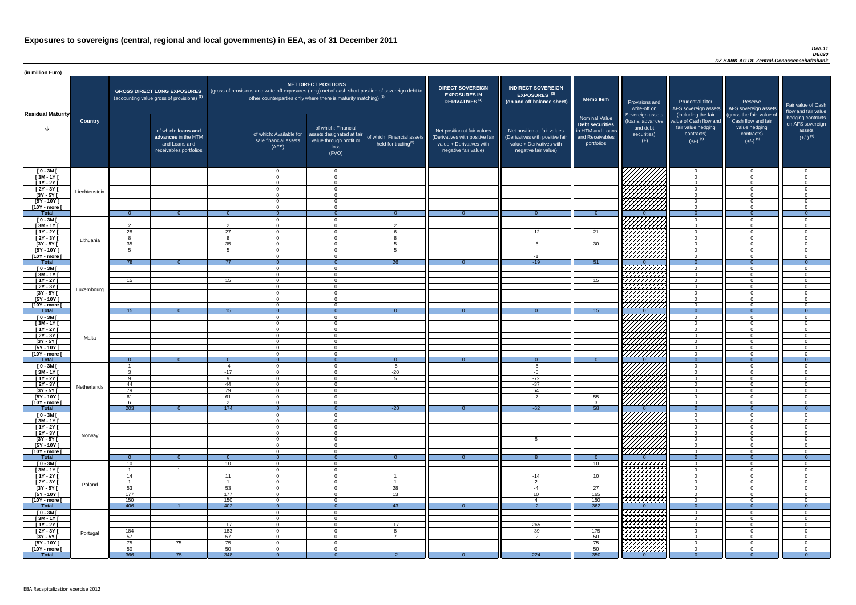#### *Dec-11 DE020 DZ BANK AG Dt. Zentral-Genossenschaftsbank*

| <b>DIRECT SOVEREIGN</b><br><b>EXPOSURES IN</b><br><b>DERIVATIVES<sup>(1)</sup></b><br>Net position at fair values<br>(Derivatives with positive fair<br>value + Derivatives with<br>negative fair value) | <b>INDIRECT SOVEREIGN</b><br><b>EXPOSURES<sup>(3)</sup></b><br>(on and off balance sheet)<br>Net position at fair values<br>(Derivatives with positive fair<br>value + Derivatives with<br>negative fair value) | <b>Memo Item</b><br><b>Nominal Value</b><br><b>Debt securities</b><br>in HTM and Loans<br>and Receivables<br>portfolios | Provisions and<br>write-off on<br>Sovereign assets<br>(loans, advances<br>and debt<br>securities)<br>$(+)$ | <b>Prudential filter</b><br>AFS sovereign assets<br>(including the fair<br>value of Cash flow and<br>fair value hedging<br>contracts)<br>$(+/-)$ <sup>(4)</sup> | Reserve<br>AFS sovereign assets<br>(gross the fair value of<br>Cash flow and fair<br>value hedging<br>contracts)<br>$(+/-)$ <sup>(4)</sup> | Fair value of Cash<br>flow and fair value<br>hedging contracts<br>on AFS sovereign<br>assets<br>$(+/-)$ <sup>(4)</sup> |
|----------------------------------------------------------------------------------------------------------------------------------------------------------------------------------------------------------|-----------------------------------------------------------------------------------------------------------------------------------------------------------------------------------------------------------------|-------------------------------------------------------------------------------------------------------------------------|------------------------------------------------------------------------------------------------------------|-----------------------------------------------------------------------------------------------------------------------------------------------------------------|--------------------------------------------------------------------------------------------------------------------------------------------|------------------------------------------------------------------------------------------------------------------------|
|                                                                                                                                                                                                          |                                                                                                                                                                                                                 |                                                                                                                         |                                                                                                            | $\overline{0}$                                                                                                                                                  | $\overline{0}$                                                                                                                             | $\overline{0}$                                                                                                         |
|                                                                                                                                                                                                          |                                                                                                                                                                                                                 |                                                                                                                         |                                                                                                            | $\mathbf 0$                                                                                                                                                     | $\mathbf 0$                                                                                                                                | $\mathbf 0$                                                                                                            |
|                                                                                                                                                                                                          |                                                                                                                                                                                                                 |                                                                                                                         |                                                                                                            | $\mathbf 0$                                                                                                                                                     | $\mathbf 0$                                                                                                                                | $\mathbf 0$                                                                                                            |
|                                                                                                                                                                                                          |                                                                                                                                                                                                                 |                                                                                                                         |                                                                                                            | $\mathbf 0$                                                                                                                                                     | $\mathbf 0$                                                                                                                                | $\overline{0}$                                                                                                         |
|                                                                                                                                                                                                          |                                                                                                                                                                                                                 |                                                                                                                         |                                                                                                            | $\mathbf 0$<br>$\mathbf 0$                                                                                                                                      | $\mathbf 0$<br>$\mathbf 0$                                                                                                                 | $\mathsf 0$<br>$\mathsf 0$                                                                                             |
|                                                                                                                                                                                                          |                                                                                                                                                                                                                 |                                                                                                                         |                                                                                                            | $\mathbf 0$                                                                                                                                                     | $\mathbf 0$                                                                                                                                | $\mathbf 0$                                                                                                            |
| $\overline{0}$                                                                                                                                                                                           | $\overline{0}$                                                                                                                                                                                                  | $\overline{0}$                                                                                                          | $\Omega$                                                                                                   | $\overline{0}$                                                                                                                                                  | $\overline{0}$                                                                                                                             | $\overline{0}$                                                                                                         |
|                                                                                                                                                                                                          |                                                                                                                                                                                                                 |                                                                                                                         |                                                                                                            | $\boldsymbol{0}$                                                                                                                                                | $\mathbf 0$                                                                                                                                | $\pmb{0}$                                                                                                              |
|                                                                                                                                                                                                          | $-12$                                                                                                                                                                                                           | 21                                                                                                                      |                                                                                                            | $\mathbf 0$<br>$\mathbf 0$                                                                                                                                      | $\mathbf 0$<br>$\mathbf 0$                                                                                                                 | $\pmb{0}$<br>$\mathbf 0$                                                                                               |
|                                                                                                                                                                                                          |                                                                                                                                                                                                                 |                                                                                                                         |                                                                                                            | $\mathbf 0$                                                                                                                                                     | $\mathbf 0$                                                                                                                                | $\mathsf 0$                                                                                                            |
|                                                                                                                                                                                                          | $-6$                                                                                                                                                                                                            | 30                                                                                                                      |                                                                                                            | $\mathbf 0$                                                                                                                                                     | $\mathbf 0$                                                                                                                                | $\mathsf 0$                                                                                                            |
|                                                                                                                                                                                                          |                                                                                                                                                                                                                 |                                                                                                                         |                                                                                                            | $\overline{0}$                                                                                                                                                  | $\mathbf 0$                                                                                                                                | $\mathbf 0$                                                                                                            |
| $\overline{0}$                                                                                                                                                                                           | $-1$<br>$-19$                                                                                                                                                                                                   | 51                                                                                                                      | $\Omega$                                                                                                   | $\mathbf 0$<br>$\overline{0}$                                                                                                                                   | $\mathbf 0$<br>$\overline{0}$                                                                                                              | $\mathbf 0$<br>$\overline{0}$                                                                                          |
|                                                                                                                                                                                                          |                                                                                                                                                                                                                 |                                                                                                                         |                                                                                                            | $\mathbf 0$                                                                                                                                                     | $\mathbf 0$                                                                                                                                | $\mathbf 0$                                                                                                            |
|                                                                                                                                                                                                          |                                                                                                                                                                                                                 |                                                                                                                         |                                                                                                            | $\mathbf 0$                                                                                                                                                     | $\mathbf 0$                                                                                                                                | $\mathbf 0$                                                                                                            |
|                                                                                                                                                                                                          |                                                                                                                                                                                                                 | 15                                                                                                                      |                                                                                                            | $\mathbf 0$                                                                                                                                                     | $\mathbf 0$                                                                                                                                | $\mathbf 0$                                                                                                            |
|                                                                                                                                                                                                          |                                                                                                                                                                                                                 |                                                                                                                         |                                                                                                            | $\mathbf 0$<br>$\mathbf 0$                                                                                                                                      | $\mathbf 0$<br>$\mathbf 0$                                                                                                                 | $\mathbf 0$<br>$\mathbf 0$                                                                                             |
|                                                                                                                                                                                                          |                                                                                                                                                                                                                 |                                                                                                                         |                                                                                                            | $\mathbf 0$                                                                                                                                                     | $\mathbf 0$                                                                                                                                | $\boldsymbol{0}$                                                                                                       |
|                                                                                                                                                                                                          |                                                                                                                                                                                                                 |                                                                                                                         |                                                                                                            | $\mathbf 0$                                                                                                                                                     | $\mathbf 0$                                                                                                                                | $\overline{0}$                                                                                                         |
| $\overline{0}$                                                                                                                                                                                           | $\overline{0}$                                                                                                                                                                                                  | 15                                                                                                                      | $\Omega$                                                                                                   | $\overline{0}$                                                                                                                                                  | $\overline{0}$                                                                                                                             | $\boldsymbol{0}$                                                                                                       |
|                                                                                                                                                                                                          |                                                                                                                                                                                                                 |                                                                                                                         |                                                                                                            | $\mathbf 0$<br>$\mathbf 0$                                                                                                                                      | $\mathbf 0$<br>$\mathbf 0$                                                                                                                 | $\pmb{0}$<br>$\pmb{0}$                                                                                                 |
|                                                                                                                                                                                                          |                                                                                                                                                                                                                 |                                                                                                                         |                                                                                                            | $\mathbf 0$                                                                                                                                                     | $\mathbf 0$                                                                                                                                | $\pmb{0}$                                                                                                              |
|                                                                                                                                                                                                          |                                                                                                                                                                                                                 |                                                                                                                         |                                                                                                            | $\mathbf 0$                                                                                                                                                     | $\pmb{0}$                                                                                                                                  | $\overline{0}$                                                                                                         |
|                                                                                                                                                                                                          |                                                                                                                                                                                                                 |                                                                                                                         |                                                                                                            | $\mathbf 0$                                                                                                                                                     | $\pmb{0}$                                                                                                                                  | $\mathbf 0$                                                                                                            |
|                                                                                                                                                                                                          |                                                                                                                                                                                                                 |                                                                                                                         |                                                                                                            | $\mathbf 0$                                                                                                                                                     | $\pmb{0}$<br>$\mathbf 0$                                                                                                                   | $\pmb{0}$<br>$\pmb{0}$                                                                                                 |
| $\overline{0}$                                                                                                                                                                                           | $\overline{0}$                                                                                                                                                                                                  | $\overline{0}$                                                                                                          | $\overline{0}$                                                                                             | $\mathbf 0$<br>$\overline{0}$                                                                                                                                   | $\overline{0}$                                                                                                                             | $\overline{0}$                                                                                                         |
|                                                                                                                                                                                                          | $-5$                                                                                                                                                                                                            |                                                                                                                         |                                                                                                            | $\mathbf 0$                                                                                                                                                     | $\mathsf 0$                                                                                                                                | 0                                                                                                                      |
|                                                                                                                                                                                                          | $-5$                                                                                                                                                                                                            |                                                                                                                         |                                                                                                            | $\mathbf 0$                                                                                                                                                     | $\mathbf 0$                                                                                                                                | $\pmb{0}$                                                                                                              |
|                                                                                                                                                                                                          | $-72$<br>$-37$                                                                                                                                                                                                  |                                                                                                                         |                                                                                                            | $\boldsymbol{0}$<br>$\boldsymbol{0}$                                                                                                                            | $\mathbf 0$<br>$\mathsf 0$                                                                                                                 | $\pmb{0}$<br>$\pmb{0}$                                                                                                 |
|                                                                                                                                                                                                          | 64                                                                                                                                                                                                              |                                                                                                                         |                                                                                                            | $\mathbf 0$                                                                                                                                                     | $\mathbf 0$                                                                                                                                | $\pmb{0}$                                                                                                              |
|                                                                                                                                                                                                          | $-7$                                                                                                                                                                                                            | 55                                                                                                                      |                                                                                                            | $\mathbf 0$                                                                                                                                                     | $\mathbf 0$                                                                                                                                | $\mathbf 0$                                                                                                            |
|                                                                                                                                                                                                          |                                                                                                                                                                                                                 | 3                                                                                                                       |                                                                                                            | $\mathbf 0$                                                                                                                                                     | $\mathbf 0$                                                                                                                                | 0                                                                                                                      |
| $\overline{0}$                                                                                                                                                                                           | $-62$                                                                                                                                                                                                           | $\overline{58}$                                                                                                         | $\overline{0}$                                                                                             | $\overline{0}$                                                                                                                                                  | $\overline{0}$                                                                                                                             | $\overline{0}$                                                                                                         |
|                                                                                                                                                                                                          |                                                                                                                                                                                                                 |                                                                                                                         |                                                                                                            | $\mathbf 0$<br>$\mathbf 0$                                                                                                                                      | $\mathbf 0$<br>$\mathbf 0$                                                                                                                 | 0<br>$\pmb{0}$                                                                                                         |
|                                                                                                                                                                                                          |                                                                                                                                                                                                                 |                                                                                                                         |                                                                                                            | $\mathbf 0$                                                                                                                                                     | $\mathbf 0$                                                                                                                                | $\mathbf 0$                                                                                                            |
|                                                                                                                                                                                                          |                                                                                                                                                                                                                 |                                                                                                                         |                                                                                                            | $\mathbf 0$                                                                                                                                                     | $\mathbf 0$                                                                                                                                | $\mathbf 0$                                                                                                            |
|                                                                                                                                                                                                          | 8                                                                                                                                                                                                               |                                                                                                                         |                                                                                                            | $\mathbf 0$                                                                                                                                                     | $\mathbf 0$<br>$\mathbf 0$                                                                                                                 | 0                                                                                                                      |
|                                                                                                                                                                                                          |                                                                                                                                                                                                                 |                                                                                                                         |                                                                                                            | $\mathbf 0$<br>$\boldsymbol{0}$                                                                                                                                 | $\pmb{0}$                                                                                                                                  | $\pmb{0}$<br>$\pmb{0}$                                                                                                 |
| $\overline{0}$                                                                                                                                                                                           | 8                                                                                                                                                                                                               | $\overline{0}$                                                                                                          | $\overline{0}$                                                                                             | $\overline{0}$                                                                                                                                                  | $\overline{0}$                                                                                                                             | $\overline{0}$                                                                                                         |
|                                                                                                                                                                                                          |                                                                                                                                                                                                                 | 10                                                                                                                      |                                                                                                            | $\mathbf 0$                                                                                                                                                     | $\mathbf 0$                                                                                                                                | $\mathsf 0$                                                                                                            |
|                                                                                                                                                                                                          |                                                                                                                                                                                                                 |                                                                                                                         |                                                                                                            | $\mathbf 0$                                                                                                                                                     | $\mathbf 0$                                                                                                                                | $\pmb{0}$                                                                                                              |
|                                                                                                                                                                                                          | $-14$<br>$\overline{2}$                                                                                                                                                                                         | 10                                                                                                                      |                                                                                                            | $\mathbf 0$<br>$\mathbf 0$                                                                                                                                      | $\mathbf 0$<br>$\mathbf 0$                                                                                                                 | $\mathbf 0$<br>$\pmb{0}$                                                                                               |
|                                                                                                                                                                                                          | $-4$                                                                                                                                                                                                            | 27                                                                                                                      |                                                                                                            | $\pmb{0}$                                                                                                                                                       | $\mathbf 0$                                                                                                                                | $\pmb{0}$                                                                                                              |
|                                                                                                                                                                                                          | 10                                                                                                                                                                                                              | 165                                                                                                                     |                                                                                                            | $\mathbf 0$                                                                                                                                                     | $\mathbf 0$                                                                                                                                | $\pmb{0}$                                                                                                              |
|                                                                                                                                                                                                          | 4                                                                                                                                                                                                               | 150                                                                                                                     |                                                                                                            | $\mathbf 0$                                                                                                                                                     | $\mathbf 0$                                                                                                                                | $\pmb{0}$                                                                                                              |
| $\overline{0}$                                                                                                                                                                                           | $-2$                                                                                                                                                                                                            | 362                                                                                                                     | $\overline{0}$                                                                                             | $\overline{0}$<br>$\mathbf 0$                                                                                                                                   | $\overline{0}$<br>$\mathbf 0$                                                                                                              | $\overline{0}$<br>0                                                                                                    |
|                                                                                                                                                                                                          |                                                                                                                                                                                                                 |                                                                                                                         |                                                                                                            | $\Omega$                                                                                                                                                        | $\Omega$                                                                                                                                   | $\mathbf 0$                                                                                                            |
|                                                                                                                                                                                                          | 265                                                                                                                                                                                                             |                                                                                                                         |                                                                                                            | $\mathbf 0$                                                                                                                                                     | $\pmb{0}$                                                                                                                                  | $\boldsymbol{0}$                                                                                                       |
|                                                                                                                                                                                                          | $-39$                                                                                                                                                                                                           | 175                                                                                                                     |                                                                                                            | $\mathbf 0$                                                                                                                                                     | $\boldsymbol{0}$                                                                                                                           | $\pmb{0}$                                                                                                              |
|                                                                                                                                                                                                          | $-2$                                                                                                                                                                                                            | 50<br>75                                                                                                                |                                                                                                            | $\mathbf 0$<br>$\overline{0}$                                                                                                                                   | $\pmb{0}$<br>$\pmb{0}$                                                                                                                     | $\pmb{0}$<br>$\pmb{0}$                                                                                                 |
|                                                                                                                                                                                                          |                                                                                                                                                                                                                 | 50                                                                                                                      |                                                                                                            | $\mathbf 0$                                                                                                                                                     | $\boldsymbol{0}$                                                                                                                           | $\mathbf 0$                                                                                                            |
| $\overline{0}$                                                                                                                                                                                           | 224                                                                                                                                                                                                             | 350                                                                                                                     | $\overline{0}$                                                                                             | $\overline{0}$                                                                                                                                                  | $\overline{0}$                                                                                                                             | $\overline{0}$                                                                                                         |

| (in million Euro)                   |                |                    |                                                                                             |                 |                                                                   |                                                                                              |                                                                                                     |                                                                                                                    |                                                                                                                    |                                                                                       |                                                                          |                                                                                                             |                                                                                                         |                                                   |
|-------------------------------------|----------------|--------------------|---------------------------------------------------------------------------------------------|-----------------|-------------------------------------------------------------------|----------------------------------------------------------------------------------------------|-----------------------------------------------------------------------------------------------------|--------------------------------------------------------------------------------------------------------------------|--------------------------------------------------------------------------------------------------------------------|---------------------------------------------------------------------------------------|--------------------------------------------------------------------------|-------------------------------------------------------------------------------------------------------------|---------------------------------------------------------------------------------------------------------|---------------------------------------------------|
| <b>Residual Maturity</b>            |                |                    | <b>GROSS DIRECT LONG EXPOSURES</b><br>(accounting value gross of provisions) <sup>(1)</sup> |                 | other counterparties only where there is maturity matching) $(1)$ | <b>NET DIRECT POSITIONS</b>                                                                  | (gross of provisions and write-off exposures (long) net of cash short position of sovereign debt to | <b>DIRECT SOVEREIGN</b><br><b>EXPOSURES IN</b><br><b>DERIVATIVES<sup>(1)</sup></b>                                 | <b>INDIRECT SOVEREIGN</b><br><b>EXPOSURES<sup>(3)</sup></b><br>(on and off balance sheet)                          | <b>Memo Item</b>                                                                      | Provisions and<br>write-off on                                           | <b>Prudential filter</b><br>AFS sovereign assets                                                            | Reserve<br>AFS sovereign assets                                                                         | Fair value<br>flow and f                          |
|                                     | <b>Country</b> |                    | of which: loans and<br>advances in the HTM<br>and Loans and<br>receivables portfolios       |                 | of which: Available for<br>sale financial assets<br>(AFS)         | of which: Financial<br>assets designated at fair<br>value through profit or<br>loss<br>(FVO) | of which: Financial assets<br>held for trading <sup>(2)</sup>                                       | Net position at fair values<br>(Derivatives with positive fair<br>value + Derivatives with<br>negative fair value) | Net position at fair values<br>(Derivatives with positive fair<br>value + Derivatives with<br>negative fair value) | Nominal Value<br>Debt securities<br>in HTM and Loans<br>and Receivables<br>portfolios | Sovereign assets<br>(loans, advances<br>and debt<br>securities)<br>$(+)$ | (including the fair<br>value of Cash flow and<br>fair value hedging<br>contracts)<br>$(+/-)$ <sup>(4)</sup> | (gross the fair value of<br>Cash flow and fair<br>value hedging<br>contracts)<br>$(+/-)$ <sup>(4)</sup> | hedging o<br>on AFS <sub>s</sub><br>ass<br>$(+/-$ |
| $[0 - 3M]$                          |                |                    |                                                                                             |                 | $\Omega$                                                          | $\Omega$                                                                                     |                                                                                                     |                                                                                                                    |                                                                                                                    |                                                                                       |                                                                          | $\Omega$                                                                                                    | $\overline{0}$                                                                                          |                                                   |
| $[3M-1Y]$<br>$[1Y - 2Y]$            |                |                    |                                                                                             |                 | $\Omega$<br>$\Omega$                                              | $\Omega$<br>$\Omega$                                                                         |                                                                                                     |                                                                                                                    |                                                                                                                    |                                                                                       |                                                                          | $\Omega$<br>$\Omega$                                                                                        | $\Omega$<br>$\Omega$                                                                                    |                                                   |
| $[2Y - 3Y]$                         | Liechtenstein  |                    |                                                                                             |                 | $\Omega$                                                          | $\Omega$                                                                                     |                                                                                                     |                                                                                                                    |                                                                                                                    |                                                                                       | HAAAN.                                                                   | $\Omega$                                                                                                    | $\Omega$                                                                                                |                                                   |
| $[3Y - 5Y]$<br>$[5Y - 10Y]$         |                |                    |                                                                                             |                 | $\Omega$<br>$\overline{0}$                                        | $\Omega$<br>$\Omega$                                                                         |                                                                                                     |                                                                                                                    |                                                                                                                    |                                                                                       |                                                                          | $\Omega$<br>$\Omega$                                                                                        | $\Omega$<br>$\Omega$                                                                                    |                                                   |
| [10Y - more [                       |                |                    |                                                                                             |                 | $\Omega$                                                          | $\Omega$                                                                                     |                                                                                                     |                                                                                                                    |                                                                                                                    |                                                                                       | HHHH                                                                     | $\overline{0}$                                                                                              | $\Omega$                                                                                                |                                                   |
| <b>Total</b><br>$[0 - 3M]$          |                | $\overline{0}$     | റ                                                                                           | $\Omega$        | $\Omega$<br>$\Omega$                                              | - വ<br>$\Omega$                                                                              | $\Omega$                                                                                            |                                                                                                                    |                                                                                                                    | $\Omega$                                                                              |                                                                          | $\overline{0}$<br>$\Omega$                                                                                  | $\Omega$<br>$\Omega$                                                                                    |                                                   |
| $[3M - 1Y]$                         |                | $\overline{2}$     |                                                                                             | $\overline{2}$  | $\Omega$                                                          | $\Omega$                                                                                     | $\mathcal{P}$                                                                                       |                                                                                                                    |                                                                                                                    |                                                                                       |                                                                          | $\Omega$                                                                                                    | $\Omega$                                                                                                |                                                   |
| $[1Y - 2Y]$                         |                | 28                 |                                                                                             | 27              | $\Omega$                                                          | $\Omega$                                                                                     |                                                                                                     |                                                                                                                    | $-12$                                                                                                              | 21                                                                                    |                                                                          | $\Omega$                                                                                                    | $\Omega$                                                                                                |                                                   |
| $[2Y - 3Y]$<br>$[3Y - 5Y]$          | Lithuania      | $\mathsf{R}$<br>35 |                                                                                             | -8<br>35        | $\Omega$<br>$\Omega$                                              | $\Omega$<br>$\Omega$                                                                         | -5                                                                                                  |                                                                                                                    | -6                                                                                                                 | 30 <sup>7</sup>                                                                       |                                                                          | $\Omega$<br>$\Omega$                                                                                        | $\Omega$<br>$\Omega$                                                                                    |                                                   |
| [5Y - 10Y [                         |                |                    |                                                                                             | _ 5             | $\Omega$                                                          | $\Omega$                                                                                     |                                                                                                     |                                                                                                                    |                                                                                                                    |                                                                                       |                                                                          | $\Omega$                                                                                                    | $\Omega$                                                                                                |                                                   |
| [10Y - more [<br><b>Total</b>       |                | 78                 | - റ                                                                                         | 77              | $\Omega$<br>$\Omega$                                              | $\Omega$<br>$\Omega$                                                                         | $\overline{26}$                                                                                     |                                                                                                                    | $-19$                                                                                                              | $-51$                                                                                 | 777777777                                                                | $\overline{0}$<br>$\Omega$                                                                                  | $\Omega$<br>$\Omega$                                                                                    |                                                   |
| $[0 - 3M]$                          |                |                    |                                                                                             |                 | $\Omega$                                                          | $\Omega$                                                                                     |                                                                                                     |                                                                                                                    |                                                                                                                    |                                                                                       | 77777777                                                                 | $\Omega$                                                                                                    | $\Omega$                                                                                                |                                                   |
| $[3M - 1Y]$<br>$[1Y - 2Y]$          |                | 15                 |                                                                                             | 15              | $\Omega$<br>$\overline{0}$                                        | $\Omega$<br>$\Omega$                                                                         |                                                                                                     |                                                                                                                    |                                                                                                                    | 15                                                                                    |                                                                          | $\Omega$<br>$\Omega$                                                                                        | $\Omega$<br>$\overline{0}$                                                                              |                                                   |
| $[2Y - 3Y]$                         | Luxembourg     |                    |                                                                                             |                 | $\Omega$                                                          | $\Omega$                                                                                     |                                                                                                     |                                                                                                                    |                                                                                                                    |                                                                                       | <i>ИЩИА</i>                                                              | $\Omega$                                                                                                    | $\Omega$                                                                                                |                                                   |
| $[3Y - 5Y]$<br>$[5Y - 10Y]$         |                |                    |                                                                                             |                 | $\overline{0}$                                                    | $\overline{0}$                                                                               |                                                                                                     |                                                                                                                    |                                                                                                                    |                                                                                       |                                                                          | 0<br>$\Omega$                                                                                               | $\Omega$                                                                                                |                                                   |
| [10Y - more [                       |                |                    |                                                                                             |                 | $\Omega$                                                          | $\Omega$                                                                                     |                                                                                                     |                                                                                                                    |                                                                                                                    |                                                                                       | Hittittik                                                                | $\Omega$                                                                                                    | $\Omega$                                                                                                |                                                   |
| <b>Total</b>                        |                | 15 <sub>1</sub>    | - 0 -                                                                                       | 15 <sub>1</sub> | $\Omega$                                                          | $\Omega$                                                                                     | $\Omega$                                                                                            |                                                                                                                    | $\Omega$                                                                                                           | 15 <sub>1</sub>                                                                       |                                                                          | $\Omega$                                                                                                    | $\Omega$                                                                                                |                                                   |
| $[0 - 3M]$<br>$[3M - 1Y]$           |                |                    |                                                                                             |                 | $\overline{0}$<br>$\Omega$                                        | $\Omega$<br>$\Omega$                                                                         |                                                                                                     |                                                                                                                    |                                                                                                                    |                                                                                       |                                                                          | $\Omega$<br>$\Omega$                                                                                        | $\Omega$<br>$\Omega$                                                                                    |                                                   |
| $[1Y - 2Y]$                         |                |                    |                                                                                             |                 | $\overline{0}$                                                    | $\Omega$                                                                                     |                                                                                                     |                                                                                                                    |                                                                                                                    |                                                                                       |                                                                          | $\overline{0}$                                                                                              | $\Omega$                                                                                                |                                                   |
| $[2Y - 3Y]$<br>$[3Y - 5Y]$          | Malta          |                    |                                                                                             |                 | $\overline{0}$<br>$\overline{0}$                                  | $\Omega$<br>$\Omega$                                                                         |                                                                                                     |                                                                                                                    |                                                                                                                    |                                                                                       | HAHA<br>HAHA                                                             | $\Omega$<br>$\overline{0}$                                                                                  | $\Omega$<br>$\Omega$                                                                                    |                                                   |
| $[5Y - 10Y]$                        |                |                    |                                                                                             |                 | $\overline{0}$                                                    | $\overline{0}$                                                                               |                                                                                                     |                                                                                                                    |                                                                                                                    |                                                                                       |                                                                          | $\overline{0}$                                                                                              | $\overline{0}$                                                                                          |                                                   |
| [10Y - more [<br><b>Total</b>       |                | $\overline{0}$     | $\overline{0}$                                                                              | $\Omega$        | $\overline{0}$<br>$\overline{0}$                                  | $\Omega$<br>$\Omega$                                                                         | $\overline{0}$                                                                                      |                                                                                                                    | $\Omega$                                                                                                           | $\Omega$                                                                              |                                                                          | $\overline{0}$<br>$\overline{0}$                                                                            | $\Omega$<br>$\Omega$                                                                                    |                                                   |
| $[0 - 3M]$                          |                |                    |                                                                                             | -4              | $\overline{0}$                                                    | $\Omega$                                                                                     | $-5$                                                                                                |                                                                                                                    | $-5$                                                                                                               |                                                                                       | 777777                                                                   | $\Omega$                                                                                                    | $\Omega$                                                                                                |                                                   |
| $[3M - 1Y]$<br>$[1Y - 2Y]$          |                | <b>Q</b>           |                                                                                             | $-17$<br>-9     | $\Omega$<br>$\overline{0}$                                        | $\Omega$<br>$\Omega$                                                                         | $-20$<br>$5\overline{5}$                                                                            |                                                                                                                    | $-5$<br>$-72$                                                                                                      |                                                                                       | 77777777                                                                 | $\Omega$<br>$\Omega$                                                                                        | $\Omega$<br>$\Omega$                                                                                    |                                                   |
| $[2Y - 3Y]$                         | Netherlands    | 44                 |                                                                                             | 44              | $\overline{0}$                                                    | $\overline{0}$                                                                               |                                                                                                     |                                                                                                                    | $-37$                                                                                                              |                                                                                       | V/////////                                                               | $\Omega$                                                                                                    | $\Omega$                                                                                                |                                                   |
| $[3Y - 5Y]$                         |                | 79                 |                                                                                             | 79              | $\Omega$                                                          | $\Omega$                                                                                     |                                                                                                     |                                                                                                                    | 64                                                                                                                 |                                                                                       | HHHA                                                                     | $\Omega$                                                                                                    | $\Omega$<br>$\Omega$                                                                                    |                                                   |
| $[5Y - 10Y]$<br>$\sqrt{10Y - more}$ |                | 61<br>- 6          |                                                                                             | 61<br>2         | $\overline{0}$<br>$\Omega$                                        | $\Omega$<br>$\Omega$                                                                         |                                                                                                     |                                                                                                                    | $-7$                                                                                                               | 55<br>-3                                                                              | 7777777                                                                  | $\overline{0}$<br>$\overline{0}$                                                                            | $\Omega$                                                                                                |                                                   |
| <b>Total</b>                        |                | 203                | $\overline{0}$                                                                              | 174             | $\overline{0}$                                                    | - 0                                                                                          | $-20$                                                                                               |                                                                                                                    | $-62$                                                                                                              | 58                                                                                    |                                                                          | $\overline{0}$                                                                                              | $\Omega$                                                                                                |                                                   |
| $[0 - 3M]$<br>$[3M - 1Y]$           |                |                    |                                                                                             |                 | $\overline{0}$<br>$\overline{0}$                                  | $\Omega$<br>$\Omega$                                                                         |                                                                                                     |                                                                                                                    |                                                                                                                    |                                                                                       | 777777777<br><i>ЧНННА</i>                                                | $\Omega$<br>$\overline{0}$                                                                                  | $\Omega$<br>$\overline{0}$                                                                              |                                                   |
| $[1Y - 2Y]$                         |                |                    |                                                                                             |                 | $\Omega$                                                          | $\Omega$                                                                                     |                                                                                                     |                                                                                                                    |                                                                                                                    |                                                                                       | UHHH                                                                     | $\Omega$                                                                                                    | $\Omega$                                                                                                |                                                   |
| $[2Y - 3Y]$<br>$[3Y - 5Y]$          | Norway         |                    |                                                                                             |                 | $\overline{0}$<br>$\Omega$                                        | $\Omega$<br>$\Omega$                                                                         |                                                                                                     |                                                                                                                    | 8                                                                                                                  |                                                                                       |                                                                          | $\Omega$<br>$\Omega$                                                                                        | $\Omega$<br>$\Omega$                                                                                    |                                                   |
| $[5Y - 10Y]$                        |                |                    |                                                                                             |                 | $\Omega$                                                          | $\Omega$                                                                                     |                                                                                                     |                                                                                                                    |                                                                                                                    |                                                                                       | HAHA K                                                                   | $\Omega$                                                                                                    | $\Omega$                                                                                                |                                                   |
| [10Y - more ]<br><b>Total</b>       |                | $\Omega$           | -0                                                                                          | $\Omega$        | $\overline{0}$<br>$\Omega$                                        | $\Omega$                                                                                     | $\Omega$                                                                                            |                                                                                                                    |                                                                                                                    | $\Omega$                                                                              |                                                                          | $\Omega$<br>$\overline{0}$                                                                                  | $\Omega$<br>$\Omega$                                                                                    |                                                   |
| $[0 - 3M]$                          |                | 10                 |                                                                                             | 10 <sup>1</sup> | $\Omega$                                                          | $\Omega$                                                                                     |                                                                                                     |                                                                                                                    |                                                                                                                    | 10 <sup>1</sup>                                                                       |                                                                          | $\Omega$                                                                                                    | $\Omega$                                                                                                |                                                   |
| $[3M - 1Y]$                         |                |                    |                                                                                             |                 | $\Omega$                                                          | $\Omega$                                                                                     |                                                                                                     |                                                                                                                    |                                                                                                                    |                                                                                       | FIFIFIA                                                                  | $\overline{0}$                                                                                              | $\Omega$<br>$\Omega$                                                                                    |                                                   |
| $[1Y - 2Y]$<br>$[2Y - 3Y]$          | Poland         | 14                 |                                                                                             | 11<br>- 1       | $\overline{0}$<br>$\Omega$                                        | $\Omega$<br>$\Omega$                                                                         | $\overline{1}$                                                                                      |                                                                                                                    | $-14$<br>$\overline{2}$                                                                                            | 10 <sup>°</sup>                                                                       |                                                                          | $\overline{0}$<br>$\overline{0}$                                                                            | $\Omega$                                                                                                |                                                   |
| $[3Y - 5Y]$                         |                | 53                 |                                                                                             | 53              | $\Omega$                                                          | $\Omega$                                                                                     | 28                                                                                                  |                                                                                                                    | -4                                                                                                                 | 27                                                                                    | HAAAA<br>HAAAAA                                                          | $\Omega$                                                                                                    | $\Omega$                                                                                                |                                                   |
| $[5Y - 10Y]$<br>[10Y - more [       |                | 177<br>150         |                                                                                             | 177<br>150      | $\overline{0}$<br>$\overline{0}$                                  | $\overline{0}$<br>$\Omega$                                                                   | 13                                                                                                  |                                                                                                                    | 10 <sup>1</sup>                                                                                                    | 165<br>150                                                                            |                                                                          | $\overline{0}$<br>$\overline{0}$                                                                            | $\Omega$<br>$\Omega$                                                                                    |                                                   |
| <b>Total</b>                        |                | 406                |                                                                                             | 402             | $\overline{0}$                                                    | $\Omega$                                                                                     | 43                                                                                                  | $\Omega$                                                                                                           | $-2$                                                                                                               | 362                                                                                   |                                                                          | $\overline{0}$                                                                                              | - 0                                                                                                     |                                                   |
| $[0 - 3M]$<br>$[3M - 1Y]$           |                |                    |                                                                                             |                 | $\Omega$<br>$\overline{0}$                                        | $\Omega$<br>$\overline{0}$                                                                   |                                                                                                     |                                                                                                                    |                                                                                                                    |                                                                                       | <i>VIIIIIII</i>                                                          | $\Omega$<br>$\Omega$                                                                                        | $\Omega$<br>$\Omega$                                                                                    |                                                   |
| $[1Y - 2Y]$                         |                |                    |                                                                                             | $-17$           | $\Omega$                                                          | $\overline{0}$                                                                               | $-17$                                                                                               |                                                                                                                    | 265                                                                                                                |                                                                                       | <i>VIIIIIA</i>                                                           | $\Omega$                                                                                                    | $\Omega$                                                                                                |                                                   |
| $[2Y - 3Y]$<br>$[3Y - 5Y]$          | Portugal       | 184<br>57          |                                                                                             | 183<br>57       | $\overline{0}$<br>$\Omega$                                        | $\overline{0}$<br>$\overline{0}$                                                             | 8<br>$\overline{7}$                                                                                 |                                                                                                                    | $-39$<br>$-2$                                                                                                      | 175<br>50                                                                             |                                                                          | $\overline{0}$<br>$\Omega$                                                                                  | $\Omega$<br>$\Omega$                                                                                    |                                                   |
| $[5Y - 10Y]$                        |                | 75                 | 75                                                                                          | 75              | $\Omega$                                                          | $\Omega$                                                                                     |                                                                                                     |                                                                                                                    |                                                                                                                    | 75                                                                                    | HAAA K                                                                   | $\overline{0}$                                                                                              | $\Omega$                                                                                                |                                                   |
| [10Y - more [<br><b>Total</b>       |                | 50<br>366          | 75                                                                                          | 50<br>348       | $\overline{0}$<br>$\Omega$                                        | $\overline{0}$<br>- 0                                                                        | $-2$                                                                                                |                                                                                                                    | 224                                                                                                                | 50<br>350                                                                             |                                                                          | $\overline{0}$<br>$\Omega$                                                                                  | $\Omega$<br>$\Omega$                                                                                    |                                                   |
|                                     |                |                    |                                                                                             |                 |                                                                   |                                                                                              |                                                                                                     |                                                                                                                    |                                                                                                                    |                                                                                       |                                                                          |                                                                                                             |                                                                                                         |                                                   |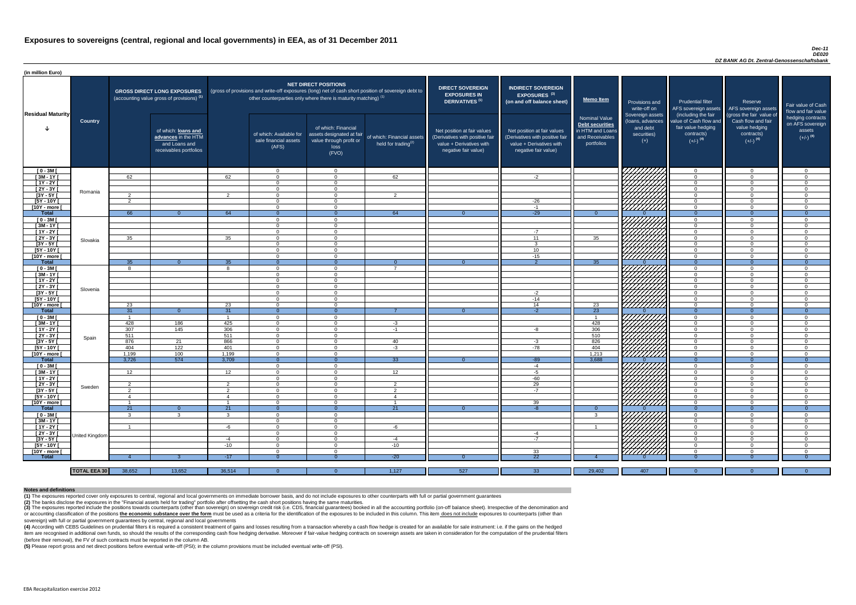#### *Dec-11 DE020 DZ BANK AG Dt. Zentral-Genossenschaftsbank*

(4) According with CEBS Guidelines on prudential filters it is required a consistent treatment of gains and losses resulting from a transaction whereby a cash flow hedge is created for an available for sale instrument: i.e item are recognised in additional own funds, so should the results of the corresponding cash flow hedging derivative. Moreover if fair-value hedging contracts on sovereign assets are taken in consideration for the computat (before their removal), the FV of such contracts must be reported in the column AB.

| (in million Euro)             |                     |                     |                                                                                              |                 |                                                                            |                                                                                              |                                                                                                     |                                                                                                                    |                                                                                                                    |                                                                                              |                                                                             |                                                                                                             |                                                                                                         |                                                                           |
|-------------------------------|---------------------|---------------------|----------------------------------------------------------------------------------------------|-----------------|----------------------------------------------------------------------------|----------------------------------------------------------------------------------------------|-----------------------------------------------------------------------------------------------------|--------------------------------------------------------------------------------------------------------------------|--------------------------------------------------------------------------------------------------------------------|----------------------------------------------------------------------------------------------|-----------------------------------------------------------------------------|-------------------------------------------------------------------------------------------------------------|---------------------------------------------------------------------------------------------------------|---------------------------------------------------------------------------|
| <b>Residual Maturity</b>      |                     |                     | <b>GROSS DIRECT LONG EXPOSURES</b><br>(accounting value gross of provisions) <sup>(1)</sup>  |                 | other counterparties only where there is maturity matching) <sup>(1)</sup> | <b>NET DIRECT POSITIONS</b>                                                                  | (gross of provisions and write-off exposures (long) net of cash short position of sovereign debt to | <b>DIRECT SOVEREIGN</b><br><b>EXPOSURES IN</b><br>DERIVATIVES <sup>(1)</sup>                                       | <b>INDIRECT SOVEREIGN</b><br><b>EXPOSURES<sup>(3)</sup></b><br>(on and off balance sheet)                          | <b>Memo Item</b>                                                                             | Provisions and<br>write-off on                                              | <b>Prudential filter</b><br>AFS sovereign assets                                                            | Reserve<br>AFS sovereign assets                                                                         | Fair value of Cash<br>flow and fair value                                 |
|                               | <b>Country</b>      |                     | of which: <b>loans and</b><br>advances in the HTM<br>and Loans and<br>receivables portfolios |                 | of which: Available for<br>sale financial assets<br>(AFS)                  | of which: Financial<br>assets designated at fair<br>value through profit or<br>loss<br>(FVO) | of which: Financial assets<br>held for trading $(2)$                                                | Net position at fair values<br>(Derivatives with positive fair<br>value + Derivatives with<br>negative fair value) | Net position at fair values<br>(Derivatives with positive fair<br>value + Derivatives with<br>negative fair value) | <b>Nominal Value</b><br>Debt securities<br>in HTM and Loans<br>and Receivables<br>portfolios | Sovereign assets<br>(loans, advances<br>and debt<br>securities)<br>$^{(+)}$ | (including the fair<br>value of Cash flow and<br>fair value hedging<br>contracts)<br>$(+/-)$ <sup>(4)</sup> | (gross the fair value of<br>Cash flow and fair<br>value hedging<br>contracts)<br>$(+/-)$ <sup>(4)</sup> | hedging contracts<br>on AFS sovereign<br>assets<br>$(+/-)$ <sup>(4)</sup> |
| $[0 - 3M]$                    |                     |                     |                                                                                              |                 | $\overline{0}$                                                             | $\Omega$                                                                                     |                                                                                                     |                                                                                                                    |                                                                                                                    |                                                                                              | VIIIIIIII                                                                   | $\overline{0}$                                                                                              | - വ                                                                                                     | $\overline{0}$                                                            |
| $[3M-1Y]$                     |                     | 62                  |                                                                                              | 62              | $\Omega$                                                                   | $\cap$                                                                                       | 62                                                                                                  |                                                                                                                    | $-2$                                                                                                               |                                                                                              |                                                                             | $\overline{0}$                                                                                              | റ                                                                                                       | $\overline{0}$                                                            |
| $[1Y - 2Y]$                   |                     |                     |                                                                                              |                 | $\Omega$                                                                   | $\Omega$                                                                                     |                                                                                                     |                                                                                                                    |                                                                                                                    |                                                                                              |                                                                             | $\overline{0}$                                                                                              | $\Omega$                                                                                                | $\overline{0}$                                                            |
| $[2Y - 3Y]$                   | Romania             |                     |                                                                                              |                 | $\Omega$                                                                   | $\Omega$                                                                                     |                                                                                                     |                                                                                                                    |                                                                                                                    |                                                                                              |                                                                             | $\overline{0}$                                                                                              | $\Omega$                                                                                                | $\overline{0}$                                                            |
| $[3Y - 5Y]$<br>$[5Y - 10Y]$   |                     | 2<br>$\overline{2}$ |                                                                                              | 2               | $\Omega$<br>$\Omega$                                                       | $\Omega$<br>$\Omega$                                                                         | $\overline{2}$                                                                                      |                                                                                                                    | $-26$                                                                                                              |                                                                                              |                                                                             | $\overline{0}$<br>$\overline{0}$                                                                            | റ<br>$\cap$                                                                                             | $\Omega$<br>$\Omega$                                                      |
| [10Y - more [                 |                     |                     |                                                                                              |                 | $\Omega$                                                                   | $\cap$                                                                                       |                                                                                                     |                                                                                                                    | $-1$                                                                                                               |                                                                                              | (HHHA)                                                                      | $\overline{0}$                                                                                              | $\cap$                                                                                                  | $\Omega$                                                                  |
| <b>Total</b>                  |                     | 66                  | $\Omega$                                                                                     | 64              | - 0                                                                        |                                                                                              | 64                                                                                                  |                                                                                                                    | $-29$                                                                                                              | $\Omega$                                                                                     |                                                                             | $\Omega$                                                                                                    |                                                                                                         | $\Omega$                                                                  |
| $[0 - 3M]$                    |                     |                     |                                                                                              |                 | $\Omega$                                                                   | $\Omega$                                                                                     |                                                                                                     |                                                                                                                    |                                                                                                                    |                                                                                              |                                                                             | $\overline{0}$                                                                                              |                                                                                                         | $\Omega$                                                                  |
| $[3M - 1Y]$                   |                     |                     |                                                                                              |                 | $\Omega$                                                                   | $\cap$                                                                                       |                                                                                                     |                                                                                                                    |                                                                                                                    |                                                                                              |                                                                             | $\overline{0}$                                                                                              | $\cap$                                                                                                  | $\Omega$                                                                  |
| $[1Y - 2Y]$                   |                     |                     |                                                                                              |                 | $\Omega$                                                                   | $\Omega$                                                                                     |                                                                                                     |                                                                                                                    | $-7$                                                                                                               |                                                                                              |                                                                             | $\overline{0}$                                                                                              | $\cap$                                                                                                  | $\Omega$                                                                  |
| $[2Y - 3Y]$                   | Slovakia            | 35                  |                                                                                              | 35              | $\Omega$                                                                   | $\Omega$                                                                                     |                                                                                                     |                                                                                                                    | 11                                                                                                                 | 35                                                                                           | HAHAHA S                                                                    | $\overline{0}$                                                                                              | $\cap$                                                                                                  | $\Omega$                                                                  |
| $[3Y - 5Y]$                   |                     |                     |                                                                                              |                 | $\Omega$                                                                   | $\Omega$                                                                                     |                                                                                                     |                                                                                                                    | $\mathcal{R}$                                                                                                      |                                                                                              |                                                                             | $\overline{0}$                                                                                              | $\cap$                                                                                                  | $\Omega$                                                                  |
| [5Y - 10Y [                   |                     |                     |                                                                                              |                 | $\Omega$                                                                   | $\Omega$                                                                                     |                                                                                                     |                                                                                                                    | 10 <sup>°</sup>                                                                                                    |                                                                                              |                                                                             | $\overline{0}$                                                                                              | $\Omega$                                                                                                | $\Omega$                                                                  |
| [10Y - more [                 |                     |                     |                                                                                              |                 | $\Omega$                                                                   | $\cap$                                                                                       |                                                                                                     |                                                                                                                    | $-15$                                                                                                              |                                                                                              |                                                                             | $\overline{0}$                                                                                              | $\Omega$                                                                                                | $\overline{0}$                                                            |
| Total                         |                     | 35                  | $\overline{0}$                                                                               | 35              | - 0                                                                        | $\Omega$                                                                                     | $\Omega$                                                                                            | - ೧                                                                                                                | $\overline{2}$                                                                                                     | 35                                                                                           |                                                                             | $\Omega$                                                                                                    | $\Omega$<br>$\Omega$                                                                                    | $\Omega$                                                                  |
| $[0 - 3M]$                    |                     | 8                   |                                                                                              | $\mathbf{8}$    | $\Omega$                                                                   | $\Omega$                                                                                     | $\overline{7}$                                                                                      |                                                                                                                    |                                                                                                                    |                                                                                              |                                                                             | $\overline{0}$                                                                                              |                                                                                                         | $\overline{0}$                                                            |
| $[3M - 1Y]$<br>$[1Y - 2Y]$    |                     |                     |                                                                                              |                 | $\Omega$<br>$\Omega$                                                       | $\Omega$<br>$\Omega$                                                                         |                                                                                                     |                                                                                                                    |                                                                                                                    |                                                                                              |                                                                             | $\overline{0}$<br>$\overline{0}$                                                                            |                                                                                                         | $\Omega$<br>$\Omega$                                                      |
| $\boxed{2Y - 3Y}$             |                     |                     |                                                                                              |                 | $\Omega$                                                                   |                                                                                              |                                                                                                     |                                                                                                                    |                                                                                                                    |                                                                                              |                                                                             | $\Omega$                                                                                                    |                                                                                                         | $\Omega$                                                                  |
| $[3Y - 5Y]$                   | Slovenia            |                     |                                                                                              |                 | . O                                                                        |                                                                                              |                                                                                                     |                                                                                                                    |                                                                                                                    |                                                                                              | $\mathbb{Z}/\mathbb{Z}$                                                     | $\mathbf{0}$                                                                                                |                                                                                                         | -0                                                                        |
| $[5Y - 10Y]$                  |                     |                     |                                                                                              |                 | $\Omega$                                                                   | $\Omega$                                                                                     |                                                                                                     |                                                                                                                    | -2<br>$-14$                                                                                                        |                                                                                              |                                                                             | $\overline{0}$                                                                                              |                                                                                                         | $\Omega$                                                                  |
| [10Y - more [                 |                     | 23                  |                                                                                              | 23              | $\Omega$                                                                   | $\Omega$                                                                                     |                                                                                                     |                                                                                                                    | 14                                                                                                                 | 23                                                                                           | 7777777777                                                                  | $\overline{0}$                                                                                              |                                                                                                         | $\Omega$                                                                  |
| <b>Total</b>                  |                     | 31                  | - 0                                                                                          | 31              | - 0                                                                        |                                                                                              |                                                                                                     | - 0                                                                                                                | $-2$                                                                                                               | $\overline{23}$                                                                              |                                                                             | $\Omega$                                                                                                    |                                                                                                         | $\Omega$                                                                  |
| $[0 - 3M]$                    |                     |                     |                                                                                              |                 | $\Omega$                                                                   | $\cap$                                                                                       |                                                                                                     |                                                                                                                    |                                                                                                                    |                                                                                              | 7777777777                                                                  | $\overline{0}$                                                                                              | $\cap$                                                                                                  | $\Omega$                                                                  |
| $[3M - 1Y]$                   |                     | 428                 | 186                                                                                          | 425             | $\Omega$                                                                   | $\Omega$                                                                                     | $-3$                                                                                                |                                                                                                                    |                                                                                                                    | 428                                                                                          |                                                                             | $\overline{0}$                                                                                              | $\cap$                                                                                                  | $\overline{0}$                                                            |
| $[1Y - 2Y]$                   |                     | 307                 | 145                                                                                          | 306             | $\overline{0}$                                                             | $\Omega$                                                                                     | $-1$                                                                                                |                                                                                                                    | -8                                                                                                                 | 306                                                                                          |                                                                             | $\overline{0}$                                                                                              | $\Omega$                                                                                                | $\overline{0}$                                                            |
| $[2Y - 3Y]$                   | Spain               | 511                 |                                                                                              | 511             | $\Omega$                                                                   | $\Omega$                                                                                     |                                                                                                     |                                                                                                                    |                                                                                                                    | 510                                                                                          |                                                                             | $\overline{0}$                                                                                              | $\cap$                                                                                                  | $\overline{0}$                                                            |
| $[3Y - 5Y]$                   |                     | 876                 | 21                                                                                           | 866             | $\Omega$                                                                   | $\Omega$                                                                                     | 40                                                                                                  |                                                                                                                    | $-3$                                                                                                               | 826                                                                                          |                                                                             | $\overline{0}$                                                                                              | $\Omega$                                                                                                | $\Omega$                                                                  |
| $[5Y - 10Y]$                  |                     | 404                 | 122                                                                                          | 401             | $\Omega$                                                                   | $\Omega$                                                                                     | $-3$                                                                                                |                                                                                                                    | $-78$                                                                                                              | 404                                                                                          |                                                                             | $\overline{0}$                                                                                              | $\Omega$                                                                                                | $\overline{0}$                                                            |
| [10Y - more ]                 |                     | 1,199               | 100                                                                                          | 1,199           | $\Omega$                                                                   | $\cap$                                                                                       |                                                                                                     |                                                                                                                    |                                                                                                                    | 1,213                                                                                        | HAHA<br>HAHA                                                                | $\overline{0}$                                                                                              | $\cap$                                                                                                  | $\Omega$                                                                  |
| <b>Total</b>                  |                     | 3,726               | 574                                                                                          | 3,709           | $\Omega$                                                                   |                                                                                              | 33                                                                                                  | $\Omega$                                                                                                           | $-89$                                                                                                              | 3,688                                                                                        |                                                                             | $\Omega$                                                                                                    |                                                                                                         | $\Omega$                                                                  |
| $[0 - 3M]$                    |                     |                     |                                                                                              |                 | $\Omega$                                                                   | $\Omega$                                                                                     |                                                                                                     |                                                                                                                    | $-4$                                                                                                               |                                                                                              |                                                                             | $\overline{0}$                                                                                              | $\cap$<br>$\cap$                                                                                        | $\Omega$                                                                  |
| $[3M-1Y]$<br>$[1Y - 2Y]$      |                     | 12                  |                                                                                              | 12 <sup>7</sup> | $\Omega$<br>$\Omega$                                                       | $\Omega$<br>$\Omega$                                                                         | 12 <sup>7</sup>                                                                                     |                                                                                                                    | $-5$<br>$-60$                                                                                                      |                                                                                              |                                                                             | $\Omega$<br>$\overline{0}$                                                                                  | $\cap$                                                                                                  | $\Omega$<br>$\Omega$                                                      |
| $[2Y - 3Y]$                   |                     | $\overline{2}$      |                                                                                              | 2               | $\Omega$                                                                   | $\Omega$                                                                                     | 2                                                                                                   |                                                                                                                    | 29                                                                                                                 |                                                                                              |                                                                             | $\Omega$                                                                                                    | $\Omega$                                                                                                | $\Omega$                                                                  |
| $[3Y - 5Y]$                   | Sweden              | $\mathcal{P}$       |                                                                                              | $\overline{2}$  | $\Omega$                                                                   | - റ                                                                                          | 2                                                                                                   |                                                                                                                    | $-7$                                                                                                               |                                                                                              |                                                                             | $\Omega$                                                                                                    | റ                                                                                                       | $\Omega$                                                                  |
| [5Y - 10Y [                   |                     | -4                  |                                                                                              | 4               | $\Omega$                                                                   | $\Omega$                                                                                     | $\overline{4}$                                                                                      |                                                                                                                    |                                                                                                                    |                                                                                              |                                                                             | $\Omega$                                                                                                    | $\Omega$                                                                                                | $\Omega$                                                                  |
| [10Y - more [                 |                     | - 1                 |                                                                                              |                 | $\Omega$                                                                   | $\Omega$                                                                                     |                                                                                                     |                                                                                                                    | 39                                                                                                                 |                                                                                              | THATHA<br>HATHA                                                             | $\overline{0}$                                                                                              | $\cap$                                                                                                  | $\Omega$                                                                  |
| Total                         |                     | 21                  | - 0                                                                                          | 21              | - 0                                                                        |                                                                                              | 21                                                                                                  |                                                                                                                    |                                                                                                                    | $\Omega$                                                                                     |                                                                             | $\Omega$                                                                                                    |                                                                                                         | $\Omega$                                                                  |
| $[0 - 3M]$                    |                     | $\mathbf{3}$        | ູ                                                                                            | -3              | $\Omega$                                                                   | $\Omega$                                                                                     |                                                                                                     |                                                                                                                    |                                                                                                                    | $\mathbf{3}$                                                                                 | THAMA<br>HAMA                                                               | $\overline{0}$                                                                                              | $\cap$                                                                                                  | $\Omega$                                                                  |
| $[3M - 1Y]$                   |                     |                     |                                                                                              |                 | $\Omega$                                                                   | $\Omega$                                                                                     |                                                                                                     |                                                                                                                    |                                                                                                                    |                                                                                              |                                                                             | $\overline{0}$                                                                                              | $\Omega$                                                                                                | $\Omega$                                                                  |
| $[1Y - 2Y]$                   |                     | - 1                 |                                                                                              | -6              | $\Omega$                                                                   | $\Omega$                                                                                     | -6                                                                                                  |                                                                                                                    |                                                                                                                    |                                                                                              |                                                                             | $\Omega$                                                                                                    |                                                                                                         | $\Omega$                                                                  |
| $[2Y - 3Y]$                   | United Kingdom      |                     |                                                                                              |                 | $\Omega$                                                                   | $\Omega$                                                                                     |                                                                                                     |                                                                                                                    | -4                                                                                                                 |                                                                                              |                                                                             | $\overline{0}$                                                                                              |                                                                                                         | $\Omega$                                                                  |
| $[3Y - 5Y]$                   |                     |                     |                                                                                              | $-4$            | $\Omega$                                                                   | $\Omega$                                                                                     | $-4$                                                                                                |                                                                                                                    | $-7$                                                                                                               |                                                                                              |                                                                             | $\overline{0}$                                                                                              |                                                                                                         | $\Omega$                                                                  |
| [5Y - 10Y [                   |                     |                     |                                                                                              | $-10$           | $\Omega$                                                                   | $\Omega$                                                                                     | $-10$                                                                                               |                                                                                                                    |                                                                                                                    |                                                                                              |                                                                             | $\overline{0}$                                                                                              |                                                                                                         | $\Omega$                                                                  |
| [10Y - more [<br><b>Total</b> |                     |                     |                                                                                              |                 | $\Omega$                                                                   | $\Omega$                                                                                     | $-20$                                                                                               |                                                                                                                    | 33<br>22                                                                                                           |                                                                                              |                                                                             | $\Omega$                                                                                                    |                                                                                                         | $\Omega$                                                                  |
|                               |                     |                     |                                                                                              | $-17$           |                                                                            |                                                                                              |                                                                                                     |                                                                                                                    |                                                                                                                    |                                                                                              |                                                                             |                                                                                                             |                                                                                                         |                                                                           |
|                               |                     |                     |                                                                                              |                 |                                                                            |                                                                                              |                                                                                                     |                                                                                                                    |                                                                                                                    |                                                                                              |                                                                             |                                                                                                             |                                                                                                         |                                                                           |
|                               | <b>TOTAL EEA 30</b> | 38,652              | 13,652                                                                                       | 36,514          | $\Omega$                                                                   |                                                                                              | 1,127                                                                                               | 527                                                                                                                | 33                                                                                                                 | 29,402                                                                                       | 407                                                                         | - 0                                                                                                         |                                                                                                         |                                                                           |

(3) The exposures reported include the positions towards counterparts (other than sovereign) on sovereign credit risk (i.e. CDS, financial guarantees) booked in all the accounting portfolio (on-off balance sheet). Irrespec or accounting classification of the positions the economic substance over the form must be used as a criteria for the identification of the exposures to be included in this column. This item does not include exposures to c sovereign) with full or partial government guarantees by central, regional and local governments

**(5)** Please report gross and net direct positions before eventual write-off (PSI); in the column provisions must be included eventual write-off (PSI).

#### **Notes and definitions**

**(1)** The exposures reported cover only exposures to central, regional and local governments on immediate borrower basis, and do not include exposures to other counterparts with full or partial government guarantees **(2)** The banks disclose the exposures in the "Financial assets held for trading" portfolio after offsetting the cash short positions having the same maturities.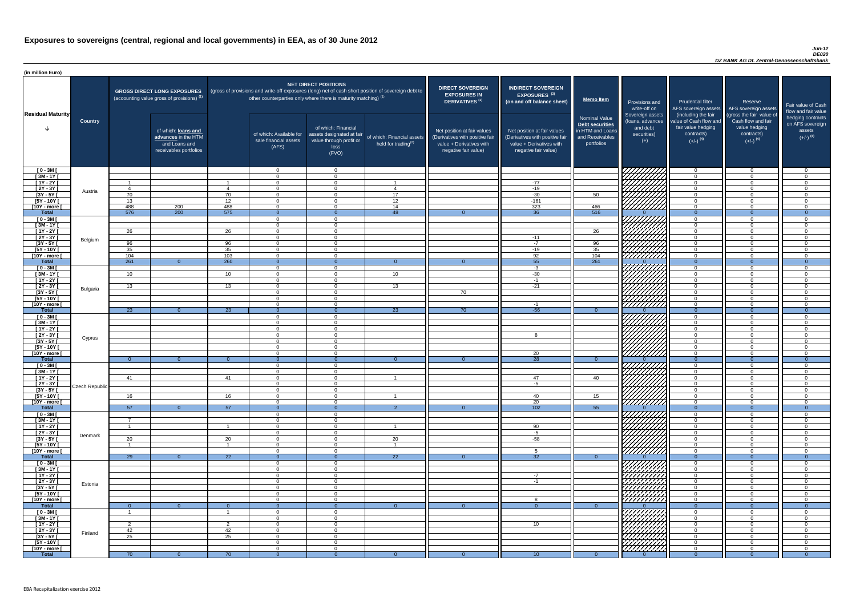#### *Jun-12 DE020 DZ BANK AG Dt. Zentral-Genossenschaftsbank*

| (in million Euro)             |                 |                |                                                                                             |                         |                                                           |                                                                                                                                                                                                                  |                                                      |                                                                                                                    |                                                                                                                    |                                                                                              |                                                         |                                                                                              |                                                                             |                                                                           |
|-------------------------------|-----------------|----------------|---------------------------------------------------------------------------------------------|-------------------------|-----------------------------------------------------------|------------------------------------------------------------------------------------------------------------------------------------------------------------------------------------------------------------------|------------------------------------------------------|--------------------------------------------------------------------------------------------------------------------|--------------------------------------------------------------------------------------------------------------------|----------------------------------------------------------------------------------------------|---------------------------------------------------------|----------------------------------------------------------------------------------------------|-----------------------------------------------------------------------------|---------------------------------------------------------------------------|
| <b>Residual Maturity</b>      |                 |                | <b>GROSS DIRECT LONG EXPOSURES</b><br>(accounting value gross of provisions) <sup>(1)</sup> |                         |                                                           | <b>NET DIRECT POSITIONS</b><br>(gross of provisions and write-off exposures (long) net of cash short position of sovereign debt to<br>other counterparties only where there is maturity matching) <sup>(1)</sup> |                                                      | <b>DIRECT SOVEREIGN</b><br><b>EXPOSURES IN</b><br>DERIVATIVES <sup>(1)</sup>                                       | <b>INDIRECT SOVEREIGN</b><br><b>EXPOSURES<sup>(3)</sup></b><br>(on and off balance sheet)                          | Memo Item                                                                                    | Provisions and<br>write-off on<br>Sovereign assets      | <b>Prudential filter</b><br>AFS sovereign assets AFS sovereign assets<br>(including the fair | Reserve<br>(gross the fair value of                                         | Fair value of Cash<br>flow and fair value                                 |
|                               | <b>Country</b>  |                | of which: loans and<br>advances in the HTM<br>and Loans and<br>receivables portfolios       |                         | of which: Available for<br>sale financial assets<br>(AFS) | of which: Financial<br>assets designated at fair<br>value through profit or<br>loss<br>(FVO)                                                                                                                     | of which: Financial assets<br>held for trading $(2)$ | Net position at fair values<br>(Derivatives with positive fair<br>value + Derivatives with<br>negative fair value) | Net position at fair values<br>(Derivatives with positive fair<br>value + Derivatives with<br>negative fair value) | <b>Nominal Value</b><br>Debt securities<br>in HTM and Loans<br>and Receivables<br>portfolios | (loans, advances<br>and debt<br>securities)<br>$^{(+)}$ | value of Cash flow and<br>fair value hedging<br>contracts)<br>$(+/-)$ <sup>(4)</sup>         | Cash flow and fair<br>value hedging<br>contracts)<br>$(+/-)$ <sup>(4)</sup> | hedging contracts<br>on AFS sovereign<br>assets<br>$(+/-)$ <sup>(4)</sup> |
| $[0 - 3M]$                    |                 |                |                                                                                             |                         | $\Omega$                                                  | $\Omega$                                                                                                                                                                                                         |                                                      |                                                                                                                    |                                                                                                                    |                                                                                              |                                                         | $\overline{0}$                                                                               | - വ<br>$\cap$                                                               | $\overline{0}$                                                            |
| $[3M - 1Y]$<br>$[1Y - 2Y]$    |                 | $\overline{1}$ |                                                                                             | $\overline{\mathbf{1}}$ | $\Omega$<br>$\Omega$                                      | $\Omega$<br>$\Omega$                                                                                                                                                                                             |                                                      |                                                                                                                    | $-77$                                                                                                              |                                                                                              |                                                         | $\overline{0}$<br>$\overline{0}$                                                             | $\Omega$                                                                    | $\overline{0}$<br>$\Omega$                                                |
| $[2Y - 3Y]$                   | Austria         | - 4            |                                                                                             | $\mathbf 4$             | $\Omega$                                                  | $\Omega$                                                                                                                                                                                                         | $\overline{4}$                                       |                                                                                                                    | $-19$                                                                                                              |                                                                                              |                                                         | $\overline{0}$                                                                               |                                                                             | $\Omega$                                                                  |
| $[3Y - 5Y]$                   |                 | 70             |                                                                                             | 70                      | $\Omega$                                                  | $\Omega$                                                                                                                                                                                                         | 17                                                   |                                                                                                                    | $-30$                                                                                                              | 50                                                                                           | HAHARA KU                                               | $\overline{0}$                                                                               |                                                                             | $\Omega$                                                                  |
| $[5Y - 10Y]$                  |                 | 13<br>488      |                                                                                             | 12                      | $\Omega$<br>$\Omega$                                      | $\Omega$<br>$\Omega$                                                                                                                                                                                             | 12<br>14                                             |                                                                                                                    | $-161$<br>323                                                                                                      |                                                                                              |                                                         | $\Omega$                                                                                     |                                                                             | $\Omega$<br>$\Omega$                                                      |
| [10Y - more [<br><b>Total</b> |                 | 576            | 200<br>200                                                                                  | 488<br>575              | $\Omega$                                                  | $\Omega$                                                                                                                                                                                                         | 48                                                   | $\Omega$                                                                                                           | $\overline{36}$                                                                                                    | 466<br>516                                                                                   |                                                         | $\overline{0}$<br>$\Omega$                                                                   | $\Omega$                                                                    | $\Omega$                                                                  |
| $[0 - 3M]$                    |                 |                |                                                                                             |                         | $\Omega$                                                  | $\Omega$                                                                                                                                                                                                         |                                                      |                                                                                                                    |                                                                                                                    |                                                                                              | 77777777                                                | $\overline{0}$                                                                               |                                                                             | $\Omega$                                                                  |
| $[3M - 1Y]$                   |                 |                |                                                                                             |                         | $\Omega$                                                  | $\Omega$                                                                                                                                                                                                         |                                                      |                                                                                                                    |                                                                                                                    |                                                                                              | HATARA<br>HATARA                                        | $\overline{0}$                                                                               | $\Omega$                                                                    | $\Omega$                                                                  |
| $[1Y - 2Y]$<br>$[2Y - 3Y]$    |                 | 26             |                                                                                             | 26                      | $\Omega$<br>$\Omega$                                      | $\Omega$<br>$\Omega$                                                                                                                                                                                             |                                                      |                                                                                                                    | $-11$                                                                                                              | 26                                                                                           |                                                         | $\overline{0}$<br>$\overline{0}$                                                             | $\Omega$<br>$\Omega$                                                        | $\overline{0}$<br>$\overline{0}$                                          |
| $[3Y - 5Y]$                   | Belgium         | 96             |                                                                                             | 96                      | $\Omega$                                                  | $\Omega$                                                                                                                                                                                                         |                                                      |                                                                                                                    | $-7$                                                                                                               | 96                                                                                           |                                                         | $\overline{0}$                                                                               | $\Omega$                                                                    | $\overline{0}$                                                            |
| $[5Y - 10Y]$                  |                 | 35             |                                                                                             | 35                      | $\Omega$                                                  | $\Omega$                                                                                                                                                                                                         |                                                      |                                                                                                                    | $-19$                                                                                                              | 35                                                                                           |                                                         | $\overline{0}$                                                                               | $\Omega$                                                                    | $\overline{0}$                                                            |
| [10Y - more [                 |                 | 104            |                                                                                             | 103                     | $\overline{0}$                                            | $\Omega$                                                                                                                                                                                                         |                                                      |                                                                                                                    | 92                                                                                                                 | 104                                                                                          |                                                         | $\overline{0}$                                                                               | $\cap$                                                                      | $\overline{0}$                                                            |
| <b>Total</b><br>$[0 - 3M]$    |                 | 261            | $\Omega$                                                                                    | 260                     | $\Omega$<br>$\overline{0}$                                | $\Omega$<br>$\Omega$                                                                                                                                                                                             | $\Omega$                                             | - വ                                                                                                                | 55<br>$-3$                                                                                                         | 261                                                                                          |                                                         | $\overline{0}$<br>$\overline{0}$                                                             | $\Omega$<br>$\Omega$                                                        | $\Omega$<br>$\overline{0}$                                                |
| $[3M - 1Y]$                   |                 | 10             |                                                                                             | 10 <sup>1</sup>         | $\Omega$                                                  | $\Omega$                                                                                                                                                                                                         | 10                                                   |                                                                                                                    | $-30$                                                                                                              |                                                                                              |                                                         | $\overline{0}$                                                                               | $\cap$                                                                      | $\Omega$                                                                  |
| $[1Y - 2Y]$                   |                 |                |                                                                                             |                         | $\Omega$                                                  |                                                                                                                                                                                                                  |                                                      |                                                                                                                    | $-1$                                                                                                               |                                                                                              |                                                         | $\overline{0}$                                                                               |                                                                             | $\Omega$                                                                  |
| $[2Y - 3Y]$                   | <b>Bulgaria</b> | 13             |                                                                                             | 13                      | $\Omega$                                                  | $\Omega$                                                                                                                                                                                                         | 13                                                   |                                                                                                                    | $-21$                                                                                                              |                                                                                              |                                                         | $\overline{0}$                                                                               |                                                                             | $\Omega$                                                                  |
| $[3Y - 5Y]$<br>$[5Y - 10Y]$   |                 |                |                                                                                             |                         | - റ                                                       | $\Omega$                                                                                                                                                                                                         |                                                      | 70                                                                                                                 |                                                                                                                    |                                                                                              |                                                         | <b>O</b><br>$\Omega$                                                                         | $\cap$                                                                      | $\Omega$                                                                  |
| $[10Y - more]$                |                 |                |                                                                                             |                         | $\Omega$                                                  | $\Omega$                                                                                                                                                                                                         |                                                      |                                                                                                                    | -1                                                                                                                 |                                                                                              | HAAAN<br>HAAAN                                          | $\overline{0}$                                                                               | $\cap$                                                                      | $\Omega$                                                                  |
| <b>Total</b>                  |                 | 23             |                                                                                             | 23                      |                                                           |                                                                                                                                                                                                                  | 23                                                   | -70-                                                                                                               | $-56$                                                                                                              | - 0                                                                                          |                                                         | $\Omega$                                                                                     |                                                                             | - 0                                                                       |
| $[0 - 3M]$                    |                 |                |                                                                                             |                         | $\Omega$                                                  | $\Omega$                                                                                                                                                                                                         |                                                      |                                                                                                                    |                                                                                                                    |                                                                                              | <del>,,,,,,,,,,</del> ,                                 | $\overline{0}$                                                                               | $\Omega$                                                                    | $\Omega$                                                                  |
| $[3M - 1Y]$<br>$[1Y - 2Y]$    |                 |                |                                                                                             |                         | $\Omega$<br>$\Omega$                                      | $\Omega$<br>$\Omega$                                                                                                                                                                                             |                                                      |                                                                                                                    |                                                                                                                    |                                                                                              |                                                         | $\overline{0}$<br>$\overline{0}$                                                             | $\cap$<br>$\cap$                                                            | $\overline{0}$<br>$\Omega$                                                |
| [2Y - 3Y [                    |                 |                |                                                                                             |                         | $\Omega$                                                  | $\Omega$                                                                                                                                                                                                         |                                                      |                                                                                                                    | -8                                                                                                                 |                                                                                              |                                                         | $\overline{0}$                                                                               | $\Omega$                                                                    | $\Omega$                                                                  |
| $[3Y - 5Y]$                   | Cyprus          |                |                                                                                             |                         | $\Omega$                                                  | $\Omega$                                                                                                                                                                                                         |                                                      |                                                                                                                    |                                                                                                                    |                                                                                              |                                                         | $\Omega$                                                                                     | $\cap$                                                                      | $\Omega$                                                                  |
| $[5Y - 10Y]$                  |                 |                |                                                                                             |                         | $\Omega$<br>$\Omega$                                      | $\Omega$<br>$\Omega$                                                                                                                                                                                             |                                                      |                                                                                                                    | 20                                                                                                                 |                                                                                              | HANA<br>HANA                                            | $\overline{0}$                                                                               |                                                                             | - 0<br>$\Omega$                                                           |
| [10Y - more [<br><b>Total</b> |                 | $\Omega$       | $\Omega$                                                                                    | $\Omega$                | $\Omega$                                                  |                                                                                                                                                                                                                  |                                                      |                                                                                                                    | $\overline{28}$                                                                                                    | $\Omega$                                                                                     |                                                         | $\overline{0}$<br>$\overline{0}$                                                             | $\Omega$                                                                    | $\Omega$                                                                  |
| $[0 - 3M]$                    |                 |                |                                                                                             |                         | $\Omega$                                                  | $\Omega$                                                                                                                                                                                                         |                                                      |                                                                                                                    |                                                                                                                    |                                                                                              | THAMA<br>HAMA                                           | $\overline{0}$                                                                               |                                                                             | $\Omega$                                                                  |
| $[3M - 1Y]$                   |                 |                |                                                                                             |                         | $\Omega$                                                  | $\Omega$                                                                                                                                                                                                         |                                                      |                                                                                                                    |                                                                                                                    |                                                                                              |                                                         | $\overline{0}$                                                                               | $\Omega$                                                                    | $\Omega$                                                                  |
| $[1Y - 2Y]$<br>$[2Y - 3Y]$    |                 | 41             |                                                                                             | 41                      | $\Omega$<br>$\Omega$                                      | $\Omega$<br>$\Omega$                                                                                                                                                                                             |                                                      |                                                                                                                    | 47<br>$-5$                                                                                                         | 40                                                                                           |                                                         | $\overline{0}$<br>$\overline{0}$                                                             | $\Omega$<br>$\Omega$                                                        | $\Omega$<br>$\Omega$                                                      |
| $[3Y - 5Y]$                   | Czech Republic  |                |                                                                                             |                         | $\Omega$                                                  | $\Omega$                                                                                                                                                                                                         |                                                      |                                                                                                                    |                                                                                                                    |                                                                                              |                                                         | $\overline{0}$                                                                               | $\Omega$                                                                    | $\Omega$                                                                  |
| $[5Y - 10Y]$                  |                 | 16             |                                                                                             | 16                      | $\Omega$                                                  | $\Omega$                                                                                                                                                                                                         |                                                      |                                                                                                                    | 40                                                                                                                 | 15                                                                                           |                                                         | $\overline{0}$                                                                               | $\Omega$                                                                    | $\Omega$                                                                  |
| [10Y - more [<br><b>Total</b> |                 | 57             | $\Omega$                                                                                    | 57                      | $\Omega$<br>- 0                                           | $\Omega$                                                                                                                                                                                                         |                                                      |                                                                                                                    | 20<br>$\frac{102}{ }$                                                                                              | 55                                                                                           |                                                         | $\overline{0}$<br>$\Omega$                                                                   | $\Omega$<br>$\Omega$                                                        | $\Omega$<br>$\Omega$                                                      |
| $[0 - 3M]$                    |                 |                |                                                                                             |                         | $\Omega$                                                  | $\Omega$                                                                                                                                                                                                         |                                                      |                                                                                                                    |                                                                                                                    |                                                                                              | 77777777                                                | $\overline{0}$                                                                               | $\cap$                                                                      | $\Omega$                                                                  |
| $[3M - 1Y]$                   |                 |                |                                                                                             |                         | - 0                                                       |                                                                                                                                                                                                                  |                                                      |                                                                                                                    |                                                                                                                    |                                                                                              | HATHAR SAN FARMA                                        | $\overline{0}$                                                                               |                                                                             | $\Omega$                                                                  |
| $[1Y - 2Y]$                   |                 |                |                                                                                             |                         |                                                           |                                                                                                                                                                                                                  |                                                      |                                                                                                                    | 90                                                                                                                 |                                                                                              |                                                         | $\overline{0}$                                                                               |                                                                             | $\Omega$                                                                  |
| $[2Y - 3Y]$<br>$[3Y - 5Y]$    | Denmark         | 20             |                                                                                             | 20                      | - റ                                                       |                                                                                                                                                                                                                  | 20                                                   |                                                                                                                    | -5<br>$-58$                                                                                                        |                                                                                              |                                                         | $\overline{0}$<br>$\overline{0}$                                                             |                                                                             | - ೧<br>$\Omega$                                                           |
| $[5Y - 10Y]$                  |                 |                |                                                                                             |                         | $\Omega$                                                  | $\Omega$                                                                                                                                                                                                         |                                                      |                                                                                                                    |                                                                                                                    |                                                                                              |                                                         | $\overline{0}$                                                                               | $\cap$                                                                      | $\Omega$                                                                  |
| [10Y - more [                 |                 |                |                                                                                             |                         | $\Omega$                                                  | $\Omega$                                                                                                                                                                                                         |                                                      |                                                                                                                    |                                                                                                                    |                                                                                              | 777777777                                               | $\overline{0}$                                                                               | $\cap$                                                                      | $\Omega$                                                                  |
| <b>Total</b>                  |                 | 29             |                                                                                             | 22                      | $\Omega$                                                  |                                                                                                                                                                                                                  | $\overline{22}$                                      |                                                                                                                    | 32                                                                                                                 | $\Omega$                                                                                     |                                                         | $\Omega$                                                                                     | $\Omega$                                                                    | - റ                                                                       |
| $[0 - 3M]$<br>$[3M - 1Y]$     |                 |                |                                                                                             |                         | $\Omega$<br>$\Omega$                                      | $\Omega$<br>$\Omega$                                                                                                                                                                                             |                                                      |                                                                                                                    |                                                                                                                    |                                                                                              | UMMA<br>UMMA                                            | $\overline{0}$<br>$\overline{0}$                                                             | - 0                                                                         | $\Omega$<br>$\overline{0}$                                                |
| $[1Y - 2Y]$                   |                 |                |                                                                                             |                         | $\Omega$                                                  | $\Omega$                                                                                                                                                                                                         |                                                      |                                                                                                                    | $-7$                                                                                                               |                                                                                              |                                                         | $\overline{0}$                                                                               | $\Omega$                                                                    | $\Omega$                                                                  |
| [2Y - 3Y [                    | Estonia         |                |                                                                                             |                         | $\overline{0}$                                            | $\overline{0}$                                                                                                                                                                                                   |                                                      |                                                                                                                    | $-1$                                                                                                               |                                                                                              |                                                         | $\overline{0}$                                                                               | - 0                                                                         | $\Omega$                                                                  |
| $[3Y - 5Y]$                   |                 |                |                                                                                             |                         | $\Omega$                                                  | $\Omega$                                                                                                                                                                                                         |                                                      |                                                                                                                    |                                                                                                                    |                                                                                              | HAAAN.                                                  | $\overline{0}$                                                                               | ി<br>$\cap$                                                                 | $\Omega$                                                                  |
| $[5Y - 10Y]$<br>[10Y - more [ |                 |                |                                                                                             |                         | $\Omega$<br>$\Omega$                                      | $\Omega$<br>$\Omega$                                                                                                                                                                                             |                                                      |                                                                                                                    |                                                                                                                    |                                                                                              |                                                         | $\overline{0}$<br>$\Omega$                                                                   | $\cap$                                                                      | $\Omega$<br>$\Omega$                                                      |
| <b>Total</b>                  |                 |                | 0                                                                                           |                         |                                                           |                                                                                                                                                                                                                  |                                                      |                                                                                                                    |                                                                                                                    | $\overline{0}$                                                                               |                                                         | $\overline{0}$                                                                               |                                                                             | $\Omega$                                                                  |
| $[0 - 3M]$                    |                 |                |                                                                                             |                         |                                                           |                                                                                                                                                                                                                  |                                                      |                                                                                                                    |                                                                                                                    |                                                                                              |                                                         | $\Omega$                                                                                     |                                                                             |                                                                           |
| $[3M - 1Y]$                   |                 | ົດ             |                                                                                             | $\Omega$                | $\Omega$                                                  | $\Omega$                                                                                                                                                                                                         |                                                      |                                                                                                                    |                                                                                                                    |                                                                                              |                                                         | $\overline{0}$                                                                               | $\cap$                                                                      | $\Omega$                                                                  |
| $[1Y - 2Y]$<br>$[2Y - 3Y]$    |                 | 42             |                                                                                             | 42                      | $\Omega$<br>$\Omega$                                      | $\Omega$<br>$\Omega$                                                                                                                                                                                             |                                                      |                                                                                                                    | 10 <sup>°</sup>                                                                                                    |                                                                                              |                                                         | $\Omega$<br>$\overline{0}$                                                                   | $\Omega$                                                                    | $\Omega$<br>$\Omega$                                                      |
| $[3Y - 5Y]$                   | Finland         | 25             |                                                                                             | 25                      | $\Omega$                                                  | $\Omega$                                                                                                                                                                                                         |                                                      |                                                                                                                    |                                                                                                                    |                                                                                              |                                                         | $\overline{0}$                                                                               | $\Omega$                                                                    | $\Omega$                                                                  |
| [5Y - 10Y [                   |                 |                |                                                                                             |                         | $\Omega$                                                  | $\overline{0}$                                                                                                                                                                                                   |                                                      |                                                                                                                    |                                                                                                                    |                                                                                              | SANAS SANAS SE                                          | $\overline{0}$                                                                               | $\Omega$                                                                    | $\overline{0}$                                                            |
| [10Y - more [<br><b>Total</b> |                 |                |                                                                                             | 70                      | $\Omega$<br>$\Omega$                                      | $\Omega$<br>$\overline{0}$                                                                                                                                                                                       |                                                      | -0                                                                                                                 | 10 <sup>°</sup>                                                                                                    | $\Omega$                                                                                     |                                                         | $\overline{0}$<br>- 0                                                                        | $\cap$<br>$\overline{0}$                                                    | $\Omega$<br>$\Omega$                                                      |
|                               |                 | 70             |                                                                                             |                         |                                                           |                                                                                                                                                                                                                  |                                                      |                                                                                                                    |                                                                                                                    |                                                                                              |                                                         |                                                                                              |                                                                             |                                                                           |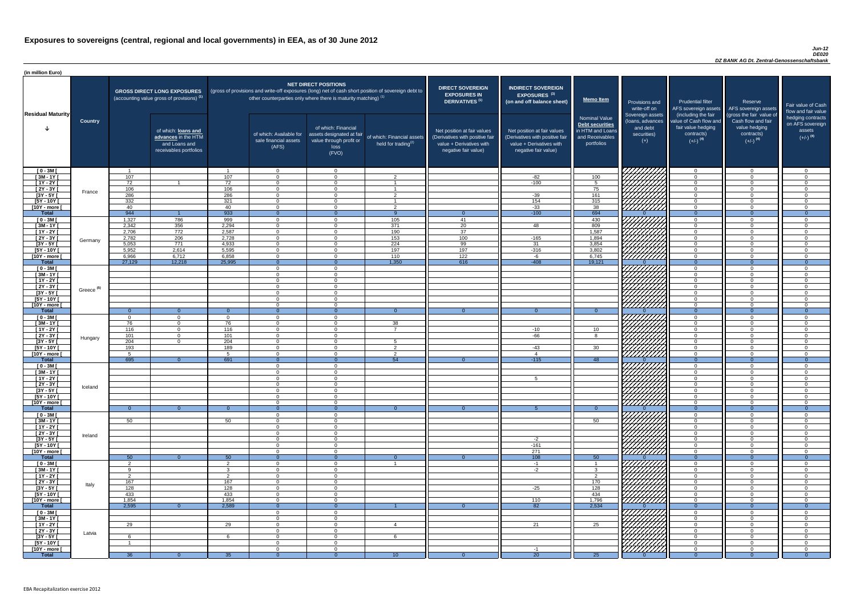#### *Jun-12 DE020 DZ BANK AG Dt. Zentral-Genossenschaftsbank*

| (in million Euro)             |                       |                 |                                                                                             |                      |                                                           |                                                                                                                                                                                                                  |                                                      |                                                                                                                    |                                                                                                                    |                                                                                              |                                                                          |                                                                                                             |                                                                                                         |                                                                           |
|-------------------------------|-----------------------|-----------------|---------------------------------------------------------------------------------------------|----------------------|-----------------------------------------------------------|------------------------------------------------------------------------------------------------------------------------------------------------------------------------------------------------------------------|------------------------------------------------------|--------------------------------------------------------------------------------------------------------------------|--------------------------------------------------------------------------------------------------------------------|----------------------------------------------------------------------------------------------|--------------------------------------------------------------------------|-------------------------------------------------------------------------------------------------------------|---------------------------------------------------------------------------------------------------------|---------------------------------------------------------------------------|
| <b>Residual Maturity</b>      |                       |                 | <b>GROSS DIRECT LONG EXPOSURES</b><br>(accounting value gross of provisions) <sup>(1)</sup> |                      |                                                           | <b>NET DIRECT POSITIONS</b><br>(gross of provisions and write-off exposures (long) net of cash short position of sovereign debt to<br>other counterparties only where there is maturity matching) <sup>(1)</sup> |                                                      | <b>DIRECT SOVEREIGN</b><br><b>EXPOSURES IN</b><br>DERIVATIVES <sup>(1)</sup>                                       | <b>INDIRECT SOVEREIGN</b><br><b>EXPOSURES<sup>(3)</sup></b><br>(on and off balance sheet)                          | <b>Memo Item</b>                                                                             | Provisions and<br>write-off on                                           | <b>Prudential filter</b>                                                                                    | Reserve<br>AFS sovereign assets AFS sovereign assets                                                    | Fair value of Cash<br>flow and fair value                                 |
|                               | <b>Country</b>        |                 | of which: loans and<br>advances in the HTM<br>and Loans and<br>receivables portfolios       |                      | of which: Available for<br>sale financial assets<br>(AFS) | of which: Financial<br>assets designated at fair<br>value through profit or<br>loss<br>(FVO)                                                                                                                     | of which: Financial assets<br>held for trading $(2)$ | Net position at fair values<br>(Derivatives with positive fair<br>value + Derivatives with<br>negative fair value) | Net position at fair values<br>(Derivatives with positive fair<br>value + Derivatives with<br>negative fair value) | <b>Nominal Value</b><br>Debt securities<br>in HTM and Loans<br>and Receivables<br>portfolios | Sovereign assets<br>(loans, advances<br>and debt<br>securities)<br>$(+)$ | (including the fair<br>value of Cash flow and<br>fair value hedging<br>contracts)<br>$(+/-)$ <sup>(4)</sup> | (gross the fair value of<br>Cash flow and fair<br>value hedging<br>contracts)<br>$(+/-)$ <sup>(4)</sup> | hedging contracts<br>on AFS sovereign<br>assets<br>$(+/-)$ <sup>(4)</sup> |
| $[0 - 3M]$                    |                       | 107             |                                                                                             | 107                  | $\Omega$<br>$\Omega$                                      | $\Omega$                                                                                                                                                                                                         | $\Omega$                                             |                                                                                                                    |                                                                                                                    |                                                                                              | <b>Children</b>                                                          | $\overline{0}$                                                                                              | $\Omega$<br>$\Omega$                                                                                    | $\overline{0}$<br>$\Omega$                                                |
| $[3M-1Y]$<br>$[1Y - 2Y]$      |                       | 72              |                                                                                             | 72                   | $\Omega$                                                  |                                                                                                                                                                                                                  |                                                      |                                                                                                                    | $-82$<br>$-100$                                                                                                    | 100<br>5 <sup>5</sup>                                                                        |                                                                          | $\overline{0}$<br>$\overline{0}$                                                                            | $\Omega$                                                                                                | $\overline{0}$                                                            |
| $[2Y - 3Y]$                   |                       | 106             |                                                                                             | 106                  | $\Omega$                                                  | $\Omega$                                                                                                                                                                                                         |                                                      |                                                                                                                    |                                                                                                                    | 75                                                                                           |                                                                          | $\overline{0}$                                                                                              | $\Omega$                                                                                                | $\overline{0}$                                                            |
| $[3Y - 5Y]$                   | France                | 286             |                                                                                             | 286                  | $\Omega$                                                  | $\Omega$                                                                                                                                                                                                         | $\mathcal{P}$                                        |                                                                                                                    | $-39$                                                                                                              | 161                                                                                          |                                                                          | $\overline{0}$                                                                                              | $\Omega$                                                                                                | $\overline{0}$                                                            |
| $[5Y - 10Y]$                  |                       | 332             |                                                                                             | 321                  | $\cap$                                                    | $\Omega$                                                                                                                                                                                                         |                                                      |                                                                                                                    | 154                                                                                                                | 315                                                                                          |                                                                          | $\overline{0}$                                                                                              | $\Omega$                                                                                                | $\overline{0}$                                                            |
| [10Y - more [<br><b>Total</b> |                       | 40<br>944       |                                                                                             | 40<br>933            | $\overline{0}$<br>$\overline{0}$                          | $\Omega$                                                                                                                                                                                                         | $\overline{2}$<br>- Q                                | - റ                                                                                                                | $-33$<br>$-100$                                                                                                    | 38<br>694                                                                                    |                                                                          | $\overline{0}$<br>$\Omega$                                                                                  | $\Omega$<br>- 0                                                                                         | $\overline{0}$<br>$\overline{0}$                                          |
| $[0 - 3M]$                    |                       | 1,327           | 786                                                                                         | 999                  | $\overline{0}$                                            | $\Omega$                                                                                                                                                                                                         | 105                                                  | 41                                                                                                                 |                                                                                                                    | 430                                                                                          |                                                                          | $\overline{0}$                                                                                              | $\Omega$                                                                                                | $\overline{0}$                                                            |
| $[3M - 1Y]$                   |                       | 2,342           | 356                                                                                         | 2,294                | $\overline{0}$                                            |                                                                                                                                                                                                                  | $\overline{371}$                                     | $\overline{20}$                                                                                                    | 48                                                                                                                 | 809                                                                                          | THAT THE TRIANGE                                                         | $\overline{0}$                                                                                              | $\Omega$                                                                                                | $\overline{0}$                                                            |
| $[1Y - 2Y]$                   |                       | 2,706           | 772                                                                                         | 2,587                | $\Omega$                                                  |                                                                                                                                                                                                                  | 190                                                  | $\overline{37}$                                                                                                    |                                                                                                                    | 1,587                                                                                        |                                                                          | $\overline{0}$                                                                                              | $\Omega$                                                                                                | $\overline{0}$                                                            |
| $[2Y - 3Y]$                   | Germany               | 2,782           | 206                                                                                         | 2,728                | $\Omega$                                                  | ∩                                                                                                                                                                                                                | 153                                                  | 100                                                                                                                | $-165$                                                                                                             | 1,894                                                                                        |                                                                          | $\overline{0}$                                                                                              | $\Omega$                                                                                                | $\overline{0}$                                                            |
| $[3Y - 5Y]$<br>$[5Y - 10Y]$   |                       | 5,053<br>5,952  | 771<br>2,614                                                                                | 4,933<br>5,595       | $\overline{0}$<br>$\Omega$                                | $\Omega$<br>$\Omega$                                                                                                                                                                                             | $\overline{224}$<br>197                              | 99<br>197                                                                                                          | 31<br>$-316$                                                                                                       | 3,854<br>3,802                                                                               |                                                                          | $\overline{0}$<br>$\overline{0}$                                                                            | $\Omega$<br>$\Omega$                                                                                    | $\overline{0}$<br>$\Omega$                                                |
| [10Y - more [                 |                       | 6,966           | 6,712                                                                                       | 6,858                | $\Omega$                                                  | $\Omega$                                                                                                                                                                                                         | 110                                                  | 122                                                                                                                | -6                                                                                                                 | 6,745                                                                                        |                                                                          | $\overline{0}$                                                                                              | $\Omega$                                                                                                | $\Omega$                                                                  |
| <b>Total</b>                  |                       | 27,129          | 12,218                                                                                      | 25,995               | - റ                                                       |                                                                                                                                                                                                                  | 1,350                                                | 616                                                                                                                | $-408$                                                                                                             | 19,121                                                                                       |                                                                          | $\overline{0}$                                                                                              | - 0                                                                                                     | $\Omega$                                                                  |
| $[0 - 3M]$                    |                       |                 |                                                                                             |                      | $\Omega$                                                  | $\Omega$                                                                                                                                                                                                         |                                                      |                                                                                                                    |                                                                                                                    |                                                                                              | HHHH                                                                     | $\overline{0}$                                                                                              | $\cap$                                                                                                  | $\overline{0}$                                                            |
| $[3M - 1Y]$                   |                       |                 |                                                                                             |                      | $\Omega$<br>$\Omega$                                      | $\cap$<br>$\Omega$                                                                                                                                                                                               |                                                      |                                                                                                                    |                                                                                                                    |                                                                                              |                                                                          | $\overline{0}$                                                                                              | $\Omega$<br>$\Omega$                                                                                    | $\overline{0}$                                                            |
| $[1Y - 2Y]$<br>$[2Y - 3Y]$    |                       |                 |                                                                                             |                      | $\Omega$                                                  | $\Omega$                                                                                                                                                                                                         |                                                      |                                                                                                                    |                                                                                                                    |                                                                                              | <i>VIIIII)</i>                                                           | $\overline{0}$<br>$\overline{0}$                                                                            | $\Omega$                                                                                                | $\overline{0}$<br>$\Omega$                                                |
| $[3Y - 5Y]$                   | Greece <sup>(5)</sup> |                 |                                                                                             |                      |                                                           |                                                                                                                                                                                                                  |                                                      |                                                                                                                    |                                                                                                                    |                                                                                              |                                                                          |                                                                                                             |                                                                                                         |                                                                           |
| $[5Y - 10Y]$                  |                       |                 |                                                                                             |                      | $\Omega$                                                  | $\Omega$                                                                                                                                                                                                         |                                                      |                                                                                                                    |                                                                                                                    |                                                                                              | Hillitte S                                                               | $\Omega$                                                                                                    | $\Omega$                                                                                                | $\Omega$                                                                  |
| $[10Y - more]$                |                       |                 |                                                                                             |                      | $\Omega$                                                  | $\Omega$                                                                                                                                                                                                         | $\Omega$                                             |                                                                                                                    |                                                                                                                    |                                                                                              |                                                                          | $\Omega$                                                                                                    | $\Omega$                                                                                                | $\Omega$                                                                  |
| <b>Total</b><br>$[0 - 3M]$    |                       | $\Omega$        | $\Omega$<br>$\Omega$                                                                        | $\Omega$<br>$\Omega$ | $\Omega$<br>$\Omega$                                      | $\Omega$<br>$\Omega$                                                                                                                                                                                             |                                                      | $\Omega$                                                                                                           | $\Omega$                                                                                                           | $\overline{0}$                                                                               | IIIIIIA'                                                                 | $\Omega$<br>$\overline{0}$                                                                                  | - 0<br>$\Omega$                                                                                         | - 0<br>$\Omega$                                                           |
| $[3M - 1Y]$                   |                       | 76              | $\Omega$                                                                                    | 76                   | $\Omega$                                                  | $\Omega$                                                                                                                                                                                                         | 38                                                   |                                                                                                                    |                                                                                                                    |                                                                                              |                                                                          | $\overline{0}$                                                                                              | $\Omega$                                                                                                | $\Omega$                                                                  |
| $\boxed{1Y - 2Y}$             |                       | 116             | $\overline{0}$                                                                              | 116                  | $\Omega$                                                  | $\Omega$                                                                                                                                                                                                         | $\overline{z}$                                       |                                                                                                                    | $-10$                                                                                                              | 10 <sup>1</sup>                                                                              |                                                                          | $\overline{0}$                                                                                              | $\Omega$                                                                                                | $\Omega$                                                                  |
| $[2Y - 3Y]$                   | Hungary               | 101             | $\overline{0}$                                                                              | 101                  | $\Omega$                                                  | $\Omega$                                                                                                                                                                                                         |                                                      |                                                                                                                    | $-66$                                                                                                              | <b>R</b>                                                                                     |                                                                          | $\Omega$                                                                                                    | $\Omega$                                                                                                | $\Omega$                                                                  |
| $[3Y - 5Y]$<br>$[5Y - 10Y]$   |                       | 204<br>193      | $\overline{0}$                                                                              | 204<br>189           | $\Omega$<br>$\Omega$                                      | $\Omega$<br>$\Omega$                                                                                                                                                                                             | $\mathcal{D}$                                        |                                                                                                                    | $-43$                                                                                                              | 30                                                                                           |                                                                          | $\overline{0}$<br>$\overline{0}$                                                                            | $\Omega$<br>$\Omega$                                                                                    | $\Omega$<br>$\Omega$                                                      |
| [10Y - more [                 |                       |                 |                                                                                             | 5                    | $\Omega$                                                  | $\Omega$                                                                                                                                                                                                         | $\mathcal{P}$                                        |                                                                                                                    | $\boldsymbol{\varDelta}$                                                                                           |                                                                                              | HANA<br>HANA                                                             | $\overline{0}$                                                                                              | $\Omega$                                                                                                | $\Omega$                                                                  |
| <b>Total</b>                  |                       | 695             | $\Omega$                                                                                    | 691                  | $\overline{0}$                                            | $\Omega$                                                                                                                                                                                                         | 54                                                   | $\Omega$                                                                                                           | $-115$                                                                                                             | 48                                                                                           |                                                                          | $\Omega$                                                                                                    | $\Omega$                                                                                                | $\Omega$                                                                  |
| $[0 - 3M]$                    |                       |                 |                                                                                             |                      | $\overline{0}$                                            | $\Omega$                                                                                                                                                                                                         |                                                      |                                                                                                                    |                                                                                                                    |                                                                                              | 7777777                                                                  | $\overline{0}$                                                                                              | $\Omega$                                                                                                | $\overline{0}$                                                            |
| $[3M - 1Y]$<br>$[1Y - 2Y]$    |                       |                 |                                                                                             |                      | $\Omega$<br>$\Omega$                                      |                                                                                                                                                                                                                  |                                                      |                                                                                                                    | 5                                                                                                                  |                                                                                              | НННА                                                                     | $\overline{0}$<br>$\overline{0}$                                                                            | $\Omega$<br>$\Omega$                                                                                    | $\Omega$<br>$\Omega$                                                      |
| $[2Y - 3Y]$                   |                       |                 |                                                                                             |                      |                                                           |                                                                                                                                                                                                                  |                                                      |                                                                                                                    |                                                                                                                    |                                                                                              | HHHA.                                                                    | $\overline{0}$                                                                                              | $\Omega$                                                                                                | $\Omega$                                                                  |
| $[3Y - 5Y]$                   | Iceland               |                 |                                                                                             |                      |                                                           |                                                                                                                                                                                                                  |                                                      |                                                                                                                    |                                                                                                                    |                                                                                              |                                                                          | $\overline{0}$                                                                                              |                                                                                                         | - 0                                                                       |
| $[5Y - 10Y]$                  |                       |                 |                                                                                             |                      | $\Omega$                                                  |                                                                                                                                                                                                                  |                                                      |                                                                                                                    |                                                                                                                    |                                                                                              | HHHA                                                                     | $\overline{0}$                                                                                              | - 0                                                                                                     | $\Omega$                                                                  |
| [10Y - more [<br><b>Total</b> |                       | - റ             |                                                                                             |                      | $\Omega$<br>$\Omega$                                      | $\Omega$                                                                                                                                                                                                         |                                                      |                                                                                                                    |                                                                                                                    | - 0 -                                                                                        |                                                                          | $\overline{0}$<br>$\Omega$                                                                                  | $\Omega$<br>- റ                                                                                         | $\Omega$<br>- 0                                                           |
| $[0 - 3M]$                    |                       |                 |                                                                                             |                      | $\Omega$                                                  | $\Omega$                                                                                                                                                                                                         |                                                      |                                                                                                                    |                                                                                                                    |                                                                                              |                                                                          | $\overline{0}$                                                                                              | $\Omega$                                                                                                | $\Omega$                                                                  |
| $\sqrt{3M-1Y}$                |                       | 50              |                                                                                             | 50                   | $\Omega$                                                  | $\Omega$                                                                                                                                                                                                         |                                                      |                                                                                                                    |                                                                                                                    | 50                                                                                           | HAANII K                                                                 | $\overline{0}$                                                                                              | $\Omega$                                                                                                | $\overline{0}$                                                            |
| $[1Y - 2Y]$                   |                       |                 |                                                                                             |                      | $\Omega$                                                  | $\Omega$                                                                                                                                                                                                         |                                                      |                                                                                                                    |                                                                                                                    |                                                                                              |                                                                          | $\overline{0}$                                                                                              | $\Omega$                                                                                                | $\overline{0}$                                                            |
| $[2Y - 3Y]$<br>$[3Y - 5Y]$    | Ireland               |                 |                                                                                             |                      | $\Omega$<br>$\Omega$                                      | $\Omega$<br>$\Omega$                                                                                                                                                                                             |                                                      |                                                                                                                    | $-2$                                                                                                               |                                                                                              |                                                                          | $\overline{0}$<br>$\overline{0}$                                                                            | $\Omega$<br>$\Omega$                                                                                    | $\Omega$<br>$\overline{0}$                                                |
| $[5Y - 10Y]$                  |                       |                 |                                                                                             |                      | $\Omega$                                                  | $\Omega$                                                                                                                                                                                                         |                                                      |                                                                                                                    | $-161$                                                                                                             |                                                                                              |                                                                          | $\overline{0}$                                                                                              | $\Omega$                                                                                                | $\Omega$                                                                  |
| [10Y - more [                 |                       |                 |                                                                                             |                      | $\Omega$                                                  | $\Omega$                                                                                                                                                                                                         |                                                      |                                                                                                                    | 271                                                                                                                |                                                                                              | HAAAD<br>HAAAD                                                           | $\Omega$                                                                                                    | $\Omega$                                                                                                | $\Omega$                                                                  |
| <b>Total</b>                  |                       | 50              | $\Omega$                                                                                    | 50                   | $\Omega$                                                  |                                                                                                                                                                                                                  |                                                      |                                                                                                                    | 108                                                                                                                | 50                                                                                           |                                                                          | $\overline{0}$                                                                                              | - 0                                                                                                     | $\Omega$                                                                  |
| $[0 - 3M]$<br>$[3M - 1Y]$     |                       |                 |                                                                                             | ົ<br>ົ               | $\Omega$<br>$\Omega$                                      | $\Omega$<br>$\Omega$                                                                                                                                                                                             | $\overline{\mathbf{1}}$                              |                                                                                                                    | $-1$<br>$-2$                                                                                                       | $\mathcal{R}$                                                                                |                                                                          | $\overline{0}$<br>$\overline{0}$                                                                            | $\Omega$<br>$\Omega$                                                                                    | $\Omega$<br>$\Omega$                                                      |
| $[1Y - 2Y]$                   |                       | ົດ              |                                                                                             | $\mathcal{D}$        | $\Omega$                                                  | $\Omega$                                                                                                                                                                                                         |                                                      |                                                                                                                    |                                                                                                                    | $\overline{2}$                                                                               |                                                                          | $\overline{0}$                                                                                              | $\Omega$                                                                                                | $\Omega$                                                                  |
| $[2Y - 3Y]$                   | Italy                 | 167             |                                                                                             | 167                  | $\Omega$                                                  | $\Omega$                                                                                                                                                                                                         |                                                      |                                                                                                                    |                                                                                                                    | 170                                                                                          |                                                                          | $\Omega$                                                                                                    | $\Omega$                                                                                                | $\Omega$                                                                  |
| $[3Y - 5Y]$                   |                       | 128             |                                                                                             | 128                  | $\Omega$                                                  | ∩                                                                                                                                                                                                                |                                                      |                                                                                                                    | $-25$                                                                                                              | 128                                                                                          | HAHA<br>HAHA                                                             | $\Omega$                                                                                                    | $\Omega$                                                                                                | $\Omega$                                                                  |
| $[5Y - 10Y]$                  |                       | 433             |                                                                                             | 433<br>1,854         | $\Omega$<br>$\Omega$                                      | $\Omega$<br>$\Omega$                                                                                                                                                                                             |                                                      |                                                                                                                    |                                                                                                                    | 434                                                                                          |                                                                          | $\overline{0}$<br>$\overline{0}$                                                                            | $\Omega$<br>$\Omega$                                                                                    | $\overline{0}$<br>$\Omega$                                                |
| [10Y - more [<br><b>Total</b> |                       | 1,854<br>2,595  | $\Omega$                                                                                    | 2,589                | $\overline{0}$                                            | $\Omega$                                                                                                                                                                                                         |                                                      | $\Omega$                                                                                                           | 110<br>82                                                                                                          | 1,796<br>2,534                                                                               |                                                                          | $\Omega$                                                                                                    | $\Omega$                                                                                                | $\Omega$                                                                  |
| $[0 - 3M]$                    |                       |                 |                                                                                             |                      | $\Omega$                                                  | $\Omega$                                                                                                                                                                                                         |                                                      |                                                                                                                    |                                                                                                                    |                                                                                              | 7777777777                                                               | $\Omega$                                                                                                    | $\Omega$                                                                                                | $\Omega$                                                                  |
| $[3M - 1Y]$                   |                       |                 |                                                                                             |                      | $\Omega$                                                  | $\Omega$                                                                                                                                                                                                         |                                                      |                                                                                                                    |                                                                                                                    |                                                                                              |                                                                          | $\overline{0}$                                                                                              | $\Omega$                                                                                                | - 0                                                                       |
| $[1Y - 2Y]$                   |                       | 29              |                                                                                             | 29                   | $\Omega$                                                  | $\Omega$                                                                                                                                                                                                         |                                                      |                                                                                                                    | 21                                                                                                                 | 25                                                                                           |                                                                          | $\overline{0}$                                                                                              | $\Omega$                                                                                                | $\Omega$                                                                  |
| [2Y - 3Y [<br>$[3Y - 5Y]$     | Latvia                |                 |                                                                                             |                      | $\Omega$                                                  |                                                                                                                                                                                                                  |                                                      |                                                                                                                    |                                                                                                                    |                                                                                              |                                                                          | $\overline{0}$<br>$\overline{0}$                                                                            | $\Omega$<br>$\Omega$                                                                                    | $\overline{0}$<br>- 0                                                     |
| $[5Y - 10Y]$                  |                       |                 |                                                                                             |                      | $\Omega$                                                  |                                                                                                                                                                                                                  |                                                      |                                                                                                                    |                                                                                                                    |                                                                                              | HATARA<br>HATARA                                                         | $\overline{0}$                                                                                              | $\Omega$                                                                                                | $\Omega$                                                                  |
| [10Y - more [                 |                       |                 |                                                                                             |                      | $\Omega$                                                  | $\Omega$                                                                                                                                                                                                         |                                                      |                                                                                                                    | $-1$                                                                                                               |                                                                                              |                                                                          | $\overline{0}$                                                                                              | $\Omega$                                                                                                | $\Omega$                                                                  |
| <b>Total</b>                  |                       | 36 <sup>°</sup> |                                                                                             | 35 <sup>°</sup>      | $\Omega$                                                  |                                                                                                                                                                                                                  | 10 <sup>°</sup>                                      |                                                                                                                    | $\overline{20}$                                                                                                    | 25                                                                                           |                                                                          |                                                                                                             |                                                                                                         | - ೧                                                                       |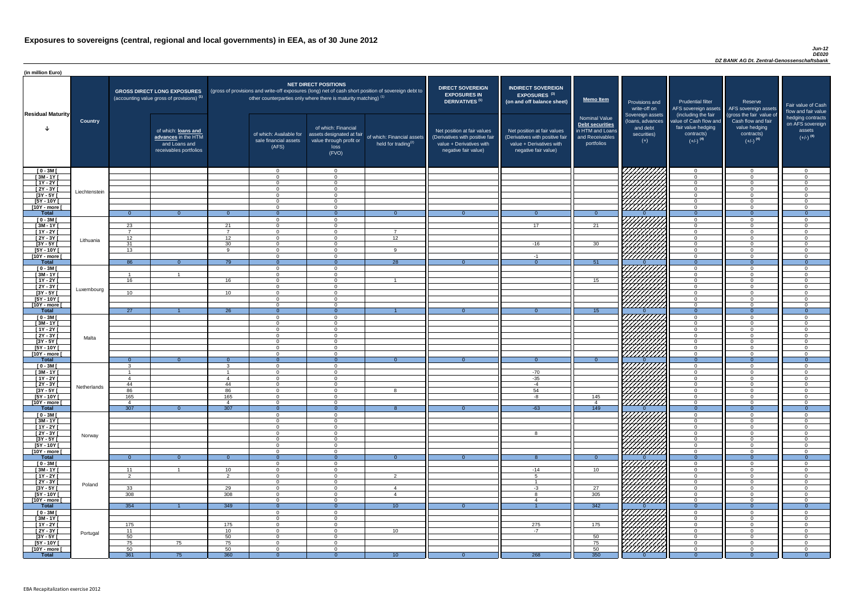#### *Jun-12 DE020 DZ BANK AG Dt. Zentral-Genossenschaftsbank*

| <b>DIRECT SOVEREIGN</b><br><b>EXPOSURES IN</b><br><b>DERIVATIVES<sup>(1)</sup></b><br>Net position at fair values<br>(Derivatives with positive fair<br>value + Derivatives with<br>negative fair value) | <b>INDIRECT SOVEREIGN</b><br><b>EXPOSURES<sup>(3)</sup></b><br>(on and off balance sheet)<br>Net position at fair values<br>(Derivatives with positive fair<br>value + Derivatives with<br>negative fair value) | <b>Memo Item</b><br><b>Nominal Value</b><br>Debt securities<br>in HTM and Loans<br>and Receivables<br>portfolios | Provisions and<br>write-off on<br>Sovereign assets<br>(loans, advances<br>and debt<br>securities)<br>$(+)$ | <b>Prudential filter</b><br>AFS sovereign assets<br>(including the fair<br>value of Cash flow and<br>fair value hedging<br>contracts)<br>$(+/-)$ <sup>(4)</sup> | Reserve<br>AFS sovereign assets<br>(gross the fair value of<br>Cash flow and fair<br>value hedging<br>contracts)<br>$(+/-)$ <sup>(4)</sup> | Fair value of Cash<br>flow and fair value<br>hedging contracts<br>on AFS sovereign<br>assets<br>$(+/-)$ <sup>(4)</sup> |
|----------------------------------------------------------------------------------------------------------------------------------------------------------------------------------------------------------|-----------------------------------------------------------------------------------------------------------------------------------------------------------------------------------------------------------------|------------------------------------------------------------------------------------------------------------------|------------------------------------------------------------------------------------------------------------|-----------------------------------------------------------------------------------------------------------------------------------------------------------------|--------------------------------------------------------------------------------------------------------------------------------------------|------------------------------------------------------------------------------------------------------------------------|
|                                                                                                                                                                                                          |                                                                                                                                                                                                                 |                                                                                                                  |                                                                                                            | $\overline{0}$                                                                                                                                                  | $\mathbf 0$                                                                                                                                | $\mathbf 0$                                                                                                            |
|                                                                                                                                                                                                          |                                                                                                                                                                                                                 |                                                                                                                  |                                                                                                            | $\mathbf 0$                                                                                                                                                     | $\mathbf 0$                                                                                                                                | $\mathbf 0$                                                                                                            |
|                                                                                                                                                                                                          |                                                                                                                                                                                                                 |                                                                                                                  |                                                                                                            | $\mathbf 0$                                                                                                                                                     | $\mathbf 0$                                                                                                                                | $\mathbf 0$                                                                                                            |
|                                                                                                                                                                                                          |                                                                                                                                                                                                                 |                                                                                                                  |                                                                                                            | $\mathbf 0$<br>$\mathbf 0$                                                                                                                                      | $\mathbf 0$<br>$\mathbf 0$                                                                                                                 | $\mathbf 0$<br>$\boldsymbol{0}$                                                                                        |
|                                                                                                                                                                                                          |                                                                                                                                                                                                                 |                                                                                                                  |                                                                                                            | $\mathbf 0$                                                                                                                                                     | $\mathbf 0$                                                                                                                                | $\mathbf 0$                                                                                                            |
|                                                                                                                                                                                                          |                                                                                                                                                                                                                 |                                                                                                                  |                                                                                                            | $\mathbf 0$                                                                                                                                                     | $\mathbf 0$                                                                                                                                | $\mathbf 0$                                                                                                            |
| $\overline{0}$                                                                                                                                                                                           | $\overline{0}$                                                                                                                                                                                                  | $\overline{0}$                                                                                                   | $\Omega$                                                                                                   | $\overline{0}$                                                                                                                                                  | $\overline{0}$                                                                                                                             | $\overline{0}$                                                                                                         |
|                                                                                                                                                                                                          |                                                                                                                                                                                                                 |                                                                                                                  |                                                                                                            | $\mathbf 0$                                                                                                                                                     | $\mathbf 0$                                                                                                                                | $\mathbf 0$                                                                                                            |
|                                                                                                                                                                                                          | 17                                                                                                                                                                                                              | 21                                                                                                               |                                                                                                            | $\mathbf 0$                                                                                                                                                     | $\mathbf 0$                                                                                                                                | $\mathbf 0$                                                                                                            |
|                                                                                                                                                                                                          |                                                                                                                                                                                                                 |                                                                                                                  |                                                                                                            | $\mathbf 0$<br>$\mathbf 0$                                                                                                                                      | $\mathbf 0$<br>$\mathbf 0$                                                                                                                 | $\mathbf 0$<br>$\mathbf 0$                                                                                             |
|                                                                                                                                                                                                          | $-16$                                                                                                                                                                                                           | 30                                                                                                               |                                                                                                            | $\mathbf 0$                                                                                                                                                     | $\mathbf 0$                                                                                                                                | $\mathbf 0$                                                                                                            |
|                                                                                                                                                                                                          |                                                                                                                                                                                                                 |                                                                                                                  |                                                                                                            | $\mathbf 0$                                                                                                                                                     | $\mathbf 0$                                                                                                                                | $\mathbf 0$                                                                                                            |
|                                                                                                                                                                                                          | $-1$                                                                                                                                                                                                            |                                                                                                                  |                                                                                                            | $\mathbf 0$                                                                                                                                                     | $\overline{0}$                                                                                                                             | $\mathbf 0$                                                                                                            |
| $\overline{0}$                                                                                                                                                                                           | $\overline{0}$                                                                                                                                                                                                  | 51                                                                                                               | $\Omega$                                                                                                   | $\overline{0}$                                                                                                                                                  | $\overline{0}$                                                                                                                             | $\overline{0}$                                                                                                         |
|                                                                                                                                                                                                          |                                                                                                                                                                                                                 |                                                                                                                  |                                                                                                            | $\pmb{0}$                                                                                                                                                       | $\mathbf 0$<br>$\mathbf 0$                                                                                                                 | $\mathbf 0$                                                                                                            |
|                                                                                                                                                                                                          |                                                                                                                                                                                                                 | 15                                                                                                               |                                                                                                            | $\mathbf 0$<br>$\mathbf 0$                                                                                                                                      | $\mathbf 0$                                                                                                                                | $\mathbf 0$<br>$\mathbf 0$                                                                                             |
|                                                                                                                                                                                                          |                                                                                                                                                                                                                 |                                                                                                                  |                                                                                                            | $\mathbf 0$                                                                                                                                                     | $\mathbf 0$                                                                                                                                | $\mathbf 0$                                                                                                            |
|                                                                                                                                                                                                          |                                                                                                                                                                                                                 |                                                                                                                  |                                                                                                            | $\mathbf 0$                                                                                                                                                     | $\overline{0}$                                                                                                                             | $\overline{0}$                                                                                                         |
|                                                                                                                                                                                                          |                                                                                                                                                                                                                 |                                                                                                                  |                                                                                                            | 0                                                                                                                                                               | $\mathbf 0$                                                                                                                                | 0                                                                                                                      |
|                                                                                                                                                                                                          |                                                                                                                                                                                                                 |                                                                                                                  |                                                                                                            | $\mathbf 0$                                                                                                                                                     | $\overline{0}$                                                                                                                             | $\pmb{0}$                                                                                                              |
| $\overline{0}$                                                                                                                                                                                           | $\overline{0}$                                                                                                                                                                                                  | 15                                                                                                               | $\overline{0}$                                                                                             | $\overline{0}$                                                                                                                                                  | $\overline{0}$                                                                                                                             | $\overline{0}$                                                                                                         |
|                                                                                                                                                                                                          |                                                                                                                                                                                                                 |                                                                                                                  |                                                                                                            | $\mathbf 0$<br>$\mathbf 0$                                                                                                                                      | $\pmb{0}$<br>$\mathbf 0$                                                                                                                   | $\boldsymbol{0}$<br>$\pmb{0}$                                                                                          |
|                                                                                                                                                                                                          |                                                                                                                                                                                                                 |                                                                                                                  |                                                                                                            | $\mathbf 0$                                                                                                                                                     | $\mathbf 0$                                                                                                                                | $\pmb{0}$                                                                                                              |
|                                                                                                                                                                                                          |                                                                                                                                                                                                                 |                                                                                                                  |                                                                                                            | $\mathbf 0$                                                                                                                                                     | $\mathbf 0$                                                                                                                                | $\boldsymbol{0}$                                                                                                       |
|                                                                                                                                                                                                          |                                                                                                                                                                                                                 |                                                                                                                  |                                                                                                            | $\mathbf 0$                                                                                                                                                     | $\mathbf 0$                                                                                                                                | $\boldsymbol{0}$                                                                                                       |
|                                                                                                                                                                                                          |                                                                                                                                                                                                                 |                                                                                                                  |                                                                                                            | $\mathbf 0$                                                                                                                                                     | $\pmb{0}$                                                                                                                                  | $\pmb{0}$                                                                                                              |
|                                                                                                                                                                                                          |                                                                                                                                                                                                                 |                                                                                                                  |                                                                                                            | $\mathbf 0$                                                                                                                                                     | $\pmb{0}$                                                                                                                                  | $\boldsymbol{0}$                                                                                                       |
| $\overline{0}$                                                                                                                                                                                           | $\overline{0}$                                                                                                                                                                                                  | $\overline{0}$                                                                                                   | $\mathbf{0}$                                                                                               | $\overline{0}$<br>$\mathbf 0$                                                                                                                                   | $\mathbf 0$<br>$\mathbf 0$                                                                                                                 | $\overline{0}$<br>$\mathbf 0$                                                                                          |
|                                                                                                                                                                                                          | $-70$                                                                                                                                                                                                           |                                                                                                                  |                                                                                                            | $\mathbf 0$                                                                                                                                                     | $\mathbf 0$                                                                                                                                | $\mathbf 0$                                                                                                            |
|                                                                                                                                                                                                          | $-35$                                                                                                                                                                                                           |                                                                                                                  |                                                                                                            | $\mathbf 0$                                                                                                                                                     | $\mathbf 0$                                                                                                                                | $\boldsymbol{0}$                                                                                                       |
|                                                                                                                                                                                                          | $-4$                                                                                                                                                                                                            |                                                                                                                  |                                                                                                            | $\mathbf 0$                                                                                                                                                     | $\pmb{0}$                                                                                                                                  | $\mathbf 0$                                                                                                            |
|                                                                                                                                                                                                          | 54                                                                                                                                                                                                              |                                                                                                                  |                                                                                                            | $\mathbf 0$                                                                                                                                                     | $\mathbf 0$                                                                                                                                | $\mathbf 0$                                                                                                            |
|                                                                                                                                                                                                          | $-8$                                                                                                                                                                                                            | 145                                                                                                              |                                                                                                            | $\mathbf 0$                                                                                                                                                     | $\mathbf 0$                                                                                                                                | $\pmb{0}$                                                                                                              |
| $\overline{0}$                                                                                                                                                                                           | $-63$                                                                                                                                                                                                           | $\overline{4}$<br>149                                                                                            | $\overline{0}$                                                                                             | $\mathbf 0$<br>$\overline{0}$                                                                                                                                   | $\mathbf 0$<br>$\mathbf{0}$                                                                                                                | $\mathbf 0$<br>$\overline{0}$                                                                                          |
|                                                                                                                                                                                                          |                                                                                                                                                                                                                 |                                                                                                                  |                                                                                                            | $\mathbf 0$                                                                                                                                                     | $\mathbf 0$                                                                                                                                | $\mathsf 0$                                                                                                            |
|                                                                                                                                                                                                          |                                                                                                                                                                                                                 |                                                                                                                  |                                                                                                            | $\pmb{0}$                                                                                                                                                       | $\mathbf 0$                                                                                                                                | $\pmb{0}$                                                                                                              |
|                                                                                                                                                                                                          |                                                                                                                                                                                                                 |                                                                                                                  |                                                                                                            | $\mathbf 0$                                                                                                                                                     | $\pmb{0}$                                                                                                                                  | $\boldsymbol{0}$                                                                                                       |
|                                                                                                                                                                                                          | 8                                                                                                                                                                                                               |                                                                                                                  |                                                                                                            | $\mathbf 0$                                                                                                                                                     | $\mathbf 0$                                                                                                                                | $\pmb{0}$                                                                                                              |
|                                                                                                                                                                                                          |                                                                                                                                                                                                                 |                                                                                                                  |                                                                                                            | $\mathbf 0$                                                                                                                                                     | $\pmb{0}$                                                                                                                                  | $\pmb{0}$                                                                                                              |
|                                                                                                                                                                                                          |                                                                                                                                                                                                                 |                                                                                                                  |                                                                                                            | 0<br>$\mathbf 0$                                                                                                                                                | $\mathbf 0$<br>$\mathbf 0$                                                                                                                 | $\mathbf 0$<br>$\boldsymbol{0}$                                                                                        |
| $\overline{0}$                                                                                                                                                                                           | $\overline{8}$                                                                                                                                                                                                  | $\overline{0}$                                                                                                   | 0                                                                                                          | $\overline{0}$                                                                                                                                                  | $\overline{0}$                                                                                                                             | $\overline{0}$                                                                                                         |
|                                                                                                                                                                                                          |                                                                                                                                                                                                                 |                                                                                                                  |                                                                                                            | $\mathbf 0$                                                                                                                                                     | $\pmb{0}$                                                                                                                                  | $\boldsymbol{0}$                                                                                                       |
|                                                                                                                                                                                                          | $-14$                                                                                                                                                                                                           | 10                                                                                                               |                                                                                                            | $\mathbf 0$                                                                                                                                                     | $\pmb{0}$                                                                                                                                  | $\pmb{0}$                                                                                                              |
|                                                                                                                                                                                                          | $\overline{5}$                                                                                                                                                                                                  |                                                                                                                  |                                                                                                            | $\mathbf 0$                                                                                                                                                     | $\mathbf 0$                                                                                                                                | $\pmb{0}$                                                                                                              |
|                                                                                                                                                                                                          | $\mathbf 1$                                                                                                                                                                                                     |                                                                                                                  |                                                                                                            | $\mathbf 0$                                                                                                                                                     | $\mathbf 0$                                                                                                                                | $\mathbf 0$                                                                                                            |
|                                                                                                                                                                                                          | $-3$<br>$\bf 8$                                                                                                                                                                                                 | 27<br>305                                                                                                        |                                                                                                            | $\mathbf 0$<br>$\mathbf 0$                                                                                                                                      | $\mathbf 0$<br>$\mathbf 0$                                                                                                                 | $\boldsymbol{0}$<br>$\pmb{0}$                                                                                          |
|                                                                                                                                                                                                          | 4                                                                                                                                                                                                               |                                                                                                                  |                                                                                                            | $\mathbf 0$                                                                                                                                                     | $\mathbf 0$                                                                                                                                | $\mathbf 0$                                                                                                            |
| $\overline{0}$                                                                                                                                                                                           | $\overline{1}$                                                                                                                                                                                                  | 342                                                                                                              | 0                                                                                                          | $\overline{0}$                                                                                                                                                  | $\mathbf 0$                                                                                                                                | $\overline{0}$                                                                                                         |
|                                                                                                                                                                                                          |                                                                                                                                                                                                                 |                                                                                                                  |                                                                                                            | $\mathbf 0$                                                                                                                                                     | 0                                                                                                                                          | $\mathbf 0$                                                                                                            |
|                                                                                                                                                                                                          |                                                                                                                                                                                                                 |                                                                                                                  |                                                                                                            | $\boldsymbol{0}$                                                                                                                                                | $\overline{0}$                                                                                                                             | $\mathbf 0$                                                                                                            |
|                                                                                                                                                                                                          | 275                                                                                                                                                                                                             | 175                                                                                                              |                                                                                                            | $\mathbf 0$                                                                                                                                                     | $\pmb{0}$                                                                                                                                  | $\pmb{0}$                                                                                                              |
|                                                                                                                                                                                                          | $-7$                                                                                                                                                                                                            |                                                                                                                  |                                                                                                            | $\mathbf 0$                                                                                                                                                     | $\mathbf 0$                                                                                                                                | $\boldsymbol{0}$                                                                                                       |
|                                                                                                                                                                                                          |                                                                                                                                                                                                                 | 50                                                                                                               |                                                                                                            | $\mathbf 0$                                                                                                                                                     | $\mathbf 0$                                                                                                                                | $\mathbf 0$                                                                                                            |
|                                                                                                                                                                                                          |                                                                                                                                                                                                                 | 75<br>50                                                                                                         |                                                                                                            | $\mathbf 0$<br>$\mathbf 0$                                                                                                                                      | $\pmb{0}$<br>$\mathbf 0$                                                                                                                   | $\mathbf 0$<br>$\boldsymbol{0}$                                                                                        |
| $\overline{0}$                                                                                                                                                                                           | 268                                                                                                                                                                                                             | 350                                                                                                              | $\overline{0}$                                                                                             | $\overline{0}$                                                                                                                                                  | $\overline{0}$                                                                                                                             | $\overline{0}$                                                                                                         |
|                                                                                                                                                                                                          |                                                                                                                                                                                                                 |                                                                                                                  |                                                                                                            |                                                                                                                                                                 |                                                                                                                                            |                                                                                                                        |

| (in million Euro)                |                |                      |                                                                                             |                          |                                                                   |                                                                                              |                                                                                                     |                                                                                                                    |                                                                                                                    |                                                                                              |                                                                          |                                                                                                             |                                                                                                         |                                                   |
|----------------------------------|----------------|----------------------|---------------------------------------------------------------------------------------------|--------------------------|-------------------------------------------------------------------|----------------------------------------------------------------------------------------------|-----------------------------------------------------------------------------------------------------|--------------------------------------------------------------------------------------------------------------------|--------------------------------------------------------------------------------------------------------------------|----------------------------------------------------------------------------------------------|--------------------------------------------------------------------------|-------------------------------------------------------------------------------------------------------------|---------------------------------------------------------------------------------------------------------|---------------------------------------------------|
| <b>Residual Maturity</b>         |                |                      | <b>GROSS DIRECT LONG EXPOSURES</b><br>(accounting value gross of provisions) <sup>(1)</sup> |                          | other counterparties only where there is maturity matching) $(1)$ | <b>NET DIRECT POSITIONS</b>                                                                  | (gross of provisions and write-off exposures (long) net of cash short position of sovereign debt to | <b>DIRECT SOVEREIGN</b><br><b>EXPOSURES IN</b><br>DERIVATIVES <sup>(1)</sup>                                       | <b>INDIRECT SOVEREIGN</b><br><b>EXPOSURES<sup>(3)</sup></b><br>(on and off balance sheet)                          | <b>Memo Item</b>                                                                             | Provisions and<br>write-off on                                           | <b>Prudential filter</b><br>AFS sovereign assets                                                            | Reserve<br>AFS sovereign assets                                                                         | Fair value<br>flow and f                          |
|                                  | <b>Country</b> |                      | of which: loans and<br>advances in the HTM<br>and Loans and<br>receivables portfolios       |                          | of which: Available for<br>sale financial assets<br>(AFS)         | of which: Financial<br>assets designated at fair<br>value through profit or<br>loss<br>(FVO) | of which: Financial assets<br>held for trading <sup>(2)</sup>                                       | Net position at fair values<br>(Derivatives with positive fair<br>value + Derivatives with<br>negative fair value) | Net position at fair values<br>(Derivatives with positive fair<br>value + Derivatives with<br>negative fair value) | <b>Nominal Value</b><br>Debt securities<br>in HTM and Loans<br>and Receivables<br>portfolios | Sovereign assets<br>(loans, advances<br>and debt<br>securities)<br>$(+)$ | (including the fair<br>value of Cash flow and<br>fair value hedging<br>contracts)<br>$(+/-)$ <sup>(4)</sup> | (gross the fair value of<br>Cash flow and fair<br>value hedging<br>contracts)<br>$(+/-)$ <sup>(4)</sup> | hedging o<br>on AFS <sub>s</sub><br>ass<br>$(+/-$ |
| $[0 - 3M]$                       |                |                      |                                                                                             |                          | $\overline{0}$                                                    | $\overline{0}$                                                                               |                                                                                                     |                                                                                                                    |                                                                                                                    |                                                                                              | <i>07777777</i> 77                                                       | $\overline{0}$                                                                                              | $\overline{0}$                                                                                          |                                                   |
| $[3M - 1Y]$                      |                |                      |                                                                                             |                          | $\overline{0}$                                                    | $\Omega$                                                                                     |                                                                                                     |                                                                                                                    |                                                                                                                    |                                                                                              |                                                                          | $\Omega$                                                                                                    | $\Omega$                                                                                                |                                                   |
| $[1Y - 2Y]$<br>$\boxed{2Y - 3Y}$ |                |                      |                                                                                             |                          | $\overline{0}$<br>$\overline{0}$                                  | $\Omega$<br>$\Omega$                                                                         |                                                                                                     |                                                                                                                    |                                                                                                                    |                                                                                              |                                                                          | $\Omega$<br>$\Omega$                                                                                        | $\Omega$<br>$\Omega$                                                                                    |                                                   |
| $[3Y - 5Y]$                      | Liechtenstein  |                      |                                                                                             |                          | $\overline{0}$                                                    | $\Omega$                                                                                     |                                                                                                     |                                                                                                                    |                                                                                                                    |                                                                                              | HAHA<br>HAHA                                                             | $\Omega$                                                                                                    | $\Omega$                                                                                                |                                                   |
| $[5Y - 10Y]$                     |                |                      |                                                                                             |                          | $\Omega$                                                          | $\Omega$                                                                                     |                                                                                                     |                                                                                                                    |                                                                                                                    |                                                                                              |                                                                          | $\Omega$                                                                                                    | $\Omega$                                                                                                |                                                   |
| [10Y - more [                    |                |                      | റ                                                                                           |                          | $\overline{0}$                                                    | $\Omega$<br>$\cap$                                                                           | - വ                                                                                                 |                                                                                                                    |                                                                                                                    |                                                                                              |                                                                          | $\overline{0}$<br>$\Omega$                                                                                  | $\Omega$                                                                                                |                                                   |
| <b>Total</b><br>$[0 - 3M]$       |                | $\overline{0}$       |                                                                                             | $\Omega$                 | $\Omega$<br>$\overline{0}$                                        | $\Omega$                                                                                     |                                                                                                     |                                                                                                                    |                                                                                                                    | $\Omega$                                                                                     | 7777777777                                                               | $\overline{0}$                                                                                              | $\Omega$<br>$\Omega$                                                                                    |                                                   |
| $[3M - 1Y]$                      |                | 23                   |                                                                                             | 21                       | $\overline{0}$                                                    | $\Omega$                                                                                     |                                                                                                     |                                                                                                                    | 17 <sup>2</sup>                                                                                                    | 21                                                                                           |                                                                          | $\overline{0}$                                                                                              | $\overline{0}$                                                                                          |                                                   |
| $[1Y - 2Y]$                      |                | $\overline{7}$       |                                                                                             | $\overline{ }$           | $\overline{0}$                                                    | $\Omega$                                                                                     | $\overline{z}$                                                                                      |                                                                                                                    |                                                                                                                    |                                                                                              |                                                                          | $\overline{0}$                                                                                              | $\Omega$                                                                                                |                                                   |
| $[2Y - 3Y]$                      | Lithuania      | 12 <sup>7</sup>      |                                                                                             | 12                       | $\overline{0}$                                                    | $\Omega$                                                                                     | 12                                                                                                  |                                                                                                                    |                                                                                                                    |                                                                                              |                                                                          | $\overline{0}$<br>$\Omega$                                                                                  | $\Omega$<br>$\Omega$                                                                                    |                                                   |
| $[3Y - 5Y]$<br>$[5Y - 10Y]$      |                | 31<br>13             |                                                                                             | 30<br>$\mathsf{Q}$       | $\overline{0}$<br>$\overline{0}$                                  | $\Omega$<br>$\Omega$                                                                         | $\Omega$                                                                                            |                                                                                                                    | $-16$                                                                                                              | 30                                                                                           |                                                                          | $\Omega$                                                                                                    | $\Omega$                                                                                                |                                                   |
| [10Y - more [                    |                |                      |                                                                                             |                          | $\Omega$                                                          | $\Omega$                                                                                     |                                                                                                     |                                                                                                                    | -1                                                                                                                 |                                                                                              | 7777777777                                                               | $\Omega$                                                                                                    | $\Omega$                                                                                                |                                                   |
| <b>Total</b>                     |                | 86                   | . റ                                                                                         | $\overline{79}$          | $\overline{0}$                                                    | $\Omega$                                                                                     | $\overline{28}$                                                                                     | $\Omega$                                                                                                           | $\overline{0}$                                                                                                     | 51                                                                                           |                                                                          | $\overline{0}$                                                                                              | $\Omega$                                                                                                |                                                   |
| $[0 - 3M]$<br>$[3M - 1Y]$        |                |                      | $\overline{1}$                                                                              |                          | $\overline{0}$<br>$\overline{0}$                                  | $\Omega$<br>$\Omega$                                                                         |                                                                                                     |                                                                                                                    |                                                                                                                    |                                                                                              | 777777777                                                                | $\Omega$<br>$\overline{0}$                                                                                  | $\Omega$<br>$\Omega$                                                                                    |                                                   |
| $[1Y - 2Y]$                      |                | 16                   |                                                                                             | 16                       | $\overline{0}$                                                    | $\Omega$                                                                                     | - 1                                                                                                 |                                                                                                                    |                                                                                                                    | 15                                                                                           |                                                                          | $\overline{0}$                                                                                              | $\Omega$                                                                                                |                                                   |
| $\boxed{2Y - 3Y}$                | Luxembourg     |                      |                                                                                             |                          | $\Omega$                                                          | $\Omega$                                                                                     |                                                                                                     |                                                                                                                    |                                                                                                                    |                                                                                              |                                                                          | $\Omega$                                                                                                    | $\overline{0}$                                                                                          |                                                   |
| [3Y - 5Y [                       |                | 10                   |                                                                                             | 10                       | 0                                                                 |                                                                                              |                                                                                                     |                                                                                                                    |                                                                                                                    |                                                                                              |                                                                          | $\Omega$                                                                                                    |                                                                                                         |                                                   |
| $[5Y - 10Y]$<br>[10Y - more [    |                |                      |                                                                                             |                          | $\overline{0}$<br>$\Omega$                                        | $\Omega$<br>$\Omega$                                                                         |                                                                                                     |                                                                                                                    |                                                                                                                    |                                                                                              | William                                                                  | $\Omega$<br>$\Omega$                                                                                        | $\Omega$<br>$\Omega$                                                                                    |                                                   |
| <b>Total</b>                     |                | 27                   |                                                                                             | 26                       | $\overline{0}$                                                    | $\Omega$                                                                                     |                                                                                                     |                                                                                                                    |                                                                                                                    | 15                                                                                           |                                                                          | $\overline{0}$                                                                                              | $\Omega$                                                                                                |                                                   |
| $[0 - 3M]$                       |                |                      |                                                                                             |                          | $\overline{0}$                                                    | $\Omega$                                                                                     |                                                                                                     |                                                                                                                    |                                                                                                                    |                                                                                              |                                                                          | $\Omega$                                                                                                    | $\Omega$                                                                                                |                                                   |
| $[3M - 1Y]$                      |                |                      |                                                                                             |                          | $\Omega$                                                          | $\Omega$                                                                                     |                                                                                                     |                                                                                                                    |                                                                                                                    |                                                                                              | HAANA<br>HAANA                                                           | $\Omega$                                                                                                    | $\Omega$                                                                                                |                                                   |
| $[1Y - 2Y]$<br>$[2Y - 3Y]$       |                |                      |                                                                                             |                          | $\Omega$<br>$\overline{0}$                                        | $\Omega$<br>$\Omega$                                                                         |                                                                                                     |                                                                                                                    |                                                                                                                    |                                                                                              |                                                                          | $\Omega$<br>$\Omega$                                                                                        | $\Omega$<br>$\Omega$                                                                                    |                                                   |
| $[3Y - 5Y]$                      | Malta          |                      |                                                                                             |                          | $\overline{0}$                                                    | $\Omega$                                                                                     |                                                                                                     |                                                                                                                    |                                                                                                                    |                                                                                              |                                                                          | $\Omega$                                                                                                    | $\Omega$                                                                                                |                                                   |
| $[5Y - 10Y]$                     |                |                      |                                                                                             |                          | $\overline{0}$                                                    | $\Omega$                                                                                     |                                                                                                     |                                                                                                                    |                                                                                                                    |                                                                                              |                                                                          | $\Omega$                                                                                                    | $\Omega$                                                                                                |                                                   |
| [10Y - more [                    |                |                      |                                                                                             |                          | $\overline{0}$                                                    | $\Omega$                                                                                     | - 0                                                                                                 | $\Omega$                                                                                                           | $\Omega$                                                                                                           |                                                                                              | <u>VIIIIIII</u>                                                          | $\overline{0}$<br>$\Omega$                                                                                  | $\Omega$                                                                                                |                                                   |
| <b>Total</b><br>$[0 - 3M]$       |                | $\overline{0}$<br>્વ | . വ                                                                                         | $\Omega$<br>-3           | $\Omega$<br>$\overline{0}$                                        | $\Omega$                                                                                     |                                                                                                     |                                                                                                                    |                                                                                                                    | $\overline{0}$                                                                               |                                                                          | $\Omega$                                                                                                    | $\Omega$<br>$\Omega$                                                                                    |                                                   |
| $[3M - 1Y]$                      |                |                      |                                                                                             |                          | $\Omega$                                                          | $\Omega$                                                                                     |                                                                                                     |                                                                                                                    | $-70$                                                                                                              |                                                                                              | <i>VIIIIIIIA</i>                                                         | $\Omega$                                                                                                    | $\Omega$                                                                                                |                                                   |
| $[1Y - 2Y]$                      |                | $\overline{4}$       |                                                                                             | -4                       | $\overline{0}$                                                    | $\Omega$                                                                                     |                                                                                                     |                                                                                                                    | $-35$                                                                                                              |                                                                                              | ШША<br>ШША                                                               | $\overline{0}$                                                                                              | $\Omega$                                                                                                |                                                   |
| $[2Y - 3Y]$                      | Netherlands    | 44                   |                                                                                             | 44                       | $\overline{0}$                                                    | $\overline{0}$                                                                               |                                                                                                     |                                                                                                                    | $-4$                                                                                                               |                                                                                              | 777777777                                                                | $\overline{0}$                                                                                              | $\overline{0}$                                                                                          |                                                   |
| $[3Y - 5Y]$<br>$[5Y - 10Y]$      |                | 86<br>165            |                                                                                             | 86<br>165                | $\overline{0}$<br>$\overline{0}$                                  | $\Omega$<br>$\Omega$                                                                         |                                                                                                     |                                                                                                                    | 54<br>$-8$                                                                                                         | 145                                                                                          |                                                                          | $\overline{0}$<br>$\Omega$                                                                                  | $\Omega$<br>$\Omega$                                                                                    |                                                   |
| [10Y - more [                    |                | $\overline{4}$       |                                                                                             | $\boldsymbol{\varDelta}$ | $\overline{0}$                                                    | $\Omega$                                                                                     |                                                                                                     |                                                                                                                    |                                                                                                                    | $\mathbf{\Delta}$                                                                            | 7777777                                                                  | $\Omega$                                                                                                    | $\Omega$                                                                                                |                                                   |
| <b>Total</b>                     |                | 307                  | $\Omega$                                                                                    | 307                      | $\overline{0}$                                                    | $\Omega$                                                                                     |                                                                                                     |                                                                                                                    | $-63$                                                                                                              | 149                                                                                          |                                                                          | $\overline{0}$                                                                                              | $\Omega$                                                                                                |                                                   |
| $[0 - 3M]$<br>$[3M - 1Y]$        |                |                      |                                                                                             |                          | $\overline{0}$<br>$\overline{0}$                                  | $\Omega$<br>$\Omega$                                                                         |                                                                                                     |                                                                                                                    |                                                                                                                    |                                                                                              |                                                                          | $\Omega$<br>$\overline{0}$                                                                                  | $\Omega$<br>$\Omega$                                                                                    |                                                   |
| $[1Y - 2Y]$                      |                |                      |                                                                                             |                          | $\overline{0}$                                                    | $\Omega$                                                                                     |                                                                                                     |                                                                                                                    |                                                                                                                    |                                                                                              | HAHA<br>HAHA                                                             | $\overline{0}$                                                                                              | $\Omega$                                                                                                |                                                   |
| $[2Y - 3Y]$                      | Norway         |                      |                                                                                             |                          | $\overline{0}$                                                    | $\Omega$                                                                                     |                                                                                                     |                                                                                                                    | <sup>8</sup>                                                                                                       |                                                                                              |                                                                          | $\overline{0}$                                                                                              | $\Omega$                                                                                                |                                                   |
| $[3Y - 5Y]$                      |                |                      |                                                                                             |                          | $\overline{0}$                                                    | $\Omega$                                                                                     |                                                                                                     |                                                                                                                    |                                                                                                                    |                                                                                              |                                                                          | $\overline{0}$                                                                                              | $\Omega$                                                                                                |                                                   |
| $[5Y - 10Y]$<br>[10Y - more [    |                |                      |                                                                                             |                          | $\Omega$<br>$\overline{0}$                                        | $\Omega$<br>$\Omega$                                                                         |                                                                                                     |                                                                                                                    |                                                                                                                    |                                                                                              |                                                                          | $\overline{0}$<br>$\overline{0}$                                                                            | $\Omega$<br>$\Omega$                                                                                    |                                                   |
| <b>Total</b>                     |                | $\overline{0}$       | റ                                                                                           | $\Omega$                 | $\Omega$                                                          | $\cap$                                                                                       | - 0                                                                                                 |                                                                                                                    |                                                                                                                    | $\overline{0}$                                                                               |                                                                          | $\overline{0}$                                                                                              | $\Omega$                                                                                                |                                                   |
| $[0 - 3M]$                       |                |                      |                                                                                             |                          | $\Omega$                                                          | $\Omega$                                                                                     |                                                                                                     |                                                                                                                    |                                                                                                                    |                                                                                              |                                                                          | $\Omega$                                                                                                    | $\Omega$                                                                                                |                                                   |
| $[3M - 1Y]$                      |                | 11                   |                                                                                             | 10                       | $\overline{0}$                                                    | $\Omega$                                                                                     |                                                                                                     |                                                                                                                    | $-14$                                                                                                              | 10                                                                                           |                                                                          | $\Omega$                                                                                                    | $\Omega$                                                                                                |                                                   |
| $[1Y - 2Y]$<br>$[2Y - 3Y]$       |                | 2                    |                                                                                             | 2                        | $\overline{0}$<br>$\overline{0}$                                  | $\Omega$<br>$\Omega$                                                                         | $\overline{2}$                                                                                      |                                                                                                                    | -5                                                                                                                 |                                                                                              |                                                                          | $\Omega$<br>$\Omega$                                                                                        | $\Omega$<br>$\Omega$                                                                                    |                                                   |
| $[3Y - 5Y]$                      | Poland         | 33                   |                                                                                             | 29                       | $\overline{0}$                                                    | $\Omega$                                                                                     | 4                                                                                                   |                                                                                                                    | $-3$                                                                                                               | 27                                                                                           |                                                                          | $\Omega$                                                                                                    | $\Omega$                                                                                                |                                                   |
| $[5Y - 10Y]$                     |                | 308                  |                                                                                             | 308                      | $\overline{0}$                                                    | $\Omega$                                                                                     | $\overline{4}$                                                                                      |                                                                                                                    | 8                                                                                                                  | 305                                                                                          | <i>ШШЩ</i>                                                               | $\Omega$                                                                                                    | $\Omega$                                                                                                |                                                   |
| $\boxed{10Y - more}$             |                |                      |                                                                                             |                          | $\Omega$                                                          | $\Omega$                                                                                     |                                                                                                     |                                                                                                                    |                                                                                                                    |                                                                                              | <u>VIIIIIII</u> 1                                                        | $\Omega$                                                                                                    | $\Omega$                                                                                                |                                                   |
| <b>Total</b><br>$[0 - 3M]$       |                | 354                  |                                                                                             | 349                      | $\Omega$<br>$\overline{0}$                                        | $\cap$<br>$\Omega$                                                                           | 10 <sup>°</sup>                                                                                     | $\overline{0}$                                                                                                     |                                                                                                                    | $\overline{342}$                                                                             | <i>777777777</i>                                                         | $\Omega$<br>$\Omega$                                                                                        | $\Omega$<br>$\Omega$                                                                                    |                                                   |
| $[3M - 1Y]$                      |                |                      |                                                                                             |                          | $\overline{0}$                                                    | $\Omega$                                                                                     |                                                                                                     |                                                                                                                    |                                                                                                                    |                                                                                              |                                                                          | $\overline{0}$                                                                                              | $\overline{0}$                                                                                          |                                                   |
| $[1Y - 2Y]$                      |                | 175                  |                                                                                             | 175                      | $\overline{0}$                                                    | $\overline{0}$                                                                               |                                                                                                     |                                                                                                                    | 275                                                                                                                | 175                                                                                          |                                                                          | $\overline{0}$                                                                                              | $\overline{0}$                                                                                          |                                                   |
| $[2Y - 3Y]$                      | Portugal       | 11                   |                                                                                             | 10                       | $\overline{0}$                                                    | $\overline{0}$                                                                               | 10                                                                                                  |                                                                                                                    | $-7$                                                                                                               |                                                                                              |                                                                          | $\overline{0}$                                                                                              | $\overline{0}$                                                                                          |                                                   |
| $[3Y - 5Y]$<br>$[5Y - 10Y]$      |                | 50<br>75             | 75                                                                                          | 50<br>75                 | $\overline{0}$<br>$\overline{0}$                                  | $\overline{0}$<br>$\overline{0}$                                                             |                                                                                                     |                                                                                                                    |                                                                                                                    | 50<br>75                                                                                     |                                                                          | $\overline{0}$<br>$\Omega$                                                                                  | $\overline{0}$<br>$\Omega$                                                                              |                                                   |
| [10Y - more [                    |                | 50                   |                                                                                             | 50                       | $\Omega$                                                          | $\Omega$                                                                                     |                                                                                                     |                                                                                                                    |                                                                                                                    | 50                                                                                           | 77777777                                                                 | $\Omega$                                                                                                    | $\Omega$                                                                                                |                                                   |
| <b>Total</b>                     |                | 361                  | 75                                                                                          | 360                      | $\Omega$                                                          |                                                                                              | 10 <sup>°</sup>                                                                                     |                                                                                                                    | 268                                                                                                                | 350                                                                                          |                                                                          | $\Omega$                                                                                                    | $\Omega$                                                                                                |                                                   |